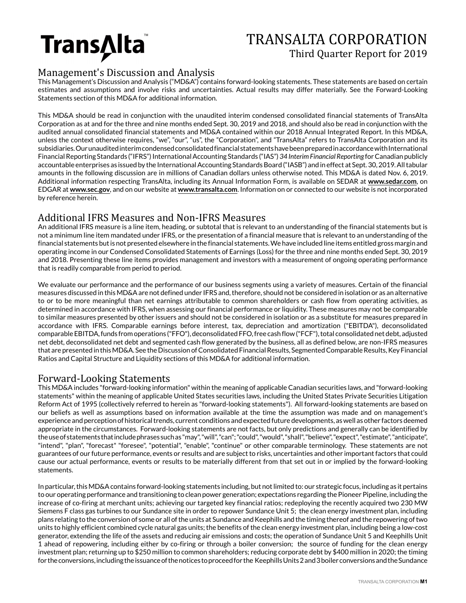

# TRANSALTA CORPORATION Third Quarter Report for 2019

## Management's Discussion and Analysis

This Management's Discussion and Analysis ("MD&A") contains forward-looking statements. These statements are based on certain estimates and assumptions and involve risks and uncertainties. Actual results may differ materially. See the Forward-Looking Statements section of this MD&A for additional information.

This MD&A should be read in conjunction with the unaudited interim condensed consolidated financial statements of TransAlta Corporation as at and for the three and nine months ended Sept. 30, 2019 and 2018, and should also be read in conjunction with the audited annual consolidated financial statements and MD&A contained within our 2018 Annual Integrated Report. In this MD&A, unless the context otherwise requires, "we", "our", "us", the "Corporation", and "TransAlta" refers to TransAlta Corporation and its subsidiaries. Our unaudited interim condensed consolidated financial statements have been prepared in accordance with International Financial Reporting Standards ("IFRS") International Accounting Standards ("IAS") *34 InterimFinancial Reporting* for Canadian publicly accountable enterprises as issued by the International Accounting Standards Board ("IASB") and in effect at Sept. 30, 2019. All tabular amounts in the following discussion are in millions of Canadian dollars unless otherwise noted. This MD&A is dated Nov. 6, 2019. Additional information respecting TransAlta, including its Annual Information Form, is available on SEDAR at **www.sedar.com**, on EDGAR at **www.sec.gov**, and on our website at **www.transalta.com**. Information on or connected to our website is not incorporated by reference herein.

## Additional IFRS Measures and Non-IFRS Measures

An additional IFRS measure is a line item, heading, or subtotal that is relevant to an understanding of the financial statements but is not a minimum line item mandated under IFRS, or the presentation of a financial measure that is relevant to an understanding of the financial statements but is not presented elsewhere in the financial statements. We have included line items entitled gross margin and operating income in our Condensed Consolidated Statements of Earnings (Loss) for the three and nine months ended Sept. 30, 2019 and 2018. Presenting these line items provides management and investors with a measurement of ongoing operating performance that is readily comparable from period to period.

We evaluate our performance and the performance of our business segments using a variety of measures. Certain of the financial measures discussed in this MD&A are not defined under IFRS and, therefore, should not be considered in isolation or as an alternative to or to be more meaningful than net earnings attributable to common shareholders or cash flow from operating activities, as determined in accordance with IFRS, when assessing our financial performance or liquidity. These measures may not be comparable to similar measures presented by other issuers and should not be considered in isolation or as a substitute for measures prepared in accordance with IFRS. Comparable earnings before interest, tax, depreciation and amortization ("EBITDA"), deconsolidated comparable EBITDA, funds from operations ("FFO"), deconsolidated FFO, free cash flow ("FCF"), total consolidated net debt, adjusted net debt, deconsolidated net debt and segmented cash flow generated by the business, all as defined below, are non-IFRS measures that are presented in this MD&A. See the Discussion of Consolidated Financial Results, Segmented Comparable Results, Key Financial Ratios and Capital Structure and Liquidity sections of this MD&A for additional information.

## Forward-Looking Statements

This MD&A includes "forward-looking information" within the meaning of applicable Canadian securities laws, and "forward-looking statements" within the meaning of applicable United States securities laws, including the United States Private Securities Litigation Reform Act of 1995 (collectively referred to herein as "forward-looking statements"). All forward-looking statements are based on our beliefs as well as assumptions based on information available at the time the assumption was made and on management's experience and perception of historical trends, current conditions and expected future developments, as well as other factors deemed appropriate in the circumstances. Forward-looking statements are not facts, but only predictions and generally can be identified by the use of statements that include phrases such as "may", "will", "can"; "could", "would", "shall", "believe", "expect", "estimate", "anticipate", "intend", "plan", "forecast" "foresee", "potential", "enable", "continue" or other comparable terminology. These statements are not guarantees of our future performance, events or results and are subject to risks, uncertainties and other important factors that could cause our actual performance, events or results to be materially different from that set out in or implied by the forward-looking statements.

In particular, this MD&A contains forward-looking statements including, but not limited to: our strategic focus, including as it pertains to our operating performance and transitioning to clean power generation; expectations regarding the Pioneer Pipeline, including the increase of co-firing at merchant units; achieving our targeted key financial ratios; redeploying the recently acquired two 230 MW Siemens F class gas turbines to our Sundance site in order to repower Sundance Unit 5; the clean energy investment plan, including plans relating to the conversion of some or all of the units at Sundance and Keephills and the timing thereof and the repowering of two units to highly efficient combined cycle natural gas units; the benefits of the clean energy investment plan, including being a low-cost generator, extending the life of the assets and reducing air emissions and costs; the operation of Sundance Unit 5 and Keephills Unit 1 ahead of repowering, including either by co-firing or through a boiler conversion; the source of funding for the clean energy investment plan; returning up to \$250 million to common shareholders; reducing corporate debt by \$400 million in 2020; the timing for the conversions, including the issuance of the notices to proceed for the Keephills Units 2 and 3 boiler conversions and the Sundance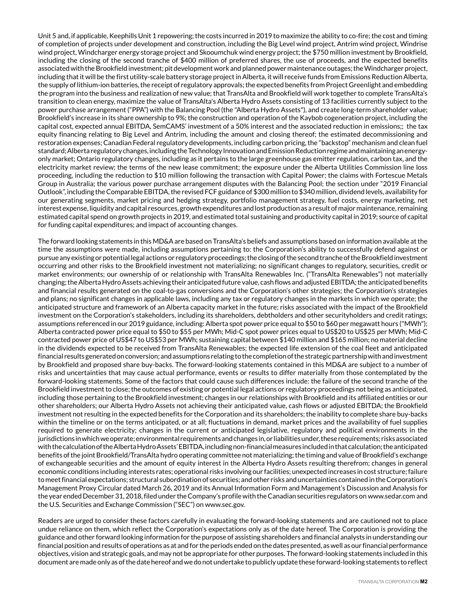Unit 5 and, if applicable, Keephills Unit 1 repowering; the costs incurred in 2019 to maximize the ability to co-fire; the cost and timing of completion of projects under development and construction, including the Big Level wind project, Antrim wind project, Windrise wind project, Windcharger energy storage project and Skooumchuk wind energy project; the \$750 million investment by Brookfield, including the closing of the second tranche of \$400 million of preferred shares, the use of proceeds, and the expected benefits associated with the Brookfield investment; pit development work and planned power maintenance outages; the Windcharger project, including that it will be the first utility-scale battery storage project in Alberta, it will receive funds from Emissions Reduction Alberta, the supply of lithium-ion batteries, the receipt of regulatory approvals; the expected benefits from Project Greenlight and embedding the program into the business and realization of new value; that TransAlta and Brookfield will work together to complete TransAlta's transition to clean energy, maximize the value of TransAlta's Alberta Hydro Assets consisting of 13 facilities currently subject to the power purchase arrangement ("PPA") with the Balancing Pool (the "Alberta Hydro Assets"), and create long-term shareholder value; Brookfield's increase in its share ownership to 9%; the construction and operation of the Kaybob cogeneration project, including the capital cost, expected annual EBITDA, SemCAMS' investment of a 50% interest and the associated reduction in emissions;; the tax equity financing relating to Big Level and Antrim, including the amount and closing thereof; the estimated decommissioning and restoration expenses; Canadian Federal regulatory developments, including carbon pricing, the "backstop" mechanism and clean fuel standard; Alberta regulatory changes, including the Technology Innovation and Emission Reduction regime and maintaining an energyonly market; Ontario regulatory changes, including as it pertains to the large greenhouse gas emitter regulation, carbon tax, and the electricity market review; the terms of the new lease commitment; the exposure under the Alberta Utilities Commission line loss proceeding, including the reduction to \$10 million following the transaction with Capital Power; the claims with Fortescue Metals Group in Australia; the various power purchase arrangement disputes with the Balancing Pool; the section under "2019 Financial Outlook", including the Comparable EBITDA, the revised FCF guidance of \$300 million to \$340 million, dividend levels, availability for our generating segments, market pricing and hedging strategy, portfolio management strategy, fuel costs, energy marketing, net interest expense, liquidity and capital resources, growth expenditures and lost production as a result of major maintenance, remaining estimated capital spend on growth projects in 2019, and estimated total sustaining and productivity capital in 2019; source of capital for funding capital expenditures; and impact of accounting changes.

The forward looking statements in this MD&A are based on TransAlta's beliefs and assumptions based on information available at the time the assumptions were made, including assumptions pertaining to: the Corporation's ability to successfully defend against or pursue any existing or potential legal actions or regulatory proceedings; the closing of the second tranche of the Brookfield investment occurring and other risks to the Brookfield investment not materializing; no significant changes to regulatory, securities, credit or market environments; our ownership of or relationship with TransAlta Renewables Inc. ("TransAlta Renewables") not materially changing; the Alberta Hydro Assets achieving their anticipated future value, cash flows and adjusted EBITDA; the anticipated benefits and financial results generated on the coal-to-gas conversions and the Corporation's other strategies; the Corporation's strategies and plans; no significant changes in applicable laws, including any tax or regulatory changes in the markets in which we operate; the anticipated structure and framework of an Alberta capacity market in the future; risks associated with the impact of the Brookfield investment on the Corporation's stakeholders, including its shareholders, debtholders and other securityholders and credit ratings; assumptions referenced in our 2019 guidance, including: Alberta spot power price equal to \$50 to \$60 per megawatt hours ("MWh"); Alberta contracted power price equal to \$50 to \$55 per MWh; Mid-C spot power prices equal to US\$20 to US\$25 per MWh; Mid-C contracted power price of US\$47 to US\$53 per MWh; sustaining capital between \$140 million and \$165 million; no material decline in the dividends expected to be received from TransAlta Renewables; the expected life extension of the coal fleet and anticipated financial results generated on conversion; and assumptions relating to the completion of the strategic partnership with and investment by Brookfield and proposed share buy-backs. The forward-looking statements contained in this MD&A are subject to a number of risks and uncertainties that may cause actual performance, events or results to differ materially from those contemplated by the forward-looking statements. Some of the factors that could cause such differences include: the failure of the second tranche of the Brookfield investment to close; the outcomes of existing or potential legal actions or regulatory proceedings not being as anticipated, including those pertaining to the Brookfield investment; changes in our relationships with Brookfield and its affiliated entities or our other shareholders; our Alberta Hydro Assets not achieving their anticipated value, cash flows or adjusted EBITDA; the Brookfield investment not resulting in the expected benefits for the Corporation and its shareholders; the inability to complete share buy-backs within the timeline or on the terms anticipated, or at all; fluctuations in demand, market prices and the availability of fuel supplies required to generate electricity; changes in the current or anticipated legislative, regulatory and political environments in the jurisdictions in which we operate; environmental requirements and changes in, or liabilities under, these requirements; risks associated with the calculation of the Alberta Hydro Assets' EBITDA, including non-financial measures included in that calculation; the anticipated benefits of the joint Brookfield/TransAlta hydro operating committee not materializing; the timing and value of Brookfield's exchange of exchangeable securities and the amount of equity interest in the Alberta Hydro Assets resulting therefrom; changes in general economic conditions including interests rates; operational risks involving our facilities; unexpected increases in cost structure; failure to meet financial expectations; structural subordination of securities; and other risks and uncertainties contained in the Corporation's Management Proxy Circular dated March 26, 2019 and its Annual Information Form and Management's Discussion and Analysis for the year ended December 31, 2018, filed under the Company's profile with the Canadian securities regulators on www.sedar.com and the U.S. Securities and Exchange Commission ("SEC") on www.sec.gov.

Readers are urged to consider these factors carefully in evaluating the forward-looking statements and are cautioned not to place undue reliance on them, which reflect the Corporation's expectations only as of the date hereof. The Corporation is providing the guidance and other forward looking information for the purpose of assisting shareholders and financial analysts in understanding our financial position and results of operations as at and for the periods ended on the dates presented, as well as our financial performance objectives, vision and strategic goals, and may not be appropriate for other purposes. The forward-looking statements included in this document are made only as of the date hereof and we do not undertake to publicly update these forward-looking statements to reflect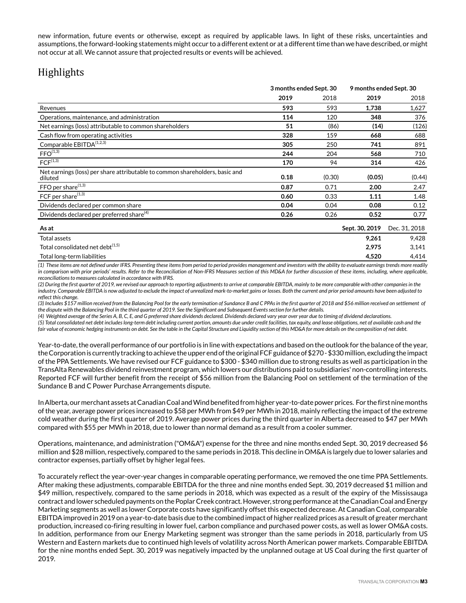new information, future events or otherwise, except as required by applicable laws. In light of these risks, uncertainties and assumptions, the forward-looking statements might occur to a different extent or at a different time than we have described, or might not occur at all. We cannot assure that projected results or events will be achieved.

# Highlights

|                                                                                         | 3 months ended Sept. 30 |        | 9 months ended Sept. 30 |               |
|-----------------------------------------------------------------------------------------|-------------------------|--------|-------------------------|---------------|
|                                                                                         | 2019                    | 2018   | 2019                    | 2018          |
| Revenues                                                                                | 593                     | 593    | 1,738                   | 1,627         |
| Operations, maintenance, and administration                                             | 114                     | 120    | 348                     | 376           |
| Net earnings (loss) attributable to common shareholders                                 | 51                      | (86)   | (14)                    | (126)         |
| Cash flow from operating activities                                                     | 328                     | 159    | 668                     | 688           |
| Comparable EBITDA <sup>(1,2,3)</sup>                                                    | 305                     | 250    | 741                     | 891           |
| $FFO^{(1,3)}$                                                                           | 244                     | 204    | 568                     | 710           |
| FCF <sup>(1,3)</sup>                                                                    | 170                     | 94     | 314                     | 426           |
| Net earnings (loss) per share attributable to common shareholders, basic and<br>diluted | 0.18                    | (0.30) | (0.05)                  | (0.44)        |
| $FFO$ per share $^{(1,3)}$                                                              | 0.87                    | 0.71   | 2.00                    | 2.47          |
| FCF per share <sup>(1,3)</sup>                                                          | 0.60                    | 0.33   | 1.11                    | 1.48          |
| Dividends declared per common share                                                     | 0.04                    | 0.04   | 0.08                    | 0.12          |
| Dividends declared per preferred share <sup>(4)</sup>                                   | 0.26                    | 0.26   | 0.52                    | 0.77          |
| As at                                                                                   |                         |        | Sept. 30, 2019          | Dec. 31, 2018 |
| Total assets                                                                            |                         |        | 9,261                   | 9,428         |
| Total consolidated net debt <sup>(1,5)</sup>                                            |                         |        | 2,975                   | 3,141         |
| Total long-term liabilities                                                             |                         |        | 4,520                   | 4,414         |

*(1) These items are not defined under IFRS. Presenting these items from period to period provides management and investors with the ability to evaluate earnings trends more readily in comparison with prior periods' results. Refer to the Reconciliation of Non-IFRS Measures section of this MD&A for further discussion of these items, including, where applicable, reconciliations to measures calculated in accordance with IFRS.*

*(2) During the first quarter of 2019, we revised our approach to reporting adjustments to arrive at comparable EBITDA, mainly to be more comparable with other companies in the industry. Comparable EBITDA is now adjusted to exclude the impact of unrealized mark-to-market gains or losses. Both the current and prior period amounts have been adjusted to reflect this change.* 

*(3) Includes \$157 million received from the Balancing Pool for the early termination of Sundance B and C PPAs in the first quarter of 2018 and \$56 million received on settlement of the dispute with the Balancing Pool in the third quarter of 2019. See the Significant and Subsequent Events section for further details.* 

*(4) Weighted average of the Series A, B, C, E, and G preferred share dividends declared. Dividends declared vary year over year due to timing of dividend declarations.*

*(5) Total consolidated net debt includes long-term debt including current portion, amounts due under credit facilities, tax equity, and lease obligations, net of available cash and the* fair value of economic hedging instruments on debt. See the table in the Capital Structure and Liquidity section of this MD&A for more details on the composition of net debt.

Year-to-date, the overall performance of our portfolio is in line with expectations and based on the outlook for the balance of the year, the Corporation is currently tracking to achieve the upper end of the original FCF guidance of \$270 - \$330 million, excluding the impact of the PPA Settlements. We have revised our FCF guidance to \$300 - \$340 million due to strong results as well as participation in the TransAlta Renewables dividend reinvestment program, which lowers our distributions paid to subsidiaries' non-controlling interests. Reported FCF will further benefit from the receipt of \$56 million from the Balancing Pool on settlement of the termination of the Sundance B and C Power Purchase Arrangements dispute.

In Alberta, our merchant assets at Canadian Coal and Wind benefited from higher year-to-date power prices. For the first nine months of the year, average power prices increased to \$58 per MWh from \$49 per MWh in 2018, mainly reflecting the impact of the extreme cold weather during the first quarter of 2019. Average power prices during the third quarter in Alberta decreased to \$47 per MWh compared with \$55 per MWh in 2018, due to lower than normal demand as a result from a cooler summer.

Operations, maintenance, and administration ("OM&A") expense for the three and nine months ended Sept. 30, 2019 decreased \$6 million and \$28 million, respectively, compared to the same periods in 2018. This decline in OM&A is largely due to lower salaries and contractor expenses, partially offset by higher legal fees.

To accurately reflect the year-over-year changes in comparable operating performance, we removed the one time PPA Settlements. After making these adjustments, comparable EBITDA for the three and nine months ended Sept. 30, 2019 decreased \$1 million and \$49 million, respectively, compared to the same periods in 2018, which was expected as a result of the expiry of the Mississauga contract and lower scheduled payments on the Poplar Creek contract. However, strong performance at the Canadian Coal and Energy Marketing segments as well as lower Corporate costs have significantly offset this expected decrease. At Canadian Coal, comparable EBITDA improved in 2019 on a year-to-date basis due to the combined impact of higher realized prices as a result of greater merchant production, increased co-firing resulting in lower fuel, carbon compliance and purchased power costs, as well as lower OM&A costs. In addition, performance from our Energy Marketing segment was stronger than the same periods in 2018, particularly from US Western and Eastern markets due to continued high levels of volatility across North American power markets. Comparable EBITDA for the nine months ended Sept. 30, 2019 was negatively impacted by the unplanned outage at US Coal during the first quarter of 2019.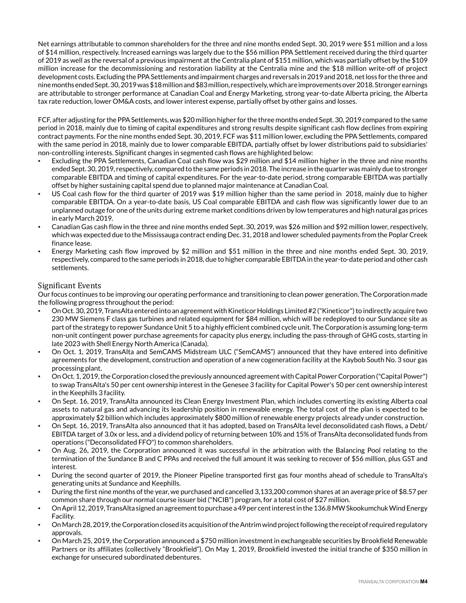Net earnings attributable to common shareholders for the three and nine months ended Sept. 30, 2019 were \$51 million and a loss of \$14 million, respectively. Increased earnings was largely due to the \$56 million PPA Settlement received during the third quarter of 2019 as well as the reversal of a previous impairment at the Centralia plant of \$151 million, which was partially offset by the \$109 million increase for the decommissioning and restoration liability at the Centralia mine and the \$18 million write-off of project development costs. Excluding the PPA Settlements and impairment charges and reversals in 2019 and 2018, net loss for the three and nine months ended Sept. 30, 2019 was \$18 million and \$83 million, respectively, which are improvements over 2018. Stronger earnings are attributable to stronger performance at Canadian Coal and Energy Marketing, strong year-to-date Alberta pricing, the Alberta tax rate reduction, lower OM&A costs, and lower interest expense, partially offset by other gains and losses.

FCF, after adjusting for the PPA Settlements, was \$20 million higher for the three months ended Sept. 30, 2019 compared to the same period in 2018, mainly due to timing of capital expenditures and strong results despite significant cash flow declines from expiring contract payments. For the nine months ended Sept. 30, 2019, FCF was \$11 million lower, excluding the PPA Settlements, compared with the same period in 2018, mainly due to lower comparable EBITDA, partially offset by lower distributions paid to subsidiaries' non-controlling interests. Significant changes in segmented cash flows are highlighted below:

- Excluding the PPA Settlements, Canadian Coal cash flow was \$29 million and \$14 million higher in the three and nine months ended Sept. 30, 2019, respectively, compared to the same periods in 2018. The increase in the quarter was mainly due to stronger comparable EBITDA and timing of capital expenditures. For the year-to-date period, strong comparable EBITDA was partially offset by higher sustaining capital spend due to planned major maintenance at Canadian Coal.
- US Coal cash flow for the third quarter of 2019 was \$19 million higher than the same period in 2018, mainly due to higher comparable EBITDA. On a year-to-date basis, US Coal comparable EBITDA and cash flow was significantly lower due to an unplanned outage for one of the units during extreme market conditions driven by low temperatures and high natural gas prices in early March 2019.
- Canadian Gas cash flow in the three and nine months ended Sept. 30, 2019, was \$26 million and \$92 million lower, respectively, which was expected due to the Mississauga contract ending Dec. 31, 2018 and lower scheduled payments from the Poplar Creek finance lease.
- Energy Marketing cash flow improved by \$2 million and \$51 million in the three and nine months ended Sept. 30, 2019, respectively, compared to the same periods in 2018, due to higher comparable EBITDA in the year-to-date period and other cash settlements.

## Significant Events

Our focus continues to be improving our operating performance and transitioning to clean power generation. The Corporation made the following progress throughout the period:

- On Oct. 30, 2019, TransAlta entered into an agreement with Kineticor Holdings Limited #2 ("Kineticor") to indirectly acquire two 230 MW Siemens F class gas turbines and related equipment for \$84 million, which will be redeployed to our Sundance site as part of the strategy to repower Sundance Unit 5 to a highly efficient combined cycle unit. The Corporation is assuming long-term non-unit contingent power purchase agreements for capacity plus energy, including the pass-through of GHG costs, starting in late 2023 with Shell Energy North America (Canada).
- On Oct. 1, 2019, TransAlta and SemCAMS Midstream ULC ("SemCAMS") announced that they have entered into definitive agreements for the development, construction and operation of a new cogeneration facility at the Kaybob South No. 3 sour gas processing plant.
- On Oct. 1, 2019, the Corporation closed the previously announced agreement with Capital Power Corporation ("Capital Power") to swap TransAlta's 50 per cent ownership interest in the Genesee 3 facility for Capital Power's 50 per cent ownership interest in the Keephills 3 facility.
- On Sept. 16, 2019, TransAlta announced its Clean Energy Investment Plan, which includes converting its existing Alberta coal assets to natural gas and advancing its leadership position in renewable energy. The total cost of the plan is expected to be approximately \$2 billion which includes approximately \$800 million of renewable energy projects already under construction.
- On Sept. 16, 2019, TransAlta also announced that it has adopted, based on TransAlta level deconsolidated cash flows, a Debt/ EBITDA target of 3.0x or less, and a dividend policy of returning between 10% and 15% of TransAlta deconsolidated funds from operations ("Deconsolidated FFO") to common shareholders.
- On Aug. 26, 2019, the Corporation announced it was successful in the arbitration with the Balancing Pool relating to the termination of the Sundance B and C PPAs and received the full amount it was seeking to recover of \$56 million, plus GST and interest.
- During the second quarter of 2019, the Pioneer Pipeline transported first gas four months ahead of schedule to TransAlta's generating units at Sundance and Keephills.
- During the first nine months of the year, we purchased and cancelled 3,133,200 common shares at an average price of \$8.57 per common share through our normal course issuer bid ("NCIB") program, for a total cost of \$27 million.
- On April 12, 2019, TransAlta signed an agreement to purchase a 49 per cent interest in the 136.8 MW Skookumchuk Wind Energy Facility.
- On March 28, 2019, the Corporation closed its acquisition of the Antrim wind project following the receipt of required regulatory approvals.
- On March 25, 2019, the Corporation announced a \$750 million investment in exchangeable securities by Brookfield Renewable Partners or its affiliates (collectively "Brookfield"). On May 1, 2019, Brookfield invested the initial tranche of \$350 million in exchange for unsecured subordinated debentures.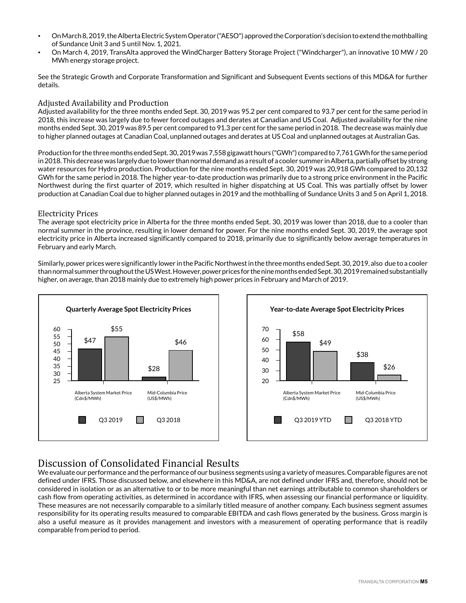- On March 8, 2019, the Alberta Electric System Operator ("AESO") approved the Corporation's decision to extend the mothballing of Sundance Unit 3 and 5 until Nov. 1, 2021.
- On March 4, 2019, TransAlta approved the WindCharger Battery Storage Project ("Windcharger"), an innovative 10 MW / 20 MWh energy storage project.

See the Strategic Growth and Corporate Transformation and Significant and Subsequent Events sections of this MD&A for further details.

## Adjusted Availability and Production

Adjusted availability for the three months ended Sept. 30, 2019 was 95.2 per cent compared to 93.7 per cent for the same period in 2018, this increase was largely due to fewer forced outages and derates at Canadian and US Coal. Adjusted availability for the nine months ended Sept. 30, 2019 was 89.5 per cent compared to 91.3 per cent for the same period in 2018. The decrease was mainly due to higher planned outages at Canadian Coal, unplanned outages and derates at US Coal and unplanned outages at Australian Gas.

Production for the three months ended Sept. 30, 2019 was 7,558 gigawatt hours ("GWh") compared to 7,761 GWh for the same period in 2018. This decrease was largely due to lower than normal demand as a result of a cooler summer in Alberta, partially offset by strong water resources for Hydro production. Production for the nine months ended Sept. 30, 2019 was 20,918 GWh compared to 20,132 GWh for the same period in 2018. The higher year-to-date production was primarily due to a strong price environment in the Pacific Northwest during the first quarter of 2019, which resulted in higher dispatching at US Coal. This was partially offset by lower production at Canadian Coal due to higher planned outages in 2019 and the mothballing of Sundance Units 3 and 5 on April 1, 2018.

## Electricity Prices

The average spot electricity price in Alberta for the three months ended Sept. 30, 2019 was lower than 2018, due to a cooler than normal summer in the province, resulting in lower demand for power. For the nine months ended Sept. 30, 2019, the average spot electricity price in Alberta increased significantly compared to 2018, primarily due to significantly below average temperatures in February and early March.

Similarly, power prices were significantly lower in the Pacific Northwest in the three months ended Sept. 30, 2019, also due to a cooler than normal summer throughout the US West. However, power prices for the nine months ended Sept. 30, 2019 remained substantially higher, on average, than 2018 mainly due to extremely high power prices in February and March of 2019.





# Discussion of Consolidated Financial Results

We evaluate our performance and the performance of our business segments using a variety of measures. Comparable figures are not defined under IFRS. Those discussed below, and elsewhere in this MD&A, are not defined under IFRS and, therefore, should not be considered in isolation or as an alternative to or to be more meaningful than net earnings attributable to common shareholders or cash flow from operating activities, as determined in accordance with IFRS, when assessing our financial performance or liquidity. These measures are not necessarily comparable to a similarly titled measure of another company. Each business segment assumes responsibility for its operating results measured to comparable EBITDA and cash flows generated by the business. Gross margin is also a useful measure as it provides management and investors with a measurement of operating performance that is readily comparable from period to period.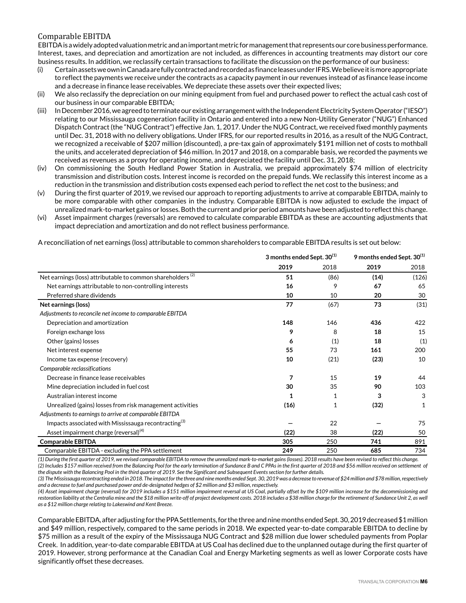## Comparable EBITDA

EBITDA is a widely adopted valuation metric and an important metric for management that represents our core business performance. Interest, taxes, and depreciation and amortization are not included, as differences in accounting treatments may distort our core business results. In addition, we reclassify certain transactions to facilitate the discussion on the performance of our business:

- (i) Certain assets we own in Canada are fully contracted and recorded as finance leases under IFRS. We believe it is more appropriate to reflect the payments we receive under the contracts as a capacity payment in our revenues instead of as finance lease income and a decrease in finance lease receivables. We depreciate these assets over their expected lives;
- (ii) We also reclassify the depreciation on our mining equipment from fuel and purchased power to reflect the actual cash cost of our business in our comparable EBITDA;
- (iii) In December 2016, we agreed to terminate our existing arrangement with the Independent Electricity System Operator ("IESO") relating to our Mississauga cogeneration facility in Ontario and entered into a new Non-Utility Generator ("NUG") Enhanced Dispatch Contract (the "NUG Contract") effective Jan. 1, 2017. Under the NUG Contract, we received fixed monthly payments until Dec. 31, 2018 with no delivery obligations. Under IFRS, for our reported results in 2016, as a result of the NUG Contract, we recognized a receivable of \$207 million (discounted), a pre-tax gain of approximately \$191 million net of costs to mothball the units, and accelerated depreciation of \$46 million. In 2017 and 2018, on a comparable basis, we recorded the payments we received as revenues as a proxy for operating income, and depreciated the facility until Dec. 31, 2018;
- (iv) On commissioning the South Hedland Power Station in Australia, we prepaid approximately \$74 million of electricity transmission and distribution costs. Interest income is recorded on the prepaid funds. We reclassify this interest income as a reduction in the transmission and distribution costs expensed each period to reflect the net cost to the business; and
- (v) During the first quarter of 2019, we revised our approach to reporting adjustments to arrive at comparable EBITDA, mainly to be more comparable with other companies in the industry. Comparable EBITDA is now adjusted to exclude the impact of unrealized mark-to-market gains or losses. Both the current and prior period amounts have been adjusted to reflect this change.
- (vi) Asset impairment charges (reversals) are removed to calculate comparable EBITDA as these are accounting adjustments that impact depreciation and amortization and do not reflect business performance.

A reconciliation of net earnings (loss) attributable to common shareholders to comparable EBITDA results is set out below:

|                                                                        |      | 3 months ended Sept. 30 <sup>(1)</sup> |      | 9 months ended Sept. 30 <sup>(1)</sup> |
|------------------------------------------------------------------------|------|----------------------------------------|------|----------------------------------------|
|                                                                        | 2019 | 2018                                   | 2019 | 2018                                   |
| Net earnings (loss) attributable to common shareholders <sup>(2)</sup> | 51   | (86)                                   | (14) | (126)                                  |
| Net earnings attributable to non-controlling interests                 | 16   | 9                                      | 67   | 65                                     |
| Preferred share dividends                                              | 10   | 10                                     | 20   | 30                                     |
| Net earnings (loss)                                                    | 77   | (67)                                   | 73   | (31)                                   |
| Adjustments to reconcile net income to comparable EBITDA               |      |                                        |      |                                        |
| Depreciation and amortization                                          | 148  | 146                                    | 436  | 422                                    |
| Foreign exchange loss                                                  | 9    | 8                                      | 18   | 15                                     |
| Other (gains) losses                                                   | 6    | (1)                                    | 18   | (1)                                    |
| Net interest expense                                                   | 55   | 73                                     | 161  | 200                                    |
| Income tax expense (recovery)                                          | 10   | (21)                                   | (23) | 10                                     |
| Comparable reclassifications                                           |      |                                        |      |                                        |
| Decrease in finance lease receivables                                  | 7    | 15                                     | 19   | 44                                     |
| Mine depreciation included in fuel cost                                | 30   | 35                                     | 90   | 103                                    |
| Australian interest income                                             | 1    |                                        | 3    | 3                                      |
| Unrealized (gains) losses from risk management activities              | (16) |                                        | (32) | 1                                      |
| Adjustments to earnings to arrive at comparable EBITDA                 |      |                                        |      |                                        |
| Impacts associated with Mississauga recontracting <sup>(3)</sup>       |      | 22                                     |      | 75                                     |
| Asset impairment charge (reversal) <sup>(4)</sup>                      | (22) | 38                                     | (22) | 50                                     |
| <b>Comparable EBITDA</b>                                               | 305  | 250                                    | 741  | 891                                    |
| Comparable EBITDA - excluding the PPA settlement                       | 249  | 250                                    | 685  | 734                                    |

*(1) During the first quarter of 2019, we revised comparable EBITDA to remove the unrealized mark-to-market gains (losses). 2018 results have been revised to reflect this change. (2) Includes \$157 million received from the Balancing Pool for the early termination of Sundance B and C PPAs in the first quarter of 2018 and \$56 million received on settlement of the dispute with the Balancing Pool in the third quarter of 2019. See the Significant and Subsequent Events section for further details.* 

*(3) The Mississauga recontracting ended in 2018. The impact for the three and nine months ended Sept. 30, 2019 was a decrease to revenue of \$24 million and \$78 million, respectively and a decrease to fuel and purchased power and de-designated hedges of \$2 million and \$3 million, respectively.* 

*(4) Asset impairment charge (reversal) for 2019 includes a \$151 million impairment reversal at US Coal, partially offset by the \$109 million increase for the decommissioning and restoration liability at the Centralia mine and the \$18 million write-off of project development costs. 2018 includes a \$38 million charge for the retirement of Sundance Unit 2, as well as a \$12 million charge relating to Lakeswind and Kent Breeze.*

Comparable EBITDA, after adjusting for the PPA Settlements, for the three and nine months ended Sept. 30, 2019 decreased \$1 million and \$49 million, respectively, compared to the same periods in 2018. We expected year-to-date comparable EBITDA to decline by \$75 million as a result of the expiry of the Mississauga NUG Contract and \$28 million due lower scheduled payments from Poplar Creek. In addition, year-to-date comparable EBITDA at US Coal has declined due to the unplanned outage during the first quarter of 2019. However, strong performance at the Canadian Coal and Energy Marketing segments as well as lower Corporate costs have significantly offset these decreases.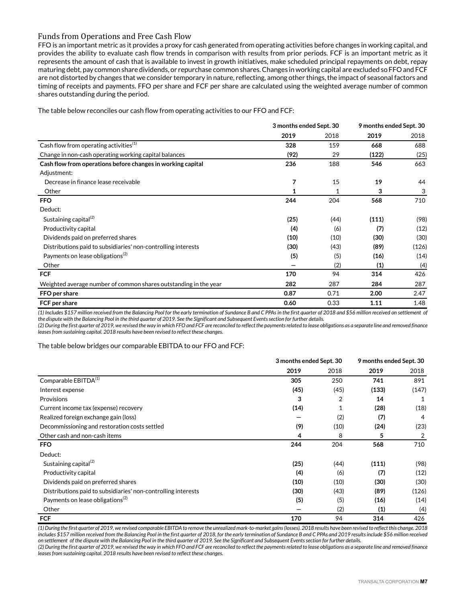### Funds from Operations and Free Cash Flow

FFO is an important metric as it provides a proxy for cash generated from operating activities before changes in working capital, and provides the ability to evaluate cash flow trends in comparison with results from prior periods. FCF is an important metric as it represents the amount of cash that is available to invest in growth initiatives, make scheduled principal repayments on debt, repay maturing debt, pay common share dividends, or repurchase common shares. Changes in working capital are excluded so FFO and FCF are not distorted by changes that we consider temporary in nature, reflecting, among other things, the impact of seasonal factors and timing of receipts and payments. FFO per share and FCF per share are calculated using the weighted average number of common shares outstanding during the period.

The table below reconciles our cash flow from operating activities to our FFO and FCF:

|                                                                  | 3 months ended Sept. 30 |      | 9 months ended Sept. 30 |       |
|------------------------------------------------------------------|-------------------------|------|-------------------------|-------|
|                                                                  | 2019                    | 2018 | 2019                    | 2018  |
| Cash flow from operating activities <sup>(1)</sup>               | 328                     | 159  | 668                     | 688   |
| Change in non-cash operating working capital balances            | (92)                    | 29   | (122)                   | (25)  |
| Cash flow from operations before changes in working capital      | 236                     | 188  | 546                     | 663   |
| Adjustment:                                                      |                         |      |                         |       |
| Decrease in finance lease receivable                             | 7                       | 15   | 19                      | 44    |
| Other                                                            |                         |      | 3                       | 3     |
| <b>FFO</b>                                                       | 244                     | 204  | 568                     | 710   |
| Deduct:                                                          |                         |      |                         |       |
| Sustaining capital $^{(2)}$                                      | (25)                    | (44) | (111)                   | (98)  |
| Productivity capital                                             | (4)                     | (6)  | (7)                     | (12)  |
| Dividends paid on preferred shares                               | (10)                    | (10) | (30)                    | (30)  |
| Distributions paid to subsidiaries' non-controlling interests    | (30)                    | (43) | (89)                    | (126) |
| Payments on lease obligations <sup>(2)</sup>                     | (5)                     | (5)  | (16)                    | (14)  |
| Other                                                            |                         | (2)  | (1)                     | (4)   |
| <b>FCF</b>                                                       | 170                     | 94   | 314                     | 426   |
| Weighted average number of common shares outstanding in the year | 282                     | 287  | 284                     | 287   |
| FFO per share                                                    | 0.87                    | 0.71 | 2.00                    | 2.47  |
| FCF per share                                                    | 0.60                    | 0.33 | 1.11                    | 1.48  |

*(1) Includes \$157 million received from the Balancing Pool for the early termination of Sundance B and C PPAs in the first quarter of 2018 and \$56 million received on settlement of the dispute with the Balancing Pool in the third quarter of 2019. See the Significant and Subsequent Events section for further details.* 

*(2) During the first quarter of 2019, we revised the way in which FFO and FCF are reconciled to reflect the payments related to lease obligations as a separate line and removed finance leases from sustaining capital. 2018 results have been revised to reflect these changes.*

The table below bridges our comparable EBITDA to our FFO and FCF:

|                                                               | 3 months ended Sept. 30 |      | 9 months ended Sept. 30 |       |
|---------------------------------------------------------------|-------------------------|------|-------------------------|-------|
|                                                               | 2019                    | 2018 | 2019                    | 2018  |
| Comparable EBITDA <sup>(1)</sup>                              | 305                     | 250  | 741                     | 891   |
| Interest expense                                              | (45)                    | (45) | (133)                   | (147) |
| Provisions                                                    | 3                       | 2    | 14                      | 1     |
| Current income tax (expense) recovery                         | (14)                    | 1    | (28)                    | (18)  |
| Realized foreign exchange gain (loss)                         |                         | (2)  | (7)                     | 4     |
| Decommissioning and restoration costs settled                 | (9)                     | (10) | (24)                    | (23)  |
| Other cash and non-cash items                                 | 4                       | 8    | 5                       |       |
| <b>FFO</b>                                                    | 244                     | 204  | 568                     | 710   |
| Deduct:                                                       |                         |      |                         |       |
| Sustaining capital <sup>(2)</sup>                             | (25)                    | (44) | (111)                   | (98)  |
| Productivity capital                                          | (4)                     | (6)  | (7)                     | (12)  |
| Dividends paid on preferred shares                            | (10)                    | (10) | (30)                    | (30)  |
| Distributions paid to subsidiaries' non-controlling interests | (30)                    | (43) | (89)                    | (126) |
| Payments on lease obligations <sup>(2)</sup>                  | (5)                     | (5)  | (16)                    | (14)  |
| Other                                                         |                         | (2)  | (1)                     | (4)   |
| <b>FCF</b>                                                    | 170                     | 94   | 314                     | 426   |

*(1) During the first quarter of 2019, we revised comparable EBITDA to remove the unrealized mark-to-market gains (losses). 2018 results have been revised to reflect this change. 2018 includes \$157 million received from the Balancing Pool in the first quarter of 2018, for the early termination of Sundance B and C PPAs and 2019 results include \$56 million received on settlement of the dispute with the Balancing Pool in the third quarter of 2019. See the Significant and Subsequent Events section for further details.*

*(2) During the first quarter of 2019, we revised the way in which FFO and FCF are reconciled to reflect the payments related to lease obligations as a separate line and removed finance leases from sustaining capital. 2018 results have been revised to reflect these changes.*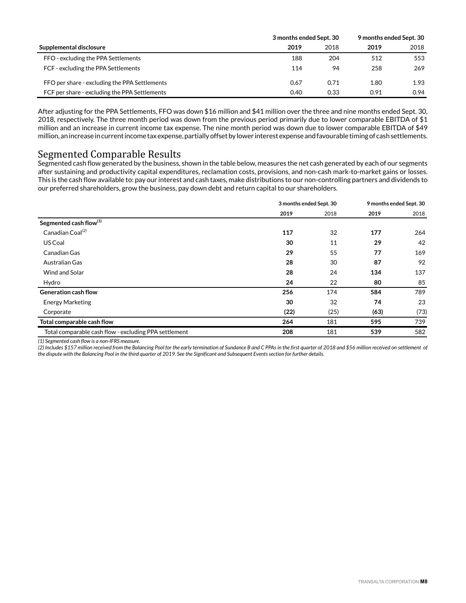|                                               | 3 months ended Sept. 30 |      | 9 months ended Sept. 30 |      |
|-----------------------------------------------|-------------------------|------|-------------------------|------|
| Supplemental disclosure                       | 2019                    | 2018 | 2019                    | 2018 |
| FFO - excluding the PPA Settlements           | 188                     | 204  | 512                     | 553  |
| FCF - excluding the PPA Settlements           | 114                     | 94   | 258                     | 269  |
| FFO per share - excluding the PPA Settlements | 0.67                    | 0.71 | 1.80                    | 1.93 |
| FCF per share - excluding the PPA Settlements | 0.40                    | 0.33 | 0.91                    | 0.94 |

After adjusting for the PPA Settlements, FFO was down \$16 million and \$41 million over the three and nine months ended Sept. 30, 2018, respectively. The three month period was down from the previous period primarily due to lower comparable EBITDA of \$1 million and an increase in current income tax expense. The nine month period was down due to lower comparable EBITDA of \$49 million, an increase in current income tax expense, partially offset by lower interest expense and favourable timing of cash settlements.

# Segmented Comparable Results

Segmented cash flow generated by the business, shown in the table below, measures the net cash generated by each of our segments after sustaining and productivity capital expenditures, reclamation costs, provisions, and non-cash mark-to-market gains or losses. This is the cash flow available to: pay our interest and cash taxes, make distributions to our non-controlling partners and dividends to our preferred shareholders, grow the business, pay down debt and return capital to our shareholders.

|                                                       | 3 months ended Sept. 30 |      | 9 months ended Sept. 30 |      |
|-------------------------------------------------------|-------------------------|------|-------------------------|------|
|                                                       | 2019                    | 2018 | 2019                    | 2018 |
| Segmented cash flow <sup>(1)</sup>                    |                         |      |                         |      |
| Canadian Coal <sup>(2)</sup>                          | 117                     | 32   | 177                     | 264  |
| US Coal                                               | 30                      | 11   | 29                      | 42   |
| Canadian Gas                                          | 29                      | 55   | 77                      | 169  |
| Australian Gas                                        | 28                      | 30   | 87                      | 92   |
| Wind and Solar                                        | 28                      | 24   | 134                     | 137  |
| Hydro                                                 | 24                      | 22   | 80                      | 85   |
| <b>Generation cash flow</b>                           | 256                     | 174  | 584                     | 789  |
| <b>Energy Marketing</b>                               | 30                      | 32   | 74                      | 23   |
| Corporate                                             | (22)                    | (25) | (63)                    | (73) |
| Total comparable cash flow                            | 264                     | 181  | 595                     | 739  |
| Total comparable cash flow - excluding PPA settlement | 208                     | 181  | 539                     | 582  |

*(1) Segmented cash flow is a non-IFRS measure.* 

*(2) Includes \$157 million received from the Balancing Pool for the early termination of Sundance B and C PPAs in the first quarter of 2018 and \$56 million received on settlement of the dispute with the Balancing Pool in the third quarter of 2019. See the Significant and Subsequent Events section for further details.*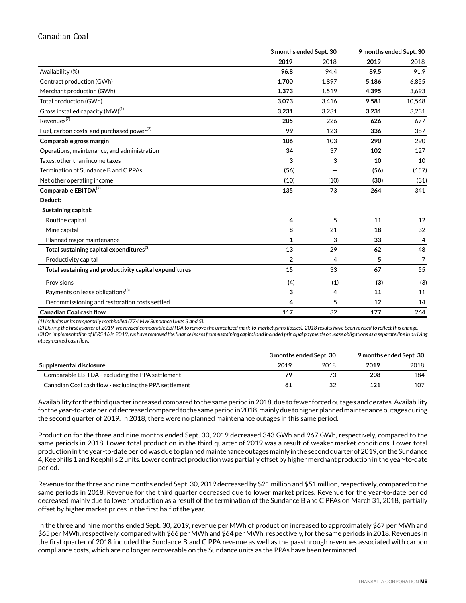## Canadian Coal

|                                                        |       | 3 months ended Sept. 30 |       | 9 months ended Sept. 30 |  |
|--------------------------------------------------------|-------|-------------------------|-------|-------------------------|--|
|                                                        | 2019  | 2018                    | 2019  | 2018                    |  |
| Availability (%)                                       | 96.8  | 94.4                    | 89.5  | 91.9                    |  |
| Contract production (GWh)                              | 1,700 | 1,897                   | 5,186 | 6,855                   |  |
| Merchant production (GWh)                              | 1,373 | 1,519                   | 4,395 | 3,693                   |  |
| Total production (GWh)                                 | 3,073 | 3,416                   | 9,581 | 10,548                  |  |
| Gross installed capacity (MW) <sup>(1)</sup>           | 3,231 | 3,231                   | 3,231 | 3,231                   |  |
| Revenues <sup>(2)</sup>                                | 205   | 226                     | 626   | 677                     |  |
| Fuel, carbon costs, and purchased power <sup>(2)</sup> | 99    | 123                     | 336   | 387                     |  |
| Comparable gross margin                                | 106   | 103                     | 290   | 290                     |  |
| Operations, maintenance, and administration            | 34    | 37                      | 102   | 127                     |  |
| Taxes, other than income taxes                         | 3     | 3                       | 10    | 10                      |  |
| Termination of Sundance B and C PPAs                   | (56)  |                         | (56)  | (157)                   |  |
| Net other operating income                             | (10)  | (10)                    | (30)  | (31)                    |  |
| Comparable EBITDA <sup>(2)</sup>                       | 135   | 73                      | 264   | 341                     |  |
| Deduct:                                                |       |                         |       |                         |  |
| Sustaining capital:                                    |       |                         |       |                         |  |
| Routine capital                                        | 4     | 5                       | 11    | 12                      |  |
| Mine capital                                           | 8     | 21                      | 18    | 32                      |  |
| Planned major maintenance                              | 1     | 3                       | 33    | 4                       |  |
| Total sustaining capital expenditures $^{(3)}$         | 13    | 29                      | 62    | 48                      |  |
| Productivity capital                                   | 2     | 4                       | 5     | 7                       |  |
| Total sustaining and productivity capital expenditures | 15    | 33                      | 67    | 55                      |  |
| Provisions                                             | (4)   | (1)                     | (3)   | (3)                     |  |
| Payments on lease obligations <sup>(3)</sup>           | 3     | 4                       | 11    | 11                      |  |
| Decommissioning and restoration costs settled          | 4     | 5                       | 12    | 14                      |  |
| <b>Canadian Coal cash flow</b>                         | 117   | 32                      | 177   | 264                     |  |

*(1) Includes units temporarily mothballed (774 MW Sundance Units 3 and 5).* 

*(2) During the first quarter of 2019, we revised comparable EBITDA to remove the unrealized mark-to-market gains (losses). 2018 results have been revised to reflect this change.*

*(3) On implementation of IFRS 16 in 2019, we have removed the finance leases from sustaining capital and included principal payments on lease obligations as a separate line in arriving at segmented cash flow.*

|                                                        | 3 months ended Sept. 30 |      | 9 months ended Sept. 30 |      |
|--------------------------------------------------------|-------------------------|------|-------------------------|------|
| Supplemental disclosure                                | 2019                    | 2018 | 2019                    | 2018 |
| Comparable EBITDA - excluding the PPA settlement       | 79                      |      | 208                     | 184  |
| Canadian Coal cash flow - excluding the PPA settlement | 61                      |      | 121                     | 107  |

Availability for the third quarter increased compared to the same period in 2018, due to fewer forced outages and derates. Availability for the year-to-date period decreased compared to the same period in 2018, mainly due to higher planned maintenance outages during the second quarter of 2019. In 2018, there were no planned maintenance outages in this same period.

Production for the three and nine months ended Sept. 30, 2019 decreased 343 GWh and 967 GWh, respectively, compared to the same periods in 2018. Lower total production in the third quarter of 2019 was a result of weaker market conditions. Lower total production in the year-to-date period was due to planned maintenance outages mainly in the second quarter of 2019, on the Sundance 4, Keephills 1 and Keephills 2 units. Lower contract production was partially offset by higher merchant production in the year-to-date period.

Revenue for the three and nine months ended Sept. 30, 2019 decreased by \$21 million and \$51 million, respectively, compared to the same periods in 2018. Revenue for the third quarter decreased due to lower market prices. Revenue for the year-to-date period decreased mainly due to lower production as a result of the termination of the Sundance B and C PPAs on March 31, 2018, partially offset by higher market prices in the first half of the year.

In the three and nine months ended Sept. 30, 2019, revenue per MWh of production increased to approximately \$67 per MWh and \$65 per MWh, respectively, compared with \$66 per MWh and \$64 per MWh, respectively, for the same periods in 2018. Revenues in the first quarter of 2018 included the Sundance B and C PPA revenue as well as the passthrough revenues associated with carbon compliance costs, which are no longer recoverable on the Sundance units as the PPAs have been terminated.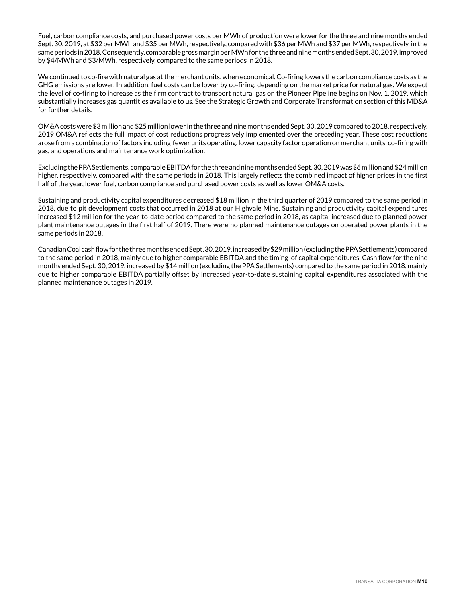Fuel, carbon compliance costs, and purchased power costs per MWh of production were lower for the three and nine months ended Sept. 30, 2019, at \$32 per MWh and \$35 per MWh, respectively, compared with \$36 per MWh and \$37 per MWh, respectively, in the same periods in 2018. Consequently, comparable gross margin per MWh for the three and nine months ended Sept. 30, 2019, improved by \$4/MWh and \$3/MWh, respectively, compared to the same periods in 2018.

We continued to co-fire with natural gas at the merchant units, when economical. Co-firing lowers the carbon compliance costs as the GHG emissions are lower. In addition, fuel costs can be lower by co-firing, depending on the market price for natural gas. We expect the level of co-firing to increase as the firm contract to transport natural gas on the Pioneer Pipeline begins on Nov. 1, 2019, which substantially increases gas quantities available to us. See the Strategic Growth and Corporate Transformation section of this MD&A for further details.

OM&A costs were \$3 million and \$25 million lower in the three and nine months ended Sept. 30, 2019 compared to 2018, respectively. 2019 OM&A reflects the full impact of cost reductions progressively implemented over the preceding year. These cost reductions arose from a combination of factors including fewer units operating, lower capacity factor operation on merchant units, co-firing with gas, and operations and maintenance work optimization.

Excluding the PPA Settlements, comparable EBITDA for the three and nine months ended Sept. 30, 2019 was \$6 million and \$24 million higher, respectively, compared with the same periods in 2018. This largely reflects the combined impact of higher prices in the first half of the year, lower fuel, carbon compliance and purchased power costs as well as lower OM&A costs.

Sustaining and productivity capital expenditures decreased \$18 million in the third quarter of 2019 compared to the same period in 2018, due to pit development costs that occurred in 2018 at our Highvale Mine. Sustaining and productivity capital expenditures increased \$12 million for the year-to-date period compared to the same period in 2018, as capital increased due to planned power plant maintenance outages in the first half of 2019. There were no planned maintenance outages on operated power plants in the same periods in 2018.

Canadian Coal cash flow for the three months ended Sept. 30, 2019, increased by \$29 million (excluding the PPA Settlements) compared to the same period in 2018, mainly due to higher comparable EBITDA and the timing of capital expenditures. Cash flow for the nine months ended Sept. 30, 2019, increased by \$14 million (excluding the PPA Settlements) compared to the same period in 2018, mainly due to higher comparable EBITDA partially offset by increased year-to-date sustaining capital expenditures associated with the planned maintenance outages in 2019.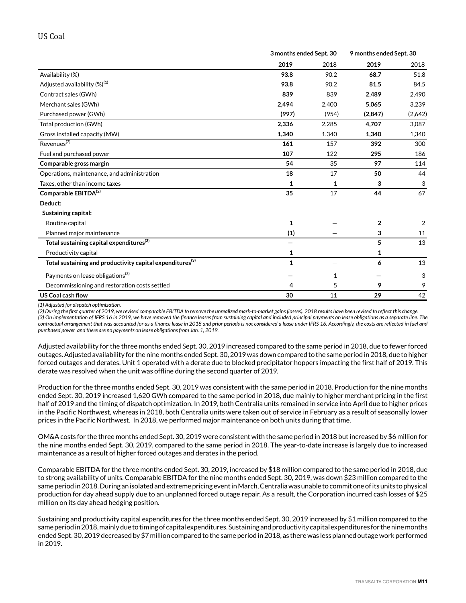|                                                                       |              | 3 months ended Sept. 30 |                | 9 months ended Sept. 30 |  |
|-----------------------------------------------------------------------|--------------|-------------------------|----------------|-------------------------|--|
|                                                                       | 2019         | 2018                    | 2019           | 2018                    |  |
| Availability (%)                                                      | 93.8         | 90.2                    | 68.7           | 51.8                    |  |
| Adjusted availability (%) <sup>(1)</sup>                              | 93.8         | 90.2                    | 81.5           | 84.5                    |  |
| Contract sales (GWh)                                                  | 839          | 839                     | 2,489          | 2,490                   |  |
| Merchant sales (GWh)                                                  | 2.494        | 2,400                   | 5,065          | 3,239                   |  |
| Purchased power (GWh)                                                 | (997)        | (954)                   | (2,847)        | (2,642)                 |  |
| Total production (GWh)                                                | 2,336        | 2.285                   | 4.707          | 3,087                   |  |
| Gross installed capacity (MW)                                         | 1,340        | 1,340                   | 1,340          | 1,340                   |  |
| Revenues <sup>(2)</sup>                                               | 161          | 157                     | 392            | 300                     |  |
| Fuel and purchased power                                              | 107          | 122                     | 295            | 186                     |  |
| Comparable gross margin                                               | 54           | 35                      | 97             | 114                     |  |
| Operations, maintenance, and administration                           | 18           | 17                      | 50             | 44                      |  |
| Taxes, other than income taxes                                        | 1            | 1                       | 3              | 3                       |  |
| Comparable EBITDA <sup>(2)</sup>                                      | 35           | 17                      | 44             | 67                      |  |
| Deduct:                                                               |              |                         |                |                         |  |
| Sustaining capital:                                                   |              |                         |                |                         |  |
| Routine capital                                                       | $\mathbf{1}$ |                         | $\overline{2}$ | 2                       |  |
| Planned major maintenance                                             | (1)          |                         | 3              | 11                      |  |
| Total sustaining capital expenditures <sup>(3)</sup>                  | —            |                         | 5              | 13                      |  |
| Productivity capital                                                  | 1            |                         | 1              |                         |  |
| Total sustaining and productivity capital expenditures <sup>(3)</sup> | 1            |                         | 6              | 13                      |  |
| Payments on lease obligations <sup>(3)</sup>                          |              | 1                       |                | 3                       |  |
| Decommissioning and restoration costs settled                         | 4            | 5                       | 9              | 9                       |  |
| <b>US Coal cash flow</b>                                              | 30           | 11                      | 29             | 42                      |  |

*(1) Adjusted for dispatch optimization.*

*(2) During the first quarter of 2019, we revised comparable EBITDA to remove the unrealized mark-to-market gains (losses). 2018 results have been revised to reflect this change. (3) On implementation of IFRS 16 in 2019, we have removed the finance leases from sustaining capital and included principal payments on lease obligations as a separate line. The contractual arrangement that was accounted for as a finance lease in 2018 and prior periods is not considered a lease under IFRS 16. Accordingly, the costs are reflected in fuel and purchased power and there are no payments on lease obligations from Jan. 1, 2019.* 

Adjusted availability for the three months ended Sept. 30, 2019 increased compared to the same period in 2018, due to fewer forced outages. Adjusted availability for the nine months ended Sept. 30, 2019 was down compared to the same period in 2018, due to higher forced outages and derates. Unit 1 operated with a derate due to blocked precipitator hoppers impacting the first half of 2019. This derate was resolved when the unit was offline during the second quarter of 2019.

Production for the three months ended Sept. 30, 2019 was consistent with the same period in 2018. Production for the nine months ended Sept. 30, 2019 increased 1,620 GWh compared to the same period in 2018, due mainly to higher merchant pricing in the first half of 2019 and the timing of dispatch optimization. In 2019, both Centralia units remained in service into April due to higher prices in the Pacific Northwest, whereas in 2018, both Centralia units were taken out of service in February as a result of seasonally lower prices in the Pacific Northwest. In 2018, we performed major maintenance on both units during that time.

OM&A costs for the three months ended Sept. 30, 2019 were consistent with the same period in 2018 but increased by \$6 million for the nine months ended Sept. 30, 2019, compared to the same period in 2018. The year-to-date increase is largely due to increased maintenance as a result of higher forced outages and derates in the period.

Comparable EBITDA for the three months ended Sept. 30, 2019, increased by \$18 million compared to the same period in 2018, due to strong availability of units. Comparable EBITDA for the nine months ended Sept. 30, 2019, was down \$23 million compared to the same period in 2018. During an isolated and extreme pricing event in March, Centralia was unable to commit one of its units to physical production for day ahead supply due to an unplanned forced outage repair. As a result, the Corporation incurred cash losses of \$25 million on its day ahead hedging position.

Sustaining and productivity capital expenditures for the three months ended Sept. 30, 2019 increased by \$1 million compared to the same period in 2018, mainly due to timing of capital expenditures. Sustaining and productivity capital expenditures for the nine months ended Sept. 30, 2019 decreased by \$7 million compared to the same period in 2018, as there was less planned outage work performed in 2019.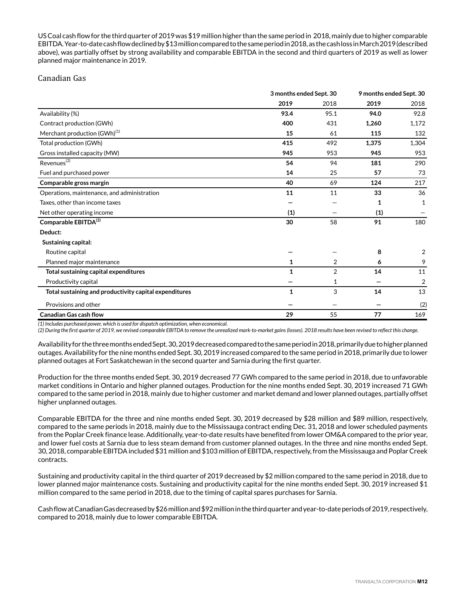US Coal cash flow for the third quarter of 2019 was \$19 million higher than the same period in 2018, mainly due to higher comparable EBITDA. Year-to-date cash flow declined by \$13 million compared to the same period in 2018, as the cash loss in March 2019 (described above), was partially offset by strong availability and comparable EBITDA in the second and third quarters of 2019 as well as lower planned major maintenance in 2019.

## Canadian Gas

|                                                        |              | 3 months ended Sept. 30 |       | 9 months ended Sept. 30 |  |
|--------------------------------------------------------|--------------|-------------------------|-------|-------------------------|--|
|                                                        | 2019         | 2018                    | 2019  | 2018                    |  |
| Availability (%)                                       | 93.4         | 95.1                    | 94.0  | 92.8                    |  |
| Contract production (GWh)                              | 400          | 431                     | 1,260 | 1,172                   |  |
| Merchant production (GWh) <sup>(1)</sup>               | 15           | 61                      | 115   | 132                     |  |
| Total production (GWh)                                 | 415          | 492                     | 1,375 | 1,304                   |  |
| Gross installed capacity (MW)                          | 945          | 953                     | 945   | 953                     |  |
| Revenues <sup>(2)</sup>                                | 54           | 94                      | 181   | 290                     |  |
| Fuel and purchased power                               | 14           | 25                      | 57    | 73                      |  |
| Comparable gross margin                                | 40           | 69                      | 124   | 217                     |  |
| Operations, maintenance, and administration            | 11           | 11                      | 33    | 36                      |  |
| Taxes, other than income taxes                         |              |                         | 1     | 1                       |  |
| Net other operating income                             | (1)          |                         | (1)   |                         |  |
| Comparable EBITDA <sup>(2)</sup>                       | 30           | 58                      | 91    | 180                     |  |
| Deduct:                                                |              |                         |       |                         |  |
| Sustaining capital:                                    |              |                         |       |                         |  |
| Routine capital                                        |              |                         | 8     | 2                       |  |
| Planned major maintenance                              | 1            | 2                       | 6     | 9                       |  |
| Total sustaining capital expenditures                  | $\mathbf{1}$ | $\overline{2}$          | 14    | 11                      |  |
| Productivity capital                                   |              | 1                       |       | $\overline{2}$          |  |
| Total sustaining and productivity capital expenditures | 1            | 3                       | 14    | 13                      |  |
| Provisions and other                                   |              |                         |       | (2)                     |  |
| <b>Canadian Gas cash flow</b>                          | 29           | 55                      | 77    | 169                     |  |

*(1) Includes purchased power, which is used for dispatch optimization, when economical.* 

*(2) During the first quarter of 2019, we revised comparable EBITDA to remove the unrealized mark-to-market gains (losses). 2018 results have been revised to reflect this change.*

Availability for the three months ended Sept. 30, 2019 decreased compared to the same period in 2018, primarily due to higher planned outages. Availability for the nine months ended Sept. 30, 2019 increased compared to the same period in 2018, primarily due to lower planned outages at Fort Saskatchewan in the second quarter and Sarnia during the first quarter.

Production for the three months ended Sept. 30, 2019 decreased 77 GWh compared to the same period in 2018, due to unfavorable market conditions in Ontario and higher planned outages. Production for the nine months ended Sept. 30, 2019 increased 71 GWh compared to the same period in 2018, mainly due to higher customer and market demand and lower planned outages, partially offset higher unplanned outages.

Comparable EBITDA for the three and nine months ended Sept. 30, 2019 decreased by \$28 million and \$89 million, respectively, compared to the same periods in 2018, mainly due to the Mississauga contract ending Dec. 31, 2018 and lower scheduled payments from the Poplar Creek finance lease. Additionally, year-to-date results have benefited from lower OM&A compared to the prior year, and lower fuel costs at Sarnia due to less steam demand from customer planned outages. In the three and nine months ended Sept. 30, 2018, comparable EBITDA included \$31 million and \$103 million of EBITDA, respectively, from the Mississauga and Poplar Creek contracts.

Sustaining and productivity capital in the third quarter of 2019 decreased by \$2 million compared to the same period in 2018, due to lower planned major maintenance costs. Sustaining and productivity capital for the nine months ended Sept. 30, 2019 increased \$1 million compared to the same period in 2018, due to the timing of capital spares purchases for Sarnia.

Cash flow at Canadian Gas decreased by \$26 million and \$92 million in the third quarter and year-to-date periods of 2019, respectively, compared to 2018, mainly due to lower comparable EBITDA.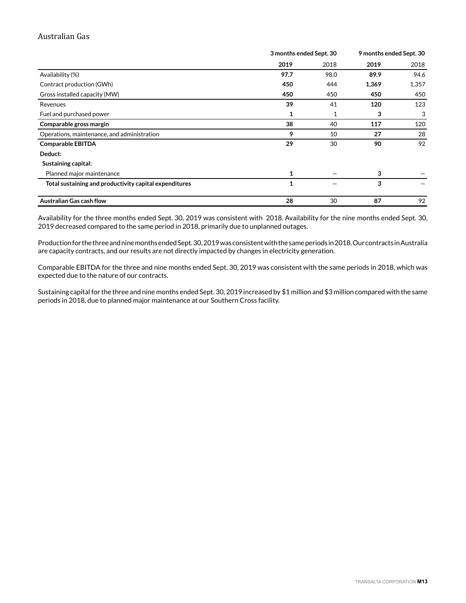## Australian Gas

|                                                        | 3 months ended Sept. 30 |      |       | 9 months ended Sept. 30 |
|--------------------------------------------------------|-------------------------|------|-------|-------------------------|
|                                                        | 2019                    | 2018 | 2019  | 2018                    |
| Availability (%)                                       | 97.7                    | 98.0 | 89.9  | 94.6                    |
| Contract production (GWh)                              | 450                     | 444  | 1,369 | 1,357                   |
| Gross installed capacity (MW)                          | 450                     | 450  | 450   | 450                     |
| Revenues                                               | 39                      | 41   | 120   | 123                     |
| Fuel and purchased power                               | 1                       | 1    | 3     | 3                       |
| Comparable gross margin                                | 38                      | 40   | 117   | 120                     |
| Operations, maintenance, and administration            | 9                       | 10   | 27    | 28                      |
| <b>Comparable EBITDA</b>                               | 29                      | 30   | 90    | 92                      |
| Deduct:                                                |                         |      |       |                         |
| Sustaining capital:                                    |                         |      |       |                         |
| Planned major maintenance                              | 1                       |      | 3     |                         |
| Total sustaining and productivity capital expenditures | $\mathbf{1}$            |      | 3     |                         |
| <b>Australian Gas cash flow</b>                        | 28                      | 30   | 87    | 92                      |

Availability for the three months ended Sept. 30, 2019 was consistent with 2018. Availability for the nine months ended Sept. 30, 2019 decreased compared to the same period in 2018, primarily due to unplanned outages.

Production for the three and nine months ended Sept. 30, 2019 was consistent with the same periods in 2018. Our contracts in Australia are capacity contracts, and our results are not directly impacted by changes in electricity generation.

Comparable EBITDA for the three and nine months ended Sept. 30, 2019 was consistent with the same periods in 2018, which was expected due to the nature of our contracts.

Sustaining capital for the three and nine months ended Sept. 30, 2019 increased by \$1 million and \$3 million compared with the same periods in 2018, due to planned major maintenance at our Southern Cross facility.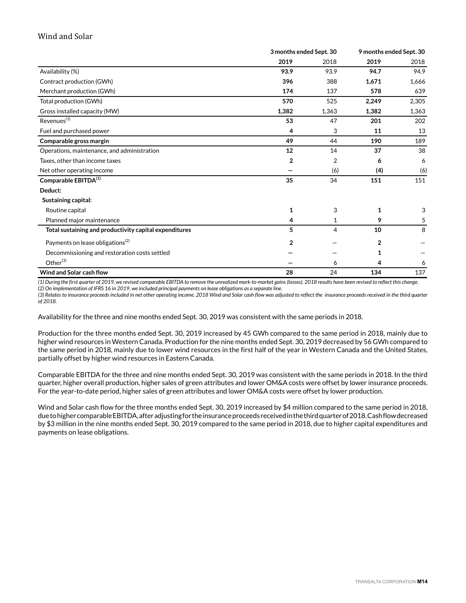## Wind and Solar

|                                                        | 3 months ended Sept. 30 |       | 9 months ended Sept. 30 |       |
|--------------------------------------------------------|-------------------------|-------|-------------------------|-------|
|                                                        | 2019                    | 2018  | 2019                    | 2018  |
| Availability (%)                                       | 93.9                    | 93.9  | 94.7                    | 94.9  |
| Contract production (GWh)                              | 396                     | 388   | 1,671                   | 1,666 |
| Merchant production (GWh)                              | 174                     | 137   | 578                     | 639   |
| Total production (GWh)                                 | 570                     | 525   | 2,249                   | 2,305 |
| Gross installed capacity (MW)                          | 1,382                   | 1,363 | 1,382                   | 1,363 |
| Revenues <sup>(1)</sup>                                | 53                      | 47    | 201                     | 202   |
| Fuel and purchased power                               | 4                       | 3     | 11                      | 13    |
| Comparable gross margin                                | 49                      | 44    | 190                     | 189   |
| Operations, maintenance, and administration            | 12                      | 14    | 37                      | 38    |
| Taxes, other than income taxes                         | 2                       | 2     | 6                       | 6     |
| Net other operating income                             |                         | (6)   | (4)                     | (6)   |
| Comparable EBITDA <sup>(1)</sup>                       | 35                      | 34    | 151                     | 151   |
| Deduct:                                                |                         |       |                         |       |
| Sustaining capital:                                    |                         |       |                         |       |
| Routine capital                                        | 1                       | 3     | 1                       | 3     |
| Planned major maintenance                              | 4                       | 1     | 9                       | 5     |
| Total sustaining and productivity capital expenditures | 5                       | 4     | 10                      | 8     |
| Payments on lease obligations <sup>(2)</sup>           | $\overline{2}$          |       | 2                       |       |
| Decommissioning and restoration costs settled          |                         |       | 1                       |       |
| Other $^{(3)}$                                         |                         | 6     | 4                       | 6     |
| Wind and Solar cash flow                               | 28                      | 24    | 134                     | 137   |

*(1) During the first quarter of 2019, we revised comparable EBITDA to remove the unrealized mark-to-market gains (losses). 2018 results have been revised to reflect this change.*

*(2) On implementation of IFRS 16 in 2019, we included principal payments on lease obligations as a separate line.* 

*(3) Relates to insurance proceeds included in net other operating income. 2018 Wind and Solar cash flow was adjusted to reflect the insurance proceeds received in the third quarter of 2018.* 

Availability for the three and nine months ended Sept. 30, 2019 was consistent with the same periods in 2018.

Production for the three months ended Sept. 30, 2019 increased by 45 GWh compared to the same period in 2018, mainly due to higher wind resources in Western Canada. Production for the nine months ended Sept. 30, 2019 decreased by 56 GWh compared to the same period in 2018, mainly due to lower wind resources in the first half of the year in Western Canada and the United States, partially offset by higher wind resources in Eastern Canada.

Comparable EBITDA for the three and nine months ended Sept. 30, 2019 was consistent with the same periods in 2018. In the third quarter, higher overall production, higher sales of green attributes and lower OM&A costs were offset by lower insurance proceeds. For the year-to-date period, higher sales of green attributes and lower OM&A costs were offset by lower production.

Wind and Solar cash flow for the three months ended Sept. 30, 2019 increased by \$4 million compared to the same period in 2018, due to higher comparable EBITDA, after adjusting for the insurance proceeds received in the third quarter of 2018. Cash flow decreased by \$3 million in the nine months ended Sept. 30, 2019 compared to the same period in 2018, due to higher capital expenditures and payments on lease obligations.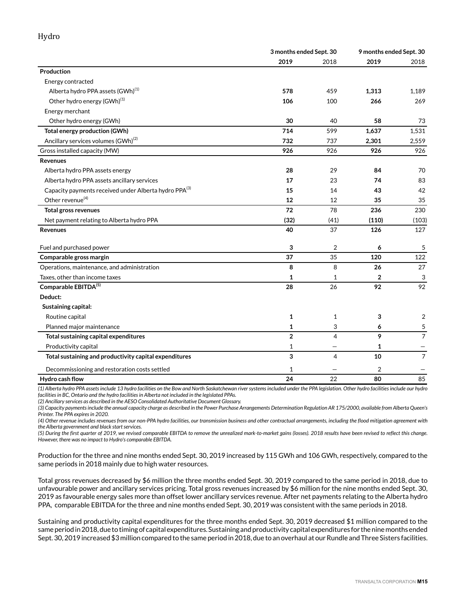## Hydro

|                                                                   |                | 3 months ended Sept. 30 |                | 9 months ended Sept. 30 |
|-------------------------------------------------------------------|----------------|-------------------------|----------------|-------------------------|
|                                                                   | 2019           | 2018                    | 2019           | 2018                    |
| Production                                                        |                |                         |                |                         |
| Energy contracted                                                 |                |                         |                |                         |
| Alberta hydro PPA assets (GWh) <sup>(1)</sup>                     | 578            | 459                     | 1,313          | 1,189                   |
| Other hydro energy (GWh) <sup>(1)</sup>                           | 106            | 100                     | 266            | 269                     |
| Energy merchant                                                   |                |                         |                |                         |
| Other hydro energy (GWh)                                          | 30             | 40                      | 58             | 73                      |
| <b>Total energy production (GWh)</b>                              | 714            | 599                     | 1,637          | 1,531                   |
| Ancillary services volumes (GWh) <sup>(2)</sup>                   | 732            | 737                     | 2,301          | 2,559                   |
| Gross installed capacity (MW)                                     | 926            | 926                     | 926            | 926                     |
| <b>Revenues</b>                                                   |                |                         |                |                         |
| Alberta hydro PPA assets energy                                   | 28             | 29                      | 84             | 70                      |
| Alberta hydro PPA assets ancillary services                       | 17             | 23                      | 74             | 83                      |
| Capacity payments received under Alberta hydro PPA <sup>(3)</sup> | 15             | 14                      | 43             | 42                      |
| Other revenue <sup>(4)</sup>                                      | 12             | 12                      | 35             | 35                      |
| <b>Total gross revenues</b>                                       | 72             | 78                      | 236            | 230                     |
| Net payment relating to Alberta hydro PPA                         | (32)           | (41)                    | (110)          | (103)                   |
| <b>Revenues</b>                                                   | 40             | 37                      | 126            | 127                     |
| Fuel and purchased power                                          | 3              | $\overline{2}$          | 6              | 5                       |
| Comparable gross margin                                           | 37             | 35                      | 120            | 122                     |
| Operations, maintenance, and administration                       | 8              | 8                       | 26             | 27                      |
| Taxes, other than income taxes                                    | 1              | 1                       | $\overline{2}$ | 3                       |
| Comparable EBITDA(5)                                              | 28             | 26                      | 92             | 92                      |
| Deduct:                                                           |                |                         |                |                         |
| Sustaining capital:                                               |                |                         |                |                         |
| Routine capital                                                   | 1              | 1                       | 3              | 2                       |
| Planned major maintenance                                         | 1              | 3                       | 6              | 5                       |
| Total sustaining capital expenditures                             | $\overline{2}$ | 4                       | 9              | $\overline{7}$          |
| Productivity capital                                              | 1              |                         | 1              |                         |
| Total sustaining and productivity capital expenditures            | 3              | 4                       | 10             | $\overline{7}$          |
| Decommissioning and restoration costs settled                     | $\mathbf{1}$   |                         | $\overline{2}$ |                         |
| Hydro cash flow                                                   | 24             | 22                      | 80             | 85                      |

*(1) Alberta hydro PPA assets include 13 hydro facilities on the Bow and North Saskatchewan river systems included under the PPA legislation. Other hydro facilities include our hydro facilities in BC, Ontario and the hydro facilities in Alberta not included in the legislated PPAs.* 

*(2) Ancillary services as described in the AESO Consolidated Authoritative Document Glossary.*

*(3) Capacity payments include the annual capacity charge as described in the Power Purchase Arrangements Determination Regulation AR 175/2000, available from Alberta Queen's Printer. The PPA expires in 2020.*

*(4) Other revenue includes revenues from our non-PPA hydro facilities, our transmission business and other contractual arrangements, including the flood mitigation agreement with the Alberta government and black start services.* 

*(5) During the first quarter of 2019, we revised comparable EBITDA to remove the unrealized mark-to-market gains (losses). 2018 results have been revised to reflect this change. However, there was no impact to Hydro's comparable EBITDA.* 

Production for the three and nine months ended Sept. 30, 2019 increased by 115 GWh and 106 GWh, respectively, compared to the same periods in 2018 mainly due to high water resources.

Total gross revenues decreased by \$6 million the three months ended Sept. 30, 2019 compared to the same period in 2018, due to unfavourable power and ancillary services pricing. Total gross revenues increased by \$6 million for the nine months ended Sept. 30, 2019 as favourable energy sales more than offset lower ancillary services revenue. After net payments relating to the Alberta hydro PPA, comparable EBITDA for the three and nine months ended Sept. 30, 2019 was consistent with the same periods in 2018.

Sustaining and productivity capital expenditures for the three months ended Sept. 30, 2019 decreased \$1 million compared to the same period in 2018, due to timing of capital expenditures. Sustaining and productivity capital expenditures for the nine months ended Sept. 30, 2019 increased \$3 million compared to the same period in 2018, due to an overhaul at our Rundle and Three Sisters facilities.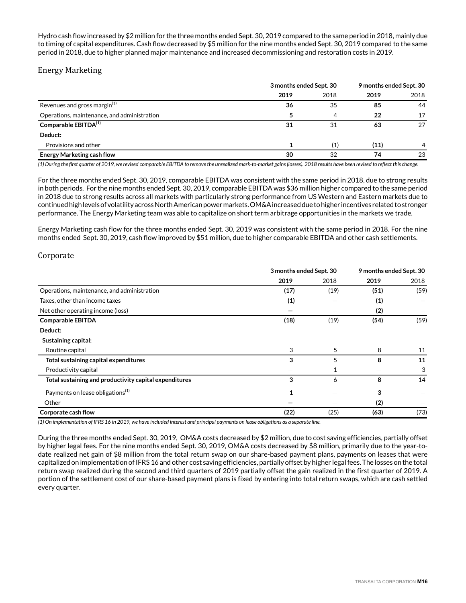Hydro cash flow increased by \$2 million for the three months ended Sept. 30, 2019 compared to the same period in 2018, mainly due to timing of capital expenditures. Cash flow decreased by \$5 million for the nine months ended Sept. 30, 2019 compared to the same period in 2018, due to higher planned major maintenance and increased decommissioning and restoration costs in 2019.

## Energy Marketing

|                                             | 3 months ended Sept. 30 |      | 9 months ended Sept. 30 |      |
|---------------------------------------------|-------------------------|------|-------------------------|------|
|                                             | 2019                    | 2018 | 2019                    | 2018 |
| Revenues and gross margin <sup>(1)</sup>    | 36                      | 35   | 85                      | 44   |
| Operations, maintenance, and administration |                         | 4    | 22                      | 17   |
| Comparable EBITDA <sup>(1)</sup>            | 31                      | 31   | 63                      | 27   |
| Deduct:                                     |                         |      |                         |      |
| Provisions and other                        |                         | (1)  | (11)                    | 4    |
| <b>Energy Marketing cash flow</b>           | 30                      | 32   | 74                      | 23   |

*(1) During the first quarter of 2019, we revised comparable EBITDA to remove the unrealized mark-to-market gains (losses). 2018 results have been revised to reflect this change.*

For the three months ended Sept. 30, 2019, comparable EBITDA was consistent with the same period in 2018, due to strong results in both periods. For the nine months ended Sept. 30, 2019, comparable EBITDA was \$36 million higher compared to the same period in 2018 due to strong results across all markets with particularly strong performance from US Western and Eastern markets due to continued high levels of volatility across North American power markets. OM&A increased due to higher incentives related to stronger performance. The Energy Marketing team was able to capitalize on short term arbitrage opportunities in the markets we trade.

Energy Marketing cash flow for the three months ended Sept. 30, 2019 was consistent with the same period in 2018. For the nine months ended Sept. 30, 2019, cash flow improved by \$51 million, due to higher comparable EBITDA and other cash settlements.

## Corporate

|                                                        |      | 3 months ended Sept. 30 |      | 9 months ended Sept. 30 |
|--------------------------------------------------------|------|-------------------------|------|-------------------------|
|                                                        | 2019 | 2018                    | 2019 | 2018                    |
| Operations, maintenance, and administration            | (17) | (19)                    | (51) | (59)                    |
| Taxes, other than income taxes                         | (1)  |                         | (1)  |                         |
| Net other operating income (loss)                      |      |                         | (2)  |                         |
| <b>Comparable EBITDA</b>                               | (18) | (19)                    | (54) | (59)                    |
| Deduct:                                                |      |                         |      |                         |
| Sustaining capital:                                    |      |                         |      |                         |
| Routine capital                                        | 3    | 5                       | 8    | 11                      |
| Total sustaining capital expenditures                  | 3    | 5                       | 8    | 11                      |
| Productivity capital                                   |      |                         |      | 3                       |
| Total sustaining and productivity capital expenditures | 3    | 6                       | 8    | 14                      |
| Payments on lease obligations <sup>(1)</sup>           | 1    |                         | 3    |                         |
| Other                                                  |      |                         | (2)  |                         |
| Corporate cash flow                                    | (22) | (25)                    | (63) | (73)                    |

*(1) On implementation of IFRS 16 in 2019, we have included interest and principal payments on lease obligations as a separate line.* 

During the three months ended Sept. 30, 2019, OM&A costs decreased by \$2 million, due to cost saving efficiencies, partially offset by higher legal fees. For the nine months ended Sept. 30, 2019, OM&A costs decreased by \$8 million, primarily due to the year-todate realized net gain of \$8 million from the total return swap on our share-based payment plans, payments on leases that were capitalized on implementation of IFRS 16 and other cost saving efficiencies, partially offset by higher legal fees. The losses on the total return swap realized during the second and third quarters of 2019 partially offset the gain realized in the first quarter of 2019. A portion of the settlement cost of our share-based payment plans is fixed by entering into total return swaps, which are cash settled every quarter.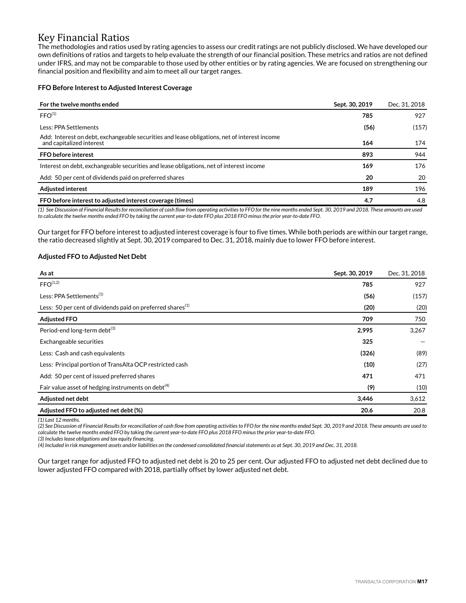## Key Financial Ratios

The methodologies and ratios used by rating agencies to assess our credit ratings are not publicly disclosed. We have developed our own definitions of ratios and targets to help evaluate the strength of our financial position. These metrics and ratios are not defined under IFRS, and may not be comparable to those used by other entities or by rating agencies. We are focused on strengthening our financial position and flexibility and aim to meet all our target ranges.

#### **FFO Before Interest to Adjusted Interest Coverage**

| For the twelve months ended                                                                                              | Sept. 30, 2019 | Dec. 31, 2018 |
|--------------------------------------------------------------------------------------------------------------------------|----------------|---------------|
| FFO <sup>(1)</sup>                                                                                                       | 785            | 927           |
| Less: PPA Settlements                                                                                                    | (56)           | (157)         |
| Add: Interest on debt, exchangeable securities and lease obligations, net of interest income<br>and capitalized interest | 164            | 174           |
| <b>FFO</b> before interest                                                                                               | 893            | 944           |
| Interest on debt, exchangeable securities and lease obligations, net of interest income                                  | 169            | 176           |
| Add: 50 per cent of dividends paid on preferred shares                                                                   | 20             | 20            |
| <b>Adjusted interest</b>                                                                                                 | 189            | 196           |
| FFO before interest to adjusted interest coverage (times)                                                                | 4.7            | 4.8           |

*(1) See Discussion of Financial Results for reconciliation of cash flow from operating activities to FFO for the nine months ended Sept. 30, 2019 and 2018. These amounts are used to calculate the twelve months ended FFO by taking the current year-to-date FFO plus 2018 FFO minus the prior year-to-date FFO.*

Our target for FFO before interest to adjusted interest coverage is four to five times. While both periods are within our target range, the ratio decreased slightly at Sept. 30, 2019 compared to Dec. 31, 2018, mainly due to lower FFO before interest.

#### **Adjusted FFO to Adjusted Net Debt**

| As at                                                         | Sept. 30, 2019 | Dec. 31, 2018 |
|---------------------------------------------------------------|----------------|---------------|
| FFO <sup>(1,2)</sup>                                          | 785            | 927           |
| Less: PPA Settlements <sup>(1)</sup>                          | (56)           | (157)         |
| Less: 50 per cent of dividends paid on preferred shares $(1)$ | (20)           | (20)          |
| <b>Adjusted FFO</b>                                           | 709            | 750           |
| Period-end long-term debt <sup>(3)</sup>                      | 2,995          | 3,267         |
| Exchangeable securities                                       | 325            |               |
| Less: Cash and cash equivalents                               | (326)          | (89)          |
| Less: Principal portion of TransAlta OCP restricted cash      | (10)           | (27)          |
| Add: 50 per cent of issued preferred shares                   | 471            | 471           |
| Fair value asset of hedging instruments on debt $(4)$         | (9)            | (10)          |
| Adjusted net debt                                             | 3,446          | 3,612         |
| Adjusted FFO to adjusted net debt (%)                         | 20.6           | 20.8          |

*(1) Last 12 months.*

*(2) See Discussion of Financial Results for reconciliation of cash flow from operating activities to FFO for the nine months ended Sept. 30, 2019 and 2018. These amounts are used to calculate the twelve months ended FFO by taking the current year-to-date FFO plus 2018 FFO minus the prior year-to-date FFO.*

*(3) Includes lease obligations and tax equity financing.*

*(4) Included in risk management assets and/or liabilities on the condensed consolidated financial statements as at Sept. 30, 2019 and Dec. 31, 2018.* 

Our target range for adjusted FFO to adjusted net debt is 20 to 25 per cent. Our adjusted FFO to adjusted net debt declined due to lower adjusted FFO compared with 2018, partially offset by lower adjusted net debt.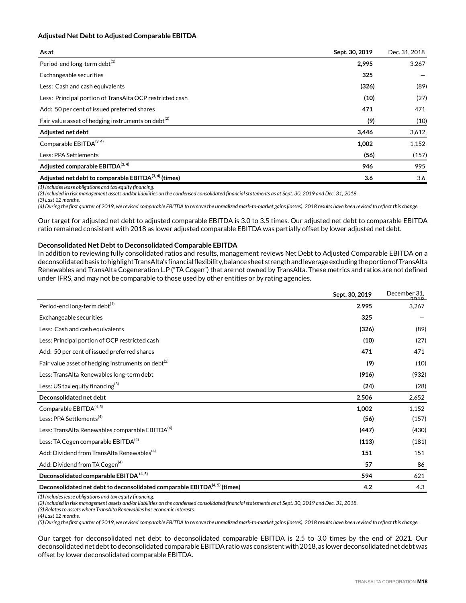#### **Adjusted Net Debt to Adjusted Comparable EBITDA**

| As at                                                          | Sept. 30, 2019 | Dec. 31, 2018 |
|----------------------------------------------------------------|----------------|---------------|
| Period-end long-term debt <sup>(1)</sup>                       | 2,995          | 3,267         |
| Exchangeable securities                                        | 325            |               |
| Less: Cash and cash equivalents                                | (326)          | (89)          |
| Less: Principal portion of TransAlta OCP restricted cash       | (10)           | (27)          |
| Add: 50 per cent of issued preferred shares                    | 471            | 471           |
| Fair value asset of hedging instruments on debt <sup>(2)</sup> | (9)            | (10)          |
| Adjusted net debt                                              | 3,446          | 3,612         |
| Comparable EBITDA(3, 4)                                        | 1,002          | 1,152         |
| Less: PPA Settlements                                          | (56)           | (157)         |
| Adjusted comparable EBITDA <sup>(3, 4)</sup>                   | 946            | 995           |
| Adjusted net debt to comparable $EBITDA^{(3,4)}$ (times)       | 3.6            | 3.6           |

*(1) Includes lease obligations and tax equity financing.*

*(2) Included in risk management assets and/or liabilities on the condensed consolidated financial statements as at Sept. 30, 2019 and Dec. 31, 2018.* 

*(3) Last 12 months.* 

*(4) During the first quarter of 2019, we revised comparable EBITDA to remove the unrealized mark-to-market gains (losses). 2018 results have been revised to reflect this change.*

Our target for adjusted net debt to adjusted comparable EBITDA is 3.0 to 3.5 times. Our adjusted net debt to comparable EBITDA ratio remained consistent with 2018 as lower adjusted comparable EBITDA was partially offset by lower adjusted net debt.

#### **Deconsolidated Net Debt to Deconsolidated Comparable EBITDA**

In addition to reviewing fully consolidated ratios and results, management reviews Net Debt to Adjusted Comparable EBITDA on a deconsolidated basis to highlight TransAlta's financial flexibility, balance sheet strength and leverage excluding the portion of TransAlta Renewables and TransAlta Cogeneration L.P ("TA Cogen") that are not owned by TransAlta. These metrics and ratios are not defined under IFRS, and may not be comparable to those used by other entities or by rating agencies.

|                                                                             | Sept. 30, 2019 | December 31,<br>2010 |
|-----------------------------------------------------------------------------|----------------|----------------------|
| Period-end long-term debt <sup>(1)</sup>                                    | 2,995          | 3,267                |
| Exchangeable securities                                                     | 325            |                      |
| Less: Cash and cash equivalents                                             | (326)          | (89)                 |
| Less: Principal portion of OCP restricted cash                              | (10)           | (27)                 |
| Add: 50 per cent of issued preferred shares                                 | 471            | 471                  |
| Fair value asset of hedging instruments on debt $^{(2)}$                    | (9)            | (10)                 |
| Less: TransAlta Renewables long-term debt                                   | (916)          | (932)                |
| Less: US tax equity financing $^{(3)}$                                      | (24)           | (28)                 |
| Deconsolidated net debt                                                     | 2,506          | 2,652                |
| Comparable EBITDA <sup>(4, 5)</sup>                                         | 1,002          | 1,152                |
| Less: PPA Settlements <sup>(4)</sup>                                        | (56)           | (157)                |
| Less: TransAlta Renewables comparable EBITDA <sup>(4)</sup>                 | (447)          | (430)                |
| Less: TA Cogen comparable EBITDA <sup>(4)</sup>                             | (113)          | (181)                |
| Add: Dividend from TransAlta Renewables <sup>(4)</sup>                      | 151            | 151                  |
| Add: Dividend from TA Cogen <sup>(4)</sup>                                  | 57             | 86                   |
| Deconsolidated comparable EBITDA <sup>(4, 5)</sup>                          | 594            | 621                  |
| Deconsolidated net debt to deconsolidated comparable EBITDA $(4,5)$ (times) | 4.2            | 4.3                  |

*(1) Includes lease obligations and tax equity financing.*

*(2) Included in risk management assets and/or liabilities on the condensed consolidated financial statements as at Sept. 30, 2019 and Dec. 31, 2018.* 

*(3) Relates to assets where TransAlta Renewables has economic interests.*

*(4) Last 12 months.* 

*(5) During the first quarter of 2019, we revised comparable EBITDA to remove the unrealized mark-to-market gains (losses). 2018 results have been revised to reflect this change.*

Our target for deconsolidated net debt to deconsolidated comparable EBITDA is 2.5 to 3.0 times by the end of 2021. Our deconsolidated net debt to deconsolidated comparable EBITDA ratio was consistent with 2018, as lower deconsolidated net debt was offset by lower deconsolidated comparable EBITDA.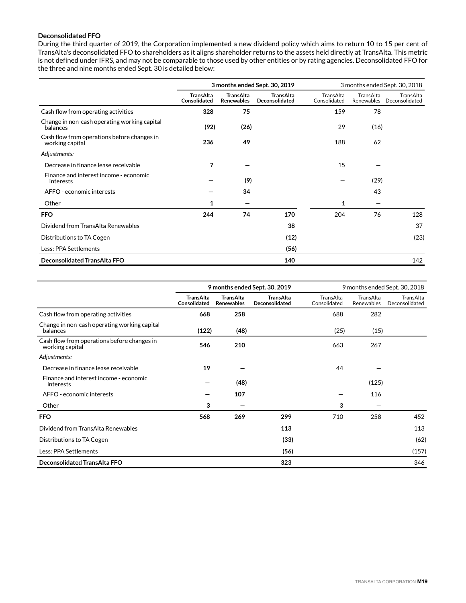#### **Deconsolidated FFO**

During the third quarter of 2019, the Corporation implemented a new dividend policy which aims to return 10 to 15 per cent of TransAlta's deconsolidated FFO to shareholders as it aligns shareholder returns to the assets held directly at TransAlta. This metric is not defined under IFRS, and may not be comparable to those used by other entities or by rating agencies. Deconsolidated FFO for the three and nine months ended Sept. 30 is detailed below:

|                                                                | 3 months ended Sept. 30, 2019    |                                       |                                    | 3 months ended Sept. 30, 2018 |                         |                             |
|----------------------------------------------------------------|----------------------------------|---------------------------------------|------------------------------------|-------------------------------|-------------------------|-----------------------------|
|                                                                | <b>TransAlta</b><br>Consolidated | <b>TransAlta</b><br><b>Renewables</b> | <b>TransAlta</b><br>Deconsolidated | TransAlta<br>Consolidated     | TransAlta<br>Renewables | TransAlta<br>Deconsolidated |
| Cash flow from operating activities                            | 328                              | 75                                    |                                    | 159                           | 78                      |                             |
| Change in non-cash operating working capital<br>balances       | (92)                             | (26)                                  |                                    | 29                            | (16)                    |                             |
| Cash flow from operations before changes in<br>working capital | 236                              | 49                                    |                                    | 188                           | 62                      |                             |
| Adjustments:                                                   |                                  |                                       |                                    |                               |                         |                             |
| Decrease in finance lease receivable                           | 7                                |                                       |                                    | 15                            |                         |                             |
| Finance and interest income - economic<br>interests            |                                  | (9)                                   |                                    |                               | (29)                    |                             |
| AFFO - economic interests                                      |                                  | 34                                    |                                    |                               | 43                      |                             |
| Other                                                          | 1                                |                                       |                                    |                               |                         |                             |
| <b>FFO</b>                                                     | 244                              | 74                                    | 170                                | 204                           | 76                      | 128                         |
| Dividend from TransAlta Renewables                             |                                  |                                       | 38                                 |                               |                         | 37                          |
| Distributions to TA Cogen                                      |                                  |                                       | (12)                               |                               |                         | (23)                        |
| Less: PPA Settlements                                          |                                  |                                       | (56)                               |                               |                         |                             |
| Deconsolidated TransAlta FFO                                   |                                  |                                       | 140                                |                               |                         | 142                         |

|                                                                | 9 months ended Sept. 30, 2019    |                                       |                                    |                           | 9 months ended Sept. 30, 2018 |                             |
|----------------------------------------------------------------|----------------------------------|---------------------------------------|------------------------------------|---------------------------|-------------------------------|-----------------------------|
|                                                                | <b>TransAlta</b><br>Consolidated | <b>TransAlta</b><br><b>Renewables</b> | <b>TransAlta</b><br>Deconsolidated | TransAlta<br>Consolidated | TransAlta<br>Renewables       | TransAlta<br>Deconsolidated |
| Cash flow from operating activities                            | 668                              | 258                                   |                                    | 688                       | 282                           |                             |
| Change in non-cash operating working capital<br>balances       | (122)                            | (48)                                  |                                    | (25)                      | (15)                          |                             |
| Cash flow from operations before changes in<br>working capital | 546                              | 210                                   |                                    | 663                       | 267                           |                             |
| Adjustments:                                                   |                                  |                                       |                                    |                           |                               |                             |
| Decrease in finance lease receivable                           | 19                               |                                       |                                    | 44                        |                               |                             |
| Finance and interest income - economic<br>interests            |                                  | (48)                                  |                                    |                           | (125)                         |                             |
| AFFO - economic interests                                      |                                  | 107                                   |                                    |                           | 116                           |                             |
| Other                                                          | 3                                |                                       |                                    | 3                         | -                             |                             |
| <b>FFO</b>                                                     | 568                              | 269                                   | 299                                | 710                       | 258                           | 452                         |
| Dividend from TransAlta Renewables                             |                                  |                                       | 113                                |                           |                               | 113                         |
| Distributions to TA Cogen                                      |                                  |                                       | (33)                               |                           |                               | (62)                        |
| Less: PPA Settlements                                          |                                  |                                       | (56)                               |                           |                               | (157)                       |
| <b>Deconsolidated TransAlta FFO</b>                            |                                  |                                       | 323                                |                           |                               | 346                         |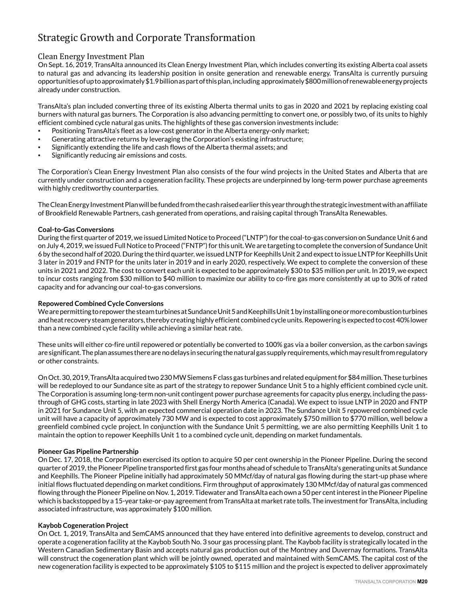# Strategic Growth and Corporate Transformation

## Clean Energy Investment Plan

On Sept. 16, 2019, TransAlta announced its Clean Energy Investment Plan, which includes converting its existing Alberta coal assets to natural gas and advancing its leadership position in onsite generation and renewable energy. TransAlta is currently pursuing opportunities of up to approximately \$1.9 billion as part of this plan, including approximately \$800 million of renewable energy projects already under construction.

TransAlta's plan included converting three of its existing Alberta thermal units to gas in 2020 and 2021 by replacing existing coal burners with natural gas burners. The Corporation is also advancing permitting to convert one, or possibly two, of its units to highly efficient combined cycle natural gas units. The highlights of these gas conversion investments include:

- Positioning TransAlta's fleet as a low-cost generator in the Alberta energy-only market;
- Generating attractive returns by leveraging the Corporation's existing infrastructure;
- Significantly extending the life and cash flows of the Alberta thermal assets; and
- Significantly reducing air emissions and costs.

The Corporation's Clean Energy Investment Plan also consists of the four wind projects in the United States and Alberta that are currently under construction and a cogeneration facility. These projects are underpinned by long-term power purchase agreements with highly creditworthy counterparties.

The Clean Energy Investment Plan will be funded from the cash raised earlier this year through the strategic investment with an affiliate of Brookfield Renewable Partners, cash generated from operations, and raising capital through TransAlta Renewables.

#### **Coal-to-Gas Conversions**

During the first quarter of 2019, we issued Limited Notice to Proceed ("LNTP") for the coal-to-gas conversion on Sundance Unit 6 and on July 4, 2019, we issued Full Notice to Proceed ("FNTP") for this unit. We are targeting to complete the conversion of Sundance Unit 6 by the second half of 2020. During the third quarter, we issued LNTP for Keephills Unit 2 and expect to issue LNTP for Keephills Unit 3 later in 2019 and FNTP for the units later in 2019 and in early 2020, respectively. We expect to complete the conversion of these units in 2021 and 2022. The cost to convert each unit is expected to be approximately \$30 to \$35 million per unit. In 2019, we expect to incur costs ranging from \$30 million to \$40 million to maximize our ability to co-fire gas more consistently at up to 30% of rated capacity and for advancing our coal-to-gas conversions.

#### **Repowered Combined Cycle Conversions**

We are permitting to repower the steam turbines at Sundance Unit 5 and Keephills Unit 1 by installing one or more combustion turbines and heat recovery steam generators, thereby creating highly efficient combined cycle units. Repowering is expected to cost 40% lower than a new combined cycle facility while achieving a similar heat rate.

These units will either co-fire until repowered or potentially be converted to 100% gas via a boiler conversion, as the carbon savings are significant. The plan assumes there are no delays in securing the natural gas supply requirements, which may result from regulatory or other constraints.

On Oct. 30, 2019, TransAlta acquired two 230 MW Siemens F class gas turbines and related equipment for \$84 million. These turbines will be redeployed to our Sundance site as part of the strategy to repower Sundance Unit 5 to a highly efficient combined cycle unit. The Corporation is assuming long-term non-unit contingent power purchase agreements for capacity plus energy, including the passthrough of GHG costs, starting in late 2023 with Shell Energy North America (Canada). We expect to issue LNTP in 2020 and FNTP in 2021 for Sundance Unit 5, with an expected commercial operation date in 2023. The Sundance Unit 5 repowered combined cycle unit will have a capacity of approximately 730 MW and is expected to cost approximately \$750 million to \$770 million, well below a greenfield combined cycle project. In conjunction with the Sundance Unit 5 permitting, we are also permitting Keephills Unit 1 to maintain the option to repower Keephills Unit 1 to a combined cycle unit, depending on market fundamentals.

#### **Pioneer Gas Pipeline Partnership**

On Dec. 17, 2018, the Corporation exercised its option to acquire 50 per cent ownership in the Pioneer Pipeline. During the second quarter of 2019, the Pioneer Pipeline transported first gas four months ahead of schedule to TransAlta's generating units at Sundance and Keephills. The Pioneer Pipeline initially had approximately 50 MMcf/day of natural gas flowing during the start-up phase where initial flows fluctuated depending on market conditions. Firm throughput of approximately 130 MMcf/day of natural gas commenced flowing through the Pioneer Pipeline on Nov. 1, 2019. Tidewater and TransAlta each own a 50 per cent interest in the Pioneer Pipeline which is backstopped by a 15-year take-or-pay agreement from TransAlta at market rate tolls. The investment for TransAlta, including associated infrastructure, was approximately \$100 million.

#### **Kaybob Cogeneration Project**

On Oct. 1, 2019, TransAlta and SemCAMS announced that they have entered into definitive agreements to develop, construct and operate a cogeneration facility at the Kaybob South No. 3 sour gas processing plant. The Kaybob facility is strategically located in the Western Canadian Sedimentary Basin and accepts natural gas production out of the Montney and Duvernay formations. TransAlta will construct the cogeneration plant which will be jointly owned, operated and maintained with SemCAMS. The capital cost of the new cogeneration facility is expected to be approximately \$105 to \$115 million and the project is expected to deliver approximately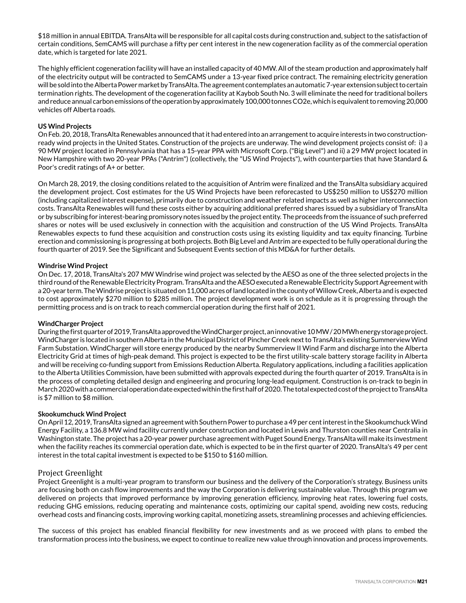\$18 million in annual EBITDA. TransAlta will be responsible for all capital costs during construction and, subject to the satisfaction of certain conditions, SemCAMS will purchase a fifty per cent interest in the new cogeneration facility as of the commercial operation date, which is targeted for late 2021.

The highly efficient cogeneration facility will have an installed capacity of 40 MW. All of the steam production and approximately half of the electricity output will be contracted to SemCAMS under a 13-year fixed price contract. The remaining electricity generation will be sold into the Alberta Power market by TransAlta. The agreement contemplates an automatic 7-year extension subject to certain termination rights. The development of the cogeneration facility at Kaybob South No. 3 will eliminate the need for traditional boilers and reduce annual carbon emissions of the operation by approximately 100,000 tonnes CO2e, which is equivalent to removing 20,000 vehicles off Alberta roads.

#### **US Wind Projects**

On Feb. 20, 2018, TransAlta Renewables announced that it had entered into an arrangement to acquire interests in two constructionready wind projects in the United States. Construction of the projects are underway. The wind development projects consist of: i) a 90 MW project located in Pennsylvania that has a 15-year PPA with Microsoft Corp. ("Big Level") and ii) a 29 MW project located in New Hampshire with two 20-year PPAs ("Antrim") (collectively, the "US Wind Projects"), with counterparties that have Standard & Poor's credit ratings of A+ or better.

On March 28, 2019, the closing conditions related to the acquisition of Antrim were finalized and the TransAlta subsidiary acquired the development project. Cost estimates for the US Wind Projects have been reforecasted to US\$250 million to US\$270 million (including capitalized interest expense), primarily due to construction and weather related impacts as well as higher interconnection costs. TransAlta Renewables will fund these costs either by acquiring additional preferred shares issued by a subsidiary of TransAlta or by subscribing for interest-bearing promissory notes issued by the project entity. The proceeds from the issuance of such preferred shares or notes will be used exclusively in connection with the acquisition and construction of the US Wind Projects. TransAlta Renewables expects to fund these acquisition and construction costs using its existing liquidity and tax equity financing. Turbine erection and commissioning is progressing at both projects. Both Big Level and Antrim are expected to be fully operational during the fourth quarter of 2019. See the Significant and Subsequent Events section of this MD&A for further details.

#### **Windrise Wind Project**

On Dec. 17, 2018, TransAlta's 207 MW Windrise wind project was selected by the AESO as one of the three selected projects in the third round of the Renewable Electricity Program. TransAlta and the AESO executed a Renewable Electricity Support Agreement with a 20-year term. The Windrise project is situated on 11,000 acres of land located in the county of Willow Creek, Alberta and is expected to cost approximately \$270 million to \$285 million. The project development work is on schedule as it is progressing through the permitting process and is on track to reach commercial operation during the first half of 2021.

#### **WindCharger Project**

During the first quarter of 2019, TransAlta approved the WindCharger project, an innovative 10 MW / 20 MWh energy storage project. WindCharger is located in southern Alberta in the Municipal District of Pincher Creek next to TransAlta's existing Summerview Wind Farm Substation. WindCharger will store energy produced by the nearby Summerview II Wind Farm and discharge into the Alberta Electricity Grid at times of high-peak demand. This project is expected to be the first utility-scale battery storage facility in Alberta and will be receiving co-funding support from Emissions Reduction Alberta. Regulatory applications, including a facilities application to the Alberta Utilities Commission, have been submitted with approvals expected during the fourth quarter of 2019. TransAlta is in the process of completing detailed design and engineering and procuring long-lead equipment. Construction is on-track to begin in March 2020 with a commercial operation date expected within the first half of 2020. The total expected cost of the project to TransAlta is \$7 million to \$8 million.

#### **Skookumchuck Wind Project**

On April 12, 2019, TransAlta signed an agreement with Southern Power to purchase a 49 per cent interest in the Skookumchuck Wind Energy Facility, a 136.8 MW wind facility currently under construction and located in Lewis and Thurston counties near Centralia in Washington state. The project has a 20-year power purchase agreement with Puget Sound Energy. TransAlta will make its investment when the facility reaches its commercial operation date, which is expected to be in the first quarter of 2020. TransAlta's 49 per cent interest in the total capital investment is expected to be \$150 to \$160 million.

#### Project Greenlight

Project Greenlight is a multi-year program to transform our business and the delivery of the Corporation's strategy. Business units are focusing both on cash flow improvements and the way the Corporation is delivering sustainable value. Through this program we delivered on projects that improved performance by improving generation efficiency, improving heat rates, lowering fuel costs, reducing GHG emissions, reducing operating and maintenance costs, optimizing our capital spend, avoiding new costs, reducing overhead costs and financing costs, improving working capital, monetizing assets, streamlining processes and achieving efficiencies.

The success of this project has enabled financial flexibility for new investments and as we proceed with plans to embed the transformation process into the business, we expect to continue to realize new value through innovation and process improvements.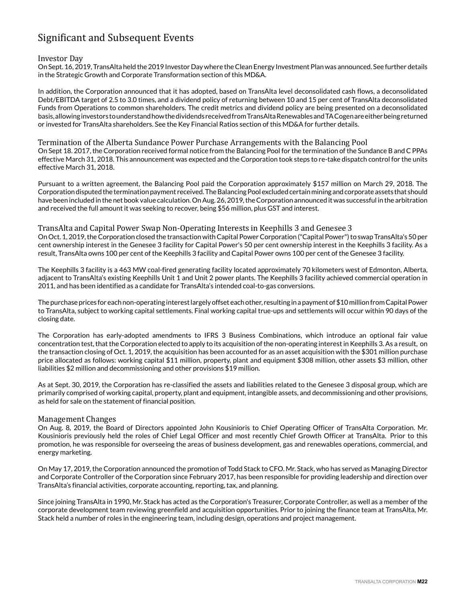# Significant and Subsequent Events

#### Investor Day

On Sept. 16, 2019, TransAlta held the 2019 Investor Day where the Clean Energy Investment Plan was announced. See further details in the Strategic Growth and Corporate Transformation section of this MD&A.

In addition, the Corporation announced that it has adopted, based on TransAlta level deconsolidated cash flows, a deconsolidated Debt/EBITDA target of 2.5 to 3.0 times, and a dividend policy of returning between 10 and 15 per cent of TransAlta deconsolidated Funds from Operations to common shareholders. The credit metrics and dividend policy are being presented on a deconsolidated basis, allowing investors to understand how the dividends received from TransAlta Renewables and TA Cogen are either being returned or invested for TransAlta shareholders. See the Key Financial Ratios section of this MD&A for further details.

#### Termination of the Alberta Sundance Power Purchase Arrangements with the Balancing Pool

On Sept 18. 2017, the Corporation received formal notice from the Balancing Pool for the termination of the Sundance B and C PPAs effective March 31, 2018. This announcement was expected and the Corporation took steps to re-take dispatch control for the units effective March 31, 2018.

Pursuant to a written agreement, the Balancing Pool paid the Corporation approximately \$157 million on March 29, 2018. The Corporation disputed the termination payment received. The Balancing Pool excluded certain mining and corporate assets that should have been included in the net book value calculation. On Aug. 26, 2019, the Corporation announced it was successful in the arbitration and received the full amount it was seeking to recover, being \$56 million, plus GST and interest.

#### TransAlta and Capital Power Swap Non-Operating Interests in Keephills 3 and Genesee 3

On Oct. 1, 2019, the Corporation closed the transaction with Capital Power Corporation ("Capital Power") to swap TransAlta's 50 per cent ownership interest in the Genesee 3 facility for Capital Power's 50 per cent ownership interest in the Keephills 3 facility. As a result, TransAlta owns 100 per cent of the Keephills 3 facility and Capital Power owns 100 per cent of the Genesee 3 facility.

The Keephills 3 facility is a 463 MW coal-fired generating facility located approximately 70 kilometers west of Edmonton, Alberta, adjacent to TransAlta's existing Keephills Unit 1 and Unit 2 power plants. The Keephills 3 facility achieved commercial operation in 2011, and has been identified as a candidate for TransAlta's intended coal-to-gas conversions.

The purchase prices for each non-operating interest largely offset each other, resulting in a payment of \$10 million from Capital Power to TransAlta, subject to working capital settlements. Final working capital true-ups and settlements will occur within 90 days of the closing date.

The Corporation has early-adopted amendments to IFRS 3 Business Combinations, which introduce an optional fair value concentration test, that the Corporation elected to apply to its acquisition of the non-operating interest in Keephills 3. As a result, on the transaction closing of Oct. 1, 2019, the acquisition has been accounted for as an asset acquisition with the \$301 million purchase price allocated as follows: working capital \$11 million, property, plant and equipment \$308 million, other assets \$3 million, other liabilities \$2 million and decommissioning and other provisions \$19 million.

As at Sept. 30, 2019, the Corporation has re-classified the assets and liabilities related to the Genesee 3 disposal group, which are primarily comprised of working capital, property, plant and equipment, intangible assets, and decommissioning and other provisions, as held for sale on the statement of financial position.

#### Management Changes

On Aug. 8, 2019, the Board of Directors appointed John Kousinioris to Chief Operating Officer of TransAlta Corporation. Mr. Kousinioris previously held the roles of Chief Legal Officer and most recently Chief Growth Officer at TransAlta. Prior to this promotion, he was responsible for overseeing the areas of business development, gas and renewables operations, commercial, and energy marketing.

On May 17, 2019, the Corporation announced the promotion of Todd Stack to CFO. Mr. Stack, who has served as Managing Director and Corporate Controller of the Corporation since February 2017, has been responsible for providing leadership and direction over TransAlta's financial activities, corporate accounting, reporting, tax, and planning.

Since joining TransAlta in 1990, Mr. Stack has acted as the Corporation's Treasurer, Corporate Controller, as well as a member of the corporate development team reviewing greenfield and acquisition opportunities. Prior to joining the finance team at TransAlta, Mr. Stack held a number of roles in the engineering team, including design, operations and project management.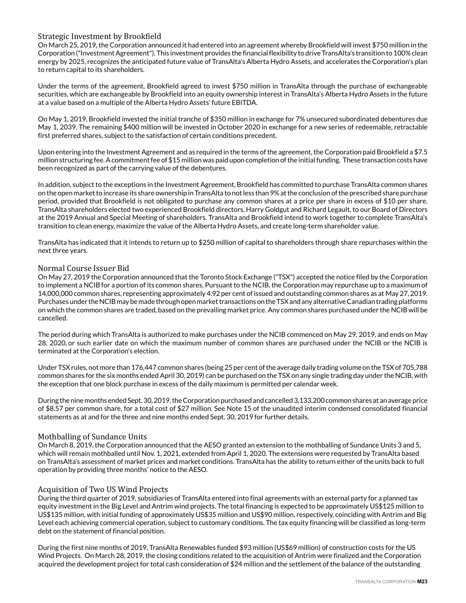## Strategic Investment by Brookfield

On March 25, 2019, the Corporation announced it had entered into an agreement whereby Brookfield will invest \$750 million in the Corporation ("Investment Agreement"). This investment provides the financial flexibility to drive TransAlta's transition to 100% clean energy by 2025, recognizes the anticipated future value of TransAlta's Alberta Hydro Assets, and accelerates the Corporation's plan to return capital to its shareholders.

Under the terms of the agreement, Brookfield agreed to invest \$750 million in TransAlta through the purchase of exchangeable securities, which are exchangeable by Brookfield into an equity ownership interest in TransAlta's Alberta Hydro Assets in the future at a value based on a multiple of the Alberta Hydro Assets' future EBITDA.

On May 1, 2019, Brookfield invested the initial tranche of \$350 million in exchange for 7% unsecured subordinated debentures due May 1, 2039. The remaining \$400 million will be invested in October 2020 in exchange for a new series of redeemable, retractable first preferred shares, subject to the satisfaction of certain conditions precedent.

Upon entering into the Investment Agreement and as required in the terms of the agreement, the Corporation paid Brookfield a \$7.5 million structuring fee. A commitment fee of \$15 million was paid upon completion of the initial funding. These transaction costs have been recognized as part of the carrying value of the debentures.

In addition, subject to the exceptions in the Investment Agreement, Brookfield has committed to purchase TransAlta common shares on the open market to increase its share ownership in TransAlta to not less than 9% at the conclusion of the prescribed share purchase period, provided that Brookfield is not obligated to purchase any common shares at a price per share in excess of \$10 per share. TransAlta shareholders elected two experienced Brookfield directors, Harry Goldgut and Richard Legault, to our Board of Directors at the 2019 Annual and Special Meeting of shareholders. TransAlta and Brookfield intend to work together to complete TransAlta's transition to clean energy, maximize the value of the Alberta Hydro Assets, and create long-term shareholder value.

TransAlta has indicated that it intends to return up to \$250 million of capital to shareholders through share repurchases within the next three years.

## Normal Course Issuer Bid

On May 27, 2019 the Corporation announced that the Toronto Stock Exchange ("TSX") accepted the notice filed by the Corporation to implement a NCIB for a portion of its common shares. Pursuant to the NCIB, the Corporation may repurchase up to a maximum of 14,000,000 common shares, representing approximately 4.92 per cent of issued and outstanding common shares as at May 27, 2019. Purchases under the NCIB may be made through open market transactions on the TSX and any alternative Canadian trading platforms on which the common shares are traded, based on the prevailing market price. Any common shares purchased under the NCIB will be cancelled.

The period during which TransAlta is authorized to make purchases under the NCIB commenced on May 29, 2019, and ends on May 28, 2020, or such earlier date on which the maximum number of common shares are purchased under the NCIB or the NCIB is terminated at the Corporation's election.

Under TSX rules, not more than 176,447 common shares (being 25 per cent of the average daily trading volume on the TSX of 705,788 common shares for the six months ended April 30, 2019) can be purchased on the TSX on any single trading day under the NCIB, with the exception that one block purchase in excess of the daily maximum is permitted per calendar week.

During the nine months ended Sept. 30, 2019, the Corporation purchased and cancelled 3,133,200 common shares at an average price of \$8.57 per common share, for a total cost of \$27 million. See Note 15 of the unaudited interim condensed consolidated financial statements as at and for the three and nine months ended Sept. 30, 2019 for further details.

## Mothballing of Sundance Units

On March 8, 2019, the Corporation announced that the AESO granted an extension to the mothballing of Sundance Units 3 and 5, which will remain mothballed until Nov. 1, 2021, extended from April 1, 2020. The extensions were requested by TransAlta based on TransAlta's assessment of market prices and market conditions. TransAlta has the ability to return either of the units back to full operation by providing three months' notice to the AESO.

## Acquisition of Two US Wind Projects

During the third quarter of 2019, subsidiaries of TransAlta entered into final agreements with an external party for a planned tax equity investment in the Big Level and Antrim wind projects. The total financing is expected to be approximately US\$125 million to US\$135 million, with initial funding of approximately US\$35 million and US\$90 million, respectively, coinciding with Antrim and Big Level each achieving commercial operation, subject to customary conditions. The tax equity financing will be classified as long-term debt on the statement of financial position.

During the first nine months of 2019, TransAlta Renewables funded \$93 million (US\$69 million) of construction costs for the US Wind Projects. On March 28, 2019, the closing conditions related to the acquisition of Antrim were finalized and the Corporation acquired the development project for total cash consideration of \$24 million and the settlement of the balance of the outstanding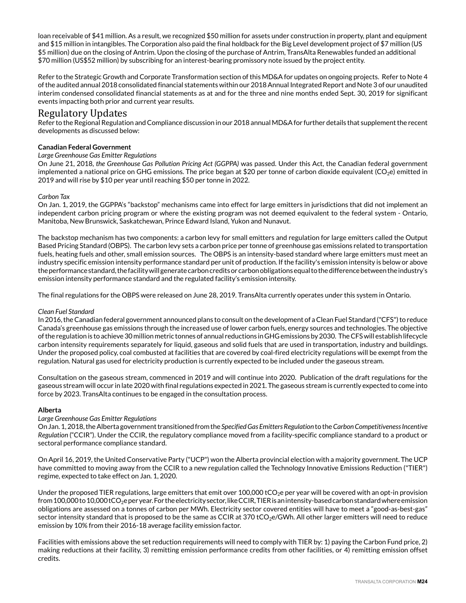loan receivable of \$41 million. As a result, we recognized \$50 million for assets under construction in property, plant and equipment and \$15 million in intangibles. The Corporation also paid the final holdback for the Big Level development project of \$7 million (US \$5 million) due on the closing of Antrim. Upon the closing of the purchase of Antrim, TransAlta Renewables funded an additional \$70 million (US\$52 million) by subscribing for an interest-bearing promissory note issued by the project entity.

Refer to the Strategic Growth and Corporate Transformation section of this MD&A for updates on ongoing projects. Refer to Note 4 of the audited annual 2018 consolidated financial statements within our 2018 Annual Integrated Report and Note 3 of our unaudited interim condensed consolidated financial statements as at and for the three and nine months ended Sept. 30, 2019 for significant events impacting both prior and current year results.

## Regulatory Updates

Refer to the Regional Regulation and Compliance discussion in our 2018 annual MD&A for further details that supplement the recent developments as discussed below:

### **Canadian Federal Government**

#### *Large Greenhouse Gas Emitter Regulations*

On June 21, 2018, *the Greenhouse Gas Pollution Pricing Act (GGPPA)* was passed. Under this Act, the Canadian federal government implemented a national price on GHG emissions. The price began at \$20 per tonne of carbon dioxide equivalent (CO<sub>2</sub>e) emitted in 2019 and will rise by \$10 per year until reaching \$50 per tonne in 2022.

#### *Carbon Tax*

On Jan. 1, 2019, the GGPPA's "backstop" mechanisms came into effect for large emitters in jurisdictions that did not implement an independent carbon pricing program or where the existing program was not deemed equivalent to the federal system - Ontario, Manitoba, New Brunswick, Saskatchewan, Prince Edward Island, Yukon and Nunavut.

The backstop mechanism has two components: a carbon levy for small emitters and regulation for large emitters called the Output Based Pricing Standard (OBPS). The carbon levy sets a carbon price per tonne of greenhouse gas emissions related to transportation fuels, heating fuels and other, small emission sources. The OBPS is an intensity-based standard where large emitters must meet an industry specific emission intensity performance standard per unit of production. If the facility's emission intensity is below or above the performance standard, the facility will generate carbon credits or carbon obligations equal to the difference between the industry's emission intensity performance standard and the regulated facility's emission intensity.

The final regulations for the OBPS were released on June 28, 2019. TransAlta currently operates under this system in Ontario.

#### *Clean Fuel Standard*

In 2016, the Canadian federal government announced plans to consult on the development of a Clean Fuel Standard ("CFS") to reduce Canada's greenhouse gas emissions through the increased use of lower carbon fuels, energy sources and technologies. The objective of the regulation is to achieve 30 million metric tonnes of annual reductions in GHG emissions by 2030. The CFS will establish lifecycle carbon intensity requirements separately for liquid, gaseous and solid fuels that are used in transportation, industry and buildings. Under the proposed policy, coal combusted at facilities that are covered by coal-fired electricity regulations will be exempt from the regulation. Natural gas used for electricity production is currently expected to be included under the gaseous stream.

Consultation on the gaseous stream, commenced in 2019 and will continue into 2020. Publication of the draft regulations for the gaseous stream will occur in late 2020 with final regulations expected in 2021. The gaseous stream is currently expected to come into force by 2023. TransAlta continues to be engaged in the consultation process.

#### **Alberta**

## *Large Greenhouse Gas Emitter Regulations*

On Jan. 1, 2018, the Alberta government transitioned from the *Specified Gas Emitters Regulation* to the *Carbon Competitiveness Incentive Regulation* ("CCIR"). Under the CCIR, the regulatory compliance moved from a facility-specific compliance standard to a product or sectoral performance compliance standard.

On April 16, 2019, the United Conservative Party ("UCP") won the Alberta provincial election with a majority government. The UCP have committed to moving away from the CCIR to a new regulation called the Technology Innovative Emissions Reduction ("TIER") regime, expected to take effect on Jan. 1, 2020.

Under the proposed TIER regulations, large emitters that emit over  $100,000$  tCO<sub>2</sub>e per year will be covered with an opt-in provision from 100,000 to 10,000 tCO<sub>2</sub>e per year. For the electricity sector, like CCIR, TIER is an intensity-based carbon standard where emission obligations are assessed on a tonnes of carbon per MWh. Electricity sector covered entities will have to meet a "good-as-best-gas" sector intensity standard that is proposed to be the same as CCIR at 370 tCO<sub>2</sub>e/GWh. All other larger emitters will need to reduce emission by 10% from their 2016-18 average facility emission factor.

Facilities with emissions above the set reduction requirements will need to comply with TIER by: 1) paying the Carbon Fund price, 2) making reductions at their facility, 3) remitting emission performance credits from other facilities, or 4) remitting emission offset credits.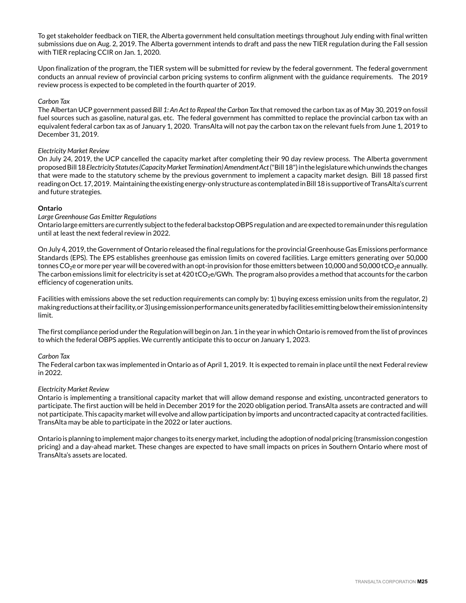To get stakeholder feedback on TIER, the Alberta government held consultation meetings throughout July ending with final written submissions due on Aug. 2, 2019. The Alberta government intends to draft and pass the new TIER regulation during the Fall session with TIER replacing CCIR on Jan. 1, 2020.

Upon finalization of the program, the TIER system will be submitted for review by the federal government. The federal government conducts an annual review of provincial carbon pricing systems to confirm alignment with the guidance requirements. The 2019 review process is expected to be completed in the fourth quarter of 2019.

#### *Carbon Tax*

The Albertan UCP government passed *Bill 1: An Act to Repeal the Carbon Tax* that removed the carbon tax as of May 30, 2019 on fossil fuel sources such as gasoline, natural gas, etc. The federal government has committed to replace the provincial carbon tax with an equivalent federal carbon tax as of January 1, 2020. TransAlta will not pay the carbon tax on the relevant fuels from June 1, 2019 to December 31, 2019.

#### *Electricity Market Review*

On July 24, 2019, the UCP cancelled the capacity market after completing their 90 day review process. The Alberta government proposed Bill 18 *Electricity Statutes (Capacity Market Termination) Amendment Act* ("Bill 18") in the legislature which unwinds the changes that were made to the statutory scheme by the previous government to implement a capacity market design. Bill 18 passed first reading on Oct. 17, 2019. Maintaining the existing energy-only structure as contemplated in Bill 18 is supportive of TransAlta's current and future strategies.

#### **Ontario**

#### *Large Greenhouse Gas Emitter Regulations*

Ontario large emitters are currently subject to the federal backstop OBPS regulation and are expected to remain under this regulation until at least the next federal review in 2022.

On July 4, 2019, the Government of Ontario released the final regulations for the provincial Greenhouse Gas Emissions performance Standards (EPS). The EPS establishes greenhouse gas emission limits on covered facilities. Large emitters generating over 50,000 tonnes CO<sub>2</sub>e or more per year will be covered with an opt-in provision for those emitters between 10,000 and 50,000 tCO<sub>2</sub>e annually. The carbon emissions limit for electricity is set at 420 tCO<sub>2</sub>e/GWh. The program also provides a method that accounts for the carbon efficiency of cogeneration units.

Facilities with emissions above the set reduction requirements can comply by: 1) buying excess emission units from the regulator, 2) making reductions at their facility, or 3) using emission performance units generated by facilities emitting below their emission intensity limit.

The first compliance period under the Regulation will begin on Jan. 1 in the year in which Ontario is removed from the list of provinces to which the federal OBPS applies. We currently anticipate this to occur on January 1, 2023.

#### *Carbon Tax*

The Federal carbon tax was implemented in Ontario as of April 1, 2019. It is expected to remain in place until the next Federal review in 2022.

#### *Electricity Market Review*

Ontario is implementing a transitional capacity market that will allow demand response and existing, uncontracted generators to participate. The first auction will be held in December 2019 for the 2020 obligation period. TransAlta assets are contracted and will not participate. This capacity market will evolve and allow participation by imports and uncontracted capacity at contracted facilities. TransAlta may be able to participate in the 2022 or later auctions.

Ontario is planning to implement major changes to its energy market, including the adoption of nodal pricing (transmission congestion pricing) and a day-ahead market. These changes are expected to have small impacts on prices in Southern Ontario where most of TransAlta's assets are located.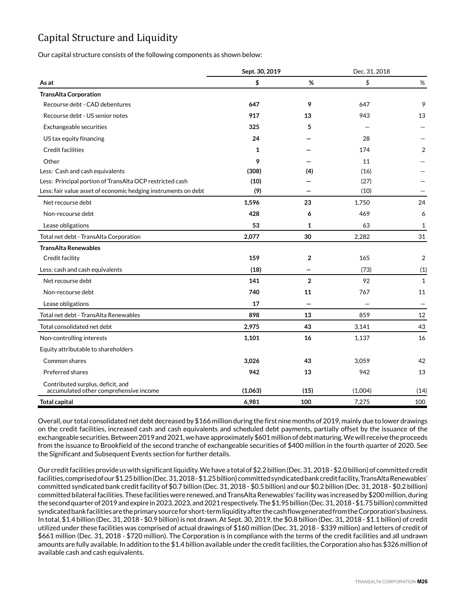# Capital Structure and Liquidity

Our capital structure consists of the following components as shown below:

|                                                                             |         | Sept. 30, 2019 |         | Dec. 31, 2018 |  |
|-----------------------------------------------------------------------------|---------|----------------|---------|---------------|--|
| As at                                                                       | \$      | %              | \$      | $\%$          |  |
| <b>TransAlta Corporation</b>                                                |         |                |         |               |  |
| Recourse debt - CAD debentures                                              | 647     | 9              | 647     | 9             |  |
| Recourse debt - US senior notes                                             | 917     | 13             | 943     | 13            |  |
| Exchangeable securities                                                     | 325     | 5              |         |               |  |
| US tax equity financing                                                     | 24      |                | 28      |               |  |
| Credit facilities                                                           | 1       |                | 174     | 2             |  |
| Other                                                                       | 9       |                | 11      |               |  |
| Less: Cash and cash equivalents                                             | (308)   | (4)            | (16)    |               |  |
| Less: Principal portion of TransAlta OCP restricted cash                    | (10)    |                | (27)    |               |  |
| Less: fair value asset of economic hedging instruments on debt              | (9)     |                | (10)    |               |  |
| Net recourse debt                                                           | 1,596   | 23             | 1,750   | 24            |  |
| Non-recourse debt                                                           | 428     | 6              | 469     | 6             |  |
| Lease obligations                                                           | 53      | $\mathbf{1}$   | 63      | 1             |  |
| Total net debt - TransAlta Corporation                                      | 2,077   | 30             | 2,282   | 31            |  |
| <b>TransAlta Renewables</b>                                                 |         |                |         |               |  |
| Credit facility                                                             | 159     | $\overline{2}$ | 165     | 2             |  |
| Less: cash and cash equivalents                                             | (18)    |                | (73)    | (1)           |  |
| Net recourse debt                                                           | 141     | $\overline{2}$ | 92      | $\mathbf{1}$  |  |
| Non-recourse debt                                                           | 740     | 11             | 767     | 11            |  |
| Lease obligations                                                           | 17      |                |         |               |  |
| Total net debt - TransAlta Renewables                                       | 898     | 13             | 859     | 12            |  |
| Total consolidated net debt                                                 | 2,975   | 43             | 3,141   | 43            |  |
| Non-controlling interests                                                   | 1,101   | 16             | 1,137   | 16            |  |
| Equity attributable to shareholders                                         |         |                |         |               |  |
| Common shares                                                               | 3,026   | 43             | 3,059   | 42            |  |
| Preferred shares                                                            | 942     | 13             | 942     | 13            |  |
| Contributed surplus, deficit, and<br>accumulated other comprehensive income | (1,063) | (15)           | (1,004) | (14)          |  |
| <b>Total capital</b>                                                        | 6,981   | 100            | 7,275   | 100           |  |

Overall, our total consolidated net debt decreased by \$166 million during the first nine months of 2019, mainly due to lower drawings on the credit facilities, increased cash and cash equivalents and scheduled debt payments, partially offset by the issuance of the exchangeable securities. Between 2019 and 2021, we have approximately \$601 million of debt maturing. We will receive the proceeds from the issuance to Brookfield of the second tranche of exchangeable securities of \$400 million in the fourth quarter of 2020. See the Significant and Subsequent Events section for further details.

Our credit facilities provide us with significant liquidity. We have a total of \$2.2 billion (Dec. 31, 2018 - \$2.0 billion) of committed credit facilities, comprised of our \$1.25 billion (Dec. 31, 2018 - \$1.25 billion) committed syndicated bank credit facility, TransAlta Renewables' committed syndicated bank credit facility of \$0.7 billion (Dec. 31, 2018 - \$0.5 billion) and our \$0.2 billion (Dec. 31, 2018 - \$0.2 billion) committed bilateral facilities. These facilities were renewed, and TransAlta Renewables' facility was increased by \$200 million, during the second quarter of 2019 and expire in 2023, 2023, and 2021 respectively. The \$1.95 billion (Dec. 31, 2018 - \$1.75 billion) committed syndicated bank facilities are the primary source for short-term liquidity after the cash flow generated from the Corporation's business. In total, \$1.4 billion (Dec. 31, 2018 - \$0.9 billion) is not drawn. At Sept. 30, 2019, the \$0.8 billion (Dec. 31, 2018 - \$1.1 billion) of credit utilized under these facilities was comprised of actual drawings of \$160 million (Dec. 31, 2018 - \$339 million) and letters of credit of \$661 million (Dec. 31, 2018 - \$720 million). The Corporation is in compliance with the terms of the credit facilities and all undrawn amounts are fully available. In addition to the \$1.4 billion available under the credit facilities, the Corporation also has \$326 million of available cash and cash equivalents.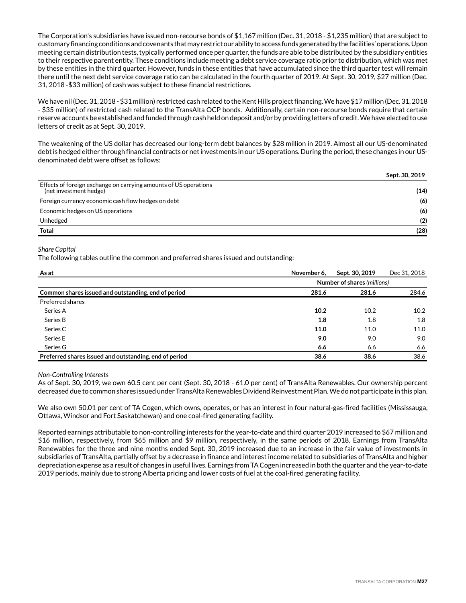The Corporation's subsidiaries have issued non-recourse bonds of \$1,167 million (Dec. 31, 2018 - \$1,235 million) that are subject to customary financing conditions and covenants that may restrict our ability to access funds generated by the facilities' operations. Upon meeting certain distribution tests, typically performed once per quarter, the funds are able to be distributed by the subsidiary entities to their respective parent entity. These conditions include meeting a debt service coverage ratio prior to distribution, which was met by these entities in the third quarter. However, funds in these entities that have accumulated since the third quarter test will remain there until the next debt service coverage ratio can be calculated in the fourth quarter of 2019. At Sept. 30, 2019, \$27 million (Dec. 31, 2018 -\$33 million) of cash was subject to these financial restrictions.

We have nil (Dec. 31, 2018 - \$31 million) restricted cash related to the Kent Hills project financing. We have \$17 million (Dec. 31, 2018 - \$35 million) of restricted cash related to the TransAlta OCP bonds. Additionally, certain non-recourse bonds require that certain reserve accounts be established and funded through cash held on deposit and/or by providing letters of credit. We have elected to use letters of credit as at Sept. 30, 2019.

The weakening of the US dollar has decreased our long-term debt balances by \$28 million in 2019. Almost all our US-denominated debt is hedged either through financial contracts or net investments in our US operations. During the period, these changes in our USdenominated debt were offset as follows:

|                                                                                            | Sept. 30, 2019 |
|--------------------------------------------------------------------------------------------|----------------|
| Effects of foreign exchange on carrying amounts of US operations<br>(net investment hedge) | (14)           |
| Foreign currency economic cash flow hedges on debt                                         | (6)            |
| Economic hedges on US operations                                                           | (6)            |
| Unhedged                                                                                   | (2)            |
| <b>Total</b>                                                                               | (28)           |

#### *Share Capital*

The following tables outline the common and preferred shares issued and outstanding:

| As at                                                  | November 6, | Sept. 30, 2019 | Dec 31, 2018 |
|--------------------------------------------------------|-------------|----------------|--------------|
| Number of shares (millions)                            |             |                |              |
| Common shares issued and outstanding, end of period    | 281.6       | 281.6          | 284.6        |
| Preferred shares                                       |             |                |              |
| Series A                                               | 10.2        | 10.2           | 10.2         |
| Series B                                               | 1.8         | 1.8            | 1.8          |
| Series C                                               | 11.0        | 11.0           | 11.0         |
| Series E                                               | 9.0         | 9.0            | 9.0          |
| Series G                                               | 6.6         | 6.6            | 6.6          |
| Preferred shares issued and outstanding, end of period | 38.6        | 38.6           | 38.6         |

#### *Non-Controlling Interests*

As of Sept. 30, 2019, we own 60.5 cent per cent (Sept. 30, 2018 - 61.0 per cent) of TransAlta Renewables. Our ownership percent decreased due to common shares issued under TransAlta Renewables Dividend Reinvestment Plan. We do not participate in this plan.

We also own 50.01 per cent of TA Cogen, which owns, operates, or has an interest in four natural-gas-fired facilities (Mississauga, Ottawa, Windsor and Fort Saskatchewan) and one coal-fired generating facility.

Reported earnings attributable to non-controlling interests for the year-to-date and third quarter 2019 increased to \$67 million and \$16 million, respectively, from \$65 million and \$9 million, respectively, in the same periods of 2018. Earnings from TransAlta Renewables for the three and nine months ended Sept. 30, 2019 increased due to an increase in the fair value of investments in subsidiaries of TransAlta, partially offset by a decrease in finance and interest income related to subsidiaries of TransAlta and higher depreciation expense as a result of changes in useful lives. Earnings from TA Cogen increased in both the quarter and the year-to-date 2019 periods, mainly due to strong Alberta pricing and lower costs of fuel at the coal-fired generating facility.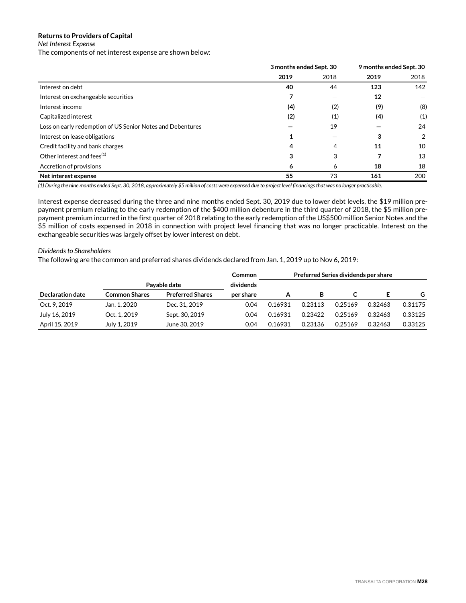## **Returns to Providers of Capital**

## *Net Interest Expense*

The components of net interest expense are shown below:

|                                                            | 3 months ended Sept. 30 |      | 9 months ended Sept. 30 |      |
|------------------------------------------------------------|-------------------------|------|-------------------------|------|
|                                                            | 2019                    | 2018 | 2019                    | 2018 |
| Interest on debt                                           | 40                      | 44   | 123                     | 142  |
| Interest on exchangeable securities                        |                         |      | 12                      |      |
| Interest income                                            | (4)                     | (2)  | (9)                     | (8)  |
| Capitalized interest                                       | (2)                     | (1)  | (4)                     | (1)  |
| Loss on early redemption of US Senior Notes and Debentures |                         | 19   |                         | 24   |
| Interest on lease obligations                              | 1                       |      | 3                       | 2    |
| Credit facility and bank charges                           | 4                       | 4    | 11                      | 10   |
| Other interest and fees <sup>(1)</sup>                     | 3                       | 3    |                         | 13   |
| Accretion of provisions                                    | 6                       | 6    | 18                      | 18   |
| Net interest expense                                       | 55                      | 73   | 161                     | 200  |

*(1) During the nine months ended Sept. 30, 2018, approximately \$5 million of costs were expensed due to project level financings that was no longer practicable.*

Interest expense decreased during the three and nine months ended Sept. 30, 2019 due to lower debt levels, the \$19 million prepayment premium relating to the early redemption of the \$400 million debenture in the third quarter of 2018, the \$5 million prepayment premium incurred in the first quarter of 2018 relating to the early redemption of the US\$500 million Senior Notes and the \$5 million of costs expensed in 2018 in connection with project level financing that was no longer practicable. Interest on the exchangeable securities was largely offset by lower interest on debt.

#### *Dividends to Shareholders*

The following are the common and preferred shares dividends declared from Jan. 1, 2019 up to Nov 6, 2019:

|                  |                      |                         | Common    | Preferred Series dividends per share |         |         |         |         |
|------------------|----------------------|-------------------------|-----------|--------------------------------------|---------|---------|---------|---------|
|                  |                      | Pavable date            | dividends |                                      |         |         |         |         |
| Declaration date | <b>Common Shares</b> | <b>Preferred Shares</b> | per share | А                                    | в       |         |         | G.      |
| Oct. 9, 2019     | Jan. 1, 2020         | Dec. 31, 2019           | 0.04      | 0.16931                              | 0.23113 | 0.25169 | 0.32463 | 0.31175 |
| July 16, 2019    | Oct. 1.2019          | Sept. 30, 2019          | 0.04      | 0.16931                              | 0.23422 | 0.25169 | 0.32463 | 0.33125 |
| April 15, 2019   | July 1, 2019         | June 30, 2019           | 0.04      | 0.16931                              | 0.23136 | 0.25169 | 0.32463 | 0.33125 |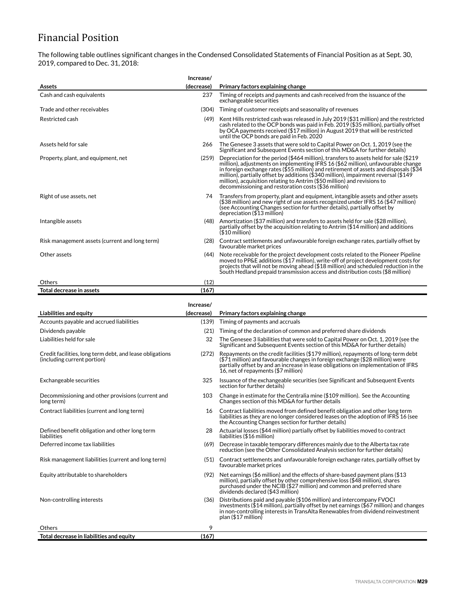# Financial Position

The following table outlines significant changes in the Condensed Consolidated Statements of Financial Position as at Sept. 30, 2019, compared to Dec. 31, 2018:

| Assets                                                                                  | Increase/<br>(decrease) | Primary factors explaining change                                                                                                                                                                                                                                                                                                                                                                                                                                                                   |
|-----------------------------------------------------------------------------------------|-------------------------|-----------------------------------------------------------------------------------------------------------------------------------------------------------------------------------------------------------------------------------------------------------------------------------------------------------------------------------------------------------------------------------------------------------------------------------------------------------------------------------------------------|
| Cash and cash equivalents                                                               | 237                     | Timing of receipts and payments and cash received from the issuance of the<br>exchangeable securities                                                                                                                                                                                                                                                                                                                                                                                               |
| Trade and other receivables                                                             | (304)                   | Timing of customer receipts and seasonality of revenues                                                                                                                                                                                                                                                                                                                                                                                                                                             |
| Restricted cash                                                                         | (49)                    | Kent Hills restricted cash was released in July 2019 (\$31 million) and the restricted<br>cash related to the OCP bonds was paid in Feb. 2019 (\$35 million), partially offset<br>by OCA payments received (\$17 million) in August 2019 that will be restricted<br>until the OCP bonds are paid in Feb. 2020                                                                                                                                                                                       |
| Assets held for sale                                                                    | 266                     | The Genesee 3 assets that were sold to Capital Power on Oct. 1, 2019 (see the<br>Significant and Subsequent Events section of this MD&A for further details)                                                                                                                                                                                                                                                                                                                                        |
| Property, plant, and equipment, net                                                     | (259)                   | Depreciation for the period (\$464 million), transfers to assets held for sale (\$219<br>million), adjustments on implementing IFRS 16 (\$62 million), unfavourable change<br>in foreign exchange rates (\$55 million) and retirement of assets and disposals (\$34 $\,$<br>million), partially offset by additions (\$340 million), impairment reversal (\$149<br>million), acquisition relating to Antrim (\$50 million) and revisions to<br>decommissioning and restoration costs (\$36 million) |
| Right of use assets, net                                                                | 74                      | Transfers from property, plant and equipment, intangible assets and other assets<br>(\$38 million) and new right of use assets recognized under IFRS 16 (\$47 million)<br>(see Accounting Changes section for further details), partially offset by<br>depreciation (\$13 million)                                                                                                                                                                                                                  |
| Intangible assets                                                                       | (48)                    | Amortization (\$37 million) and transfers to assets held for sale (\$28 million),<br>partially offset by the acquisition relating to Antrim (\$14 million) and additions<br>$($10$ million)                                                                                                                                                                                                                                                                                                         |
| Risk management assets (current and long term)                                          | (28)                    | Contract settlements and unfavourable foreign exchange rates, partially offset by<br>favourable market prices                                                                                                                                                                                                                                                                                                                                                                                       |
| Other assets                                                                            | (44)                    | Note receivable for the project development costs related to the Pioneer Pipeline<br>moved to PP&E additions (\$17 million), write-off of project development costs for<br>projects that will not be moving ahead (\$18 million) and scheduled reduction in the<br>South Hedland prepaid transmission access and distribution costs (\$8 million)                                                                                                                                                   |
| Others                                                                                  | (12)                    |                                                                                                                                                                                                                                                                                                                                                                                                                                                                                                     |
| Total decrease in assets                                                                | (167)                   |                                                                                                                                                                                                                                                                                                                                                                                                                                                                                                     |
|                                                                                         | Increase/               |                                                                                                                                                                                                                                                                                                                                                                                                                                                                                                     |
| Liabilities and equity                                                                  | (decrease)              | Primary factors explaining change                                                                                                                                                                                                                                                                                                                                                                                                                                                                   |
| Accounts payable and accrued liabilities                                                | (139)                   | Timing of payments and accruals                                                                                                                                                                                                                                                                                                                                                                                                                                                                     |
| Dividends payable                                                                       | (21)                    | Timing of the declaration of common and preferred share dividends                                                                                                                                                                                                                                                                                                                                                                                                                                   |
| Liabilities held for sale                                                               | 32                      | The Genesee 3 liabilities that were sold to Capital Power on Oct. 1, 2019 (see the<br>Significant and Subsequent Events section of this MD&A for further details)                                                                                                                                                                                                                                                                                                                                   |
| Credit facilities, long term debt, and lease obligations<br>(including current portion) | (272)                   | Repayments on the credit facilities (\$179 million), repayments of long-term debt<br>(\$71 million) and favourable changes in foreign exchange (\$28 million) were<br>partially offset by and an increase in lease obligations on implementation of IFRS<br>16, net of repayments (\$7 million)                                                                                                                                                                                                     |
| Exchangeable securities                                                                 | 325                     | Issuance of the exchangeable securities (see Significant and Subsequent Events<br>section for further details)                                                                                                                                                                                                                                                                                                                                                                                      |
| Decommissioning and other provisions (current and<br>long term)                         | 103                     | Change in estimate for the Centralia mine (\$109 million). See the Accounting<br>Changes section of this MD&A for further details                                                                                                                                                                                                                                                                                                                                                                   |
| Contract liabilities (current and long term)                                            | 16                      | Contract liabilities moved from defined benefit obligation and other long term<br>liabilities as they are no longer considered leases on the adoption of IFRS 16 (see<br>the Accounting Changes section for further details)                                                                                                                                                                                                                                                                        |
| Defined benefit obligation and other long term<br>liabilities                           | 28                      | Actuarial losses (\$44 million) partially offset by liabilities moved to contract<br>liabilities (\$16 million)                                                                                                                                                                                                                                                                                                                                                                                     |
| Deferred income tax liabilities                                                         | (69)                    | Decrease in taxable temporary differences mainly due to the Alberta tax rate<br>reduction (see the Other Consolidated Analysis section for further details)                                                                                                                                                                                                                                                                                                                                         |
| Risk management liabilities (current and long term)                                     |                         | (51) Contract settlements and unfavourable foreign exchange rates, partially offset by<br>favourable market prices                                                                                                                                                                                                                                                                                                                                                                                  |
| Equity attributable to shareholders                                                     | (92)                    | Net earnings (\$6 million) and the effects of share-based payment plans (\$13<br>million), partially offset by other comprehensive loss (\$48 million), shares<br>purchased under the NCIB (\$27 million) and common and preferred share<br>dividends declared (\$43 million)                                                                                                                                                                                                                       |
| Non-controlling interests                                                               | (36)                    | Distributions paid and payable (\$106 million) and intercompany FVOCI<br>investments (\$14 million), partially offset by net earnings (\$67 million) and changes<br>in non-controlling interests in TransAlta Renewables from dividend reinvestment<br>plan (\$17 million)                                                                                                                                                                                                                          |
| Others                                                                                  |                         |                                                                                                                                                                                                                                                                                                                                                                                                                                                                                                     |
|                                                                                         | 9                       |                                                                                                                                                                                                                                                                                                                                                                                                                                                                                                     |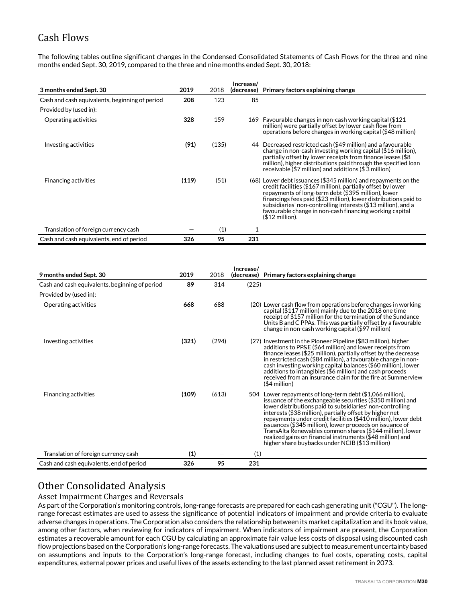# Cash Flows

The following tables outline significant changes in the Condensed Consolidated Statements of Cash Flows for the three and nine months ended Sept. 30, 2019, compared to the three and nine months ended Sept. 30, 2018:

| 3 months ended Sept. 30                        | 2019  | 2018  | Increase/<br>(decrease) | Primary factors explaining change                                                                                                                                                                                                                                                                                                                                                                         |
|------------------------------------------------|-------|-------|-------------------------|-----------------------------------------------------------------------------------------------------------------------------------------------------------------------------------------------------------------------------------------------------------------------------------------------------------------------------------------------------------------------------------------------------------|
| Cash and cash equivalents, beginning of period | 208   | 123   | 85                      |                                                                                                                                                                                                                                                                                                                                                                                                           |
| Provided by (used in):                         |       |       |                         |                                                                                                                                                                                                                                                                                                                                                                                                           |
| Operating activities                           | 328   | 159   |                         | 169 Favourable changes in non-cash working capital (\$121)<br>million) were partially offset by lower cash flow from<br>operations before changes in working capital (\$48 million)                                                                                                                                                                                                                       |
| Investing activities                           | (91)  | (135) |                         | 44 Decreased restricted cash (\$49 million) and a favourable<br>change in non-cash investing working capital (\$16 million),<br>partially offset by lower receipts from finance leases (\$8<br>million), higher distributions paid through the specified loan<br>receivable (\$7 million) and additions (\$3 million)                                                                                     |
| <b>Financing activities</b>                    | (119) | (51)  |                         | (68) Lower debt issuances (\$345 million) and repayments on the<br>credit facilities (\$167 million), partially offset by lower<br>repayments of long-term debt (\$395 million), lower<br>financings fees paid (\$23 million), lower distributions paid to<br>subsidiaries' non-controlling interests (\$13 million), and a<br>favourable change in non-cash financing working capital<br>$$12$ million). |
| Translation of foreign currency cash           |       | (1)   |                         |                                                                                                                                                                                                                                                                                                                                                                                                           |
| Cash and cash equivalents, end of period       | 326   | 95    | 231                     |                                                                                                                                                                                                                                                                                                                                                                                                           |

| 9 months ended Sept. 30                        | 2019  | 2018  | Increase/<br>(decrease) | Primary factors explaining change                                                                                                                                                                                                                                                                                                                                                                                                                                                                                                                             |
|------------------------------------------------|-------|-------|-------------------------|---------------------------------------------------------------------------------------------------------------------------------------------------------------------------------------------------------------------------------------------------------------------------------------------------------------------------------------------------------------------------------------------------------------------------------------------------------------------------------------------------------------------------------------------------------------|
| Cash and cash equivalents, beginning of period | 89    | 314   | (225)                   |                                                                                                                                                                                                                                                                                                                                                                                                                                                                                                                                                               |
| Provided by (used in):                         |       |       |                         |                                                                                                                                                                                                                                                                                                                                                                                                                                                                                                                                                               |
| Operating activities                           | 668   | 688   |                         | (20) Lower cash flow from operations before changes in working<br>capital (\$117 million) mainly due to the 2018 one time<br>receipt of \$157 million for the termination of the Sundance<br>Units B and C PPAs. This was partially offset by a favourable<br>change in non-cash working capital (\$97 million)                                                                                                                                                                                                                                               |
| Investing activities                           | (321) | (294) |                         | (27) Investment in the Pioneer Pipeline (\$83 million), higher<br>additions to PP&E (\$64 million) and lower receipts from<br>finance leases (\$25 million), partially offset by the decrease<br>in restricted cash (\$84 million), a favourable change in non-<br>cash investing working capital balances (\$60 million), lower<br>additions to intangibles (\$6 million) and cash proceeds<br>received from an insurance claim for the fire at Summerview<br>$($4$ million)                                                                                 |
| <b>Financing activities</b>                    | (109) | (613) |                         | 504 Lower repayments of long-term debt (\$1,066 million),<br>issuance of the exchangeable securities (\$350 million) and<br>lower distributions paid to subsidiaries' non-controlling<br>interests (\$38 million), partially offset by higher net<br>repayments under credit facilities (\$410 million), lower debt<br>issuances (\$345 million), lower proceeds on issuance of<br>TransAlta Renewables common shares (\$144 million), lower<br>realized gains on financial instruments (\$48 million) and<br>higher share buybacks under NCIB (\$13 million) |
| Translation of foreign currency cash           | (1)   |       | (1)                     |                                                                                                                                                                                                                                                                                                                                                                                                                                                                                                                                                               |
| Cash and cash equivalents, end of period       | 326   | 95    | 231                     |                                                                                                                                                                                                                                                                                                                                                                                                                                                                                                                                                               |

# Other Consolidated Analysis

## Asset Impairment Charges and Reversals

As part of the Corporation's monitoring controls, long-range forecasts are prepared for each cash generating unit ("CGU"). The longrange forecast estimates are used to assess the significance of potential indicators of impairment and provide criteria to evaluate adverse changes in operations. The Corporation also considers the relationship between its market capitalization and its book value, among other factors, when reviewing for indicators of impairment. When indicators of impairment are present, the Corporation estimates a recoverable amount for each CGU by calculating an approximate fair value less costs of disposal using discounted cash flow projections based on the Corporation's long-range forecasts. The valuations used are subject to measurement uncertainty based on assumptions and inputs to the Corporation's long-range forecast, including changes to fuel costs, operating costs, capital expenditures, external power prices and useful lives of the assets extending to the last planned asset retirement in 2073.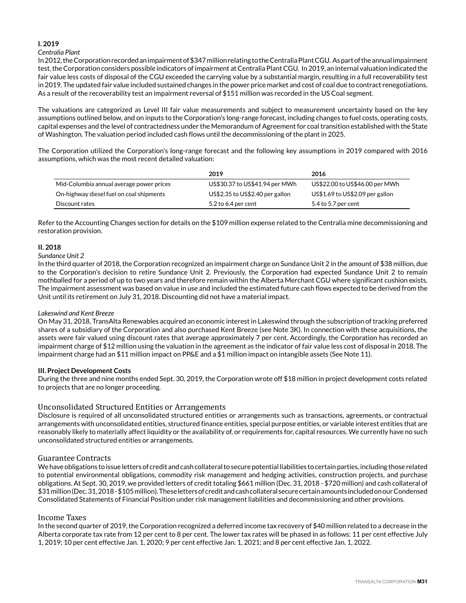#### **I. 2019**

#### *Centralia Plant*

In 2012, the Corporation recorded an impairment of \$347 million relating to the Centralia Plant CGU. As part of the annual impairment test, the Corporation considers possible indicators of impairment at Centralia Plant CGU. In 2019, an internal valuation indicated the fair value less costs of disposal of the CGU exceeded the carrying value by a substantial margin, resulting in a full recoverability test in 2019. The updated fair value included sustained changes in the power price market and cost of coal due to contract renegotiations. As a result of the recoverability test an impairment reversal of \$151 million was recorded in the US Coal segment.

The valuations are categorized as Level III fair value measurements and subject to measurement uncertainty based on the key assumptions outlined below, and on inputs to the Corporation's long-range forecast, including changes to fuel costs, operating costs, capital expenses and the level of contractedness under the Memorandum of Agreement for coal transition established with the State of Washington. The valuation period included cash flows until the decommissioning of the plant in 2025.

The Corporation utilized the Corporation's long-range forecast and the following key assumptions in 2019 compared with 2016 assumptions, which was the most recent detailed valuation:

|                                          | 2019                            | 2016                            |
|------------------------------------------|---------------------------------|---------------------------------|
| Mid-Columbia annual average power prices | US\$30.37 to US\$41.94 per MWh  | US\$22.00 to US\$46.00 per MWh  |
| On-highway diesel fuel on coal shipments | US\$2.35 to US\$2.40 per gallon | US\$1.69 to US\$2.09 per gallon |
| Discount rates                           | 5.2 to 6.4 per cent             | 5.4 to 5.7 per cent             |

Refer to the Accounting Changes section for details on the \$109 million expense related to the Centralia mine decommissioning and restoration provision.

#### **II. 2018**

#### *Sundance Unit 2*

In the third quarter of 2018, the Corporation recognized an impairment charge on Sundance Unit 2 in the amount of \$38 million, due to the Corporation's decision to retire Sundance Unit 2. Previously, the Corporation had expected Sundance Unit 2 to remain mothballed for a period of up to two years and therefore remain within the Alberta Merchant CGU where significant cushion exists. The impairment assessment was based on value in use and included the estimated future cash flows expected to be derived from the Unit until its retirement on July 31, 2018. Discounting did not have a material impact.

#### *Lakeswind and Kent Breeze*

On May 31, 2018, TransAlta Renewables acquired an economic interest in Lakeswind through the subscription of tracking preferred shares of a subsidiary of the Corporation and also purchased Kent Breeze (see Note 3K). In connection with these acquisitions, the assets were fair valued using discount rates that average approximately 7 per cent. Accordingly, the Corporation has recorded an impairment charge of \$12 million using the valuation in the agreement as the indicator of fair value less cost of disposal in 2018. The impairment charge had an \$11 million impact on PP&E and a \$1 million impact on intangible assets (See Note 11).

#### **III. Project Development Costs**

During the three and nine months ended Sept. 30, 2019, the Corporation wrote off \$18 million in project development costs related to projects that are no longer proceeding.

## Unconsolidated Structured Entities or Arrangements

Disclosure is required of all unconsolidated structured entities or arrangements such as transactions, agreements, or contractual arrangements with unconsolidated entities, structured finance entities, special purpose entities, or variable interest entities that are reasonably likely to materially affect liquidity or the availability of, or requirements for, capital resources. We currently have no such unconsolidated structured entities or arrangements.

## Guarantee Contracts

We have obligations to issue letters of credit and cash collateral to secure potential liabilities to certain parties, including those related to potential environmental obligations, commodity risk management and hedging activities, construction projects, and purchase obligations. At Sept. 30, 2019, we provided letters of credit totaling \$661 million (Dec. 31, 2018 - \$720 million) and cash collateral of \$31 million (Dec. 31, 2018 - \$105 million). These letters of credit and cash collateral secure certain amounts included on our Condensed Consolidated Statements of Financial Position under risk management liabilities and decommissioning and other provisions.

#### Income Taxes

In the second quarter of 2019, the Corporation recognized a deferred income tax recovery of \$40 million related to a decrease in the Alberta corporate tax rate from 12 per cent to 8 per cent. The lower tax rates will be phased in as follows: 11 per cent effective July 1, 2019; 10 per cent effective Jan. 1, 2020; 9 per cent effective Jan. 1, 2021; and 8 per cent effective Jan. 1, 2022.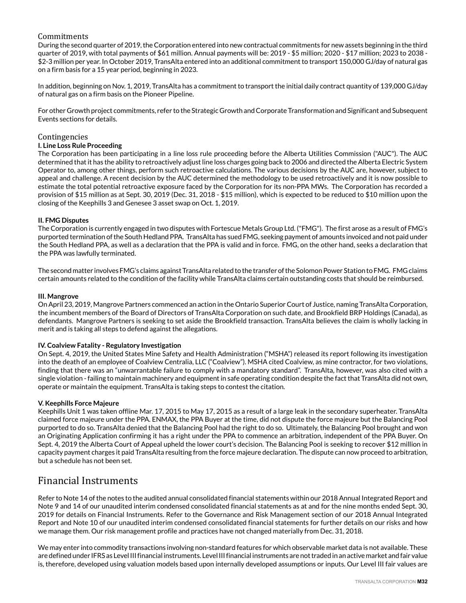## Commitments

During the second quarter of 2019, the Corporation entered into new contractual commitments for new assets beginning in the third quarter of 2019, with total payments of \$61 million. Annual payments will be: 2019 - \$5 million; 2020 - \$17 million; 2023 to 2038 - \$2-3 million per year. In October 2019, TransAlta entered into an additional commitment to transport 150,000 GJ/day of natural gas on a firm basis for a 15 year period, beginning in 2023.

In addition, beginning on Nov. 1, 2019, TransAlta has a commitment to transport the initial daily contract quantity of 139,000 GJ/day of natural gas on a firm basis on the Pioneer Pipeline.

For other Growth project commitments, refer to the Strategic Growth and Corporate Transformation and Significant and Subsequent Events sections for details.

### Contingencies

#### **I. Line Loss Rule Proceeding**

The Corporation has been participating in a line loss rule proceeding before the Alberta Utilities Commission ("AUC"). The AUC determined that it has the ability to retroactively adjust line loss charges going back to 2006 and directed the Alberta Electric System Operator to, among other things, perform such retroactive calculations. The various decisions by the AUC are, however, subject to appeal and challenge. A recent decision by the AUC determined the methodology to be used retroactively and it is now possible to estimate the total potential retroactive exposure faced by the Corporation for its non-PPA MWs. The Corporation has recorded a provision of \$15 million as at Sept. 30, 2019 (Dec. 31, 2018 - \$15 million), which is expected to be reduced to \$10 million upon the closing of the Keephills 3 and Genesee 3 asset swap on Oct. 1, 2019.

#### **II. FMG Disputes**

The Corporation is currently engaged in two disputes with Fortescue Metals Group Ltd. ("FMG"). The first arose as a result of FMG's purported termination of the South Hedland PPA. TransAlta has sued FMG, seeking payment of amounts invoiced and not paid under the South Hedland PPA, as well as a declaration that the PPA is valid and in force. FMG, on the other hand, seeks a declaration that the PPA was lawfully terminated.

The second matter involves FMG's claims against TransAlta related to the transfer of the Solomon Power Station to FMG. FMG claims certain amounts related to the condition of the facility while TransAlta claims certain outstanding costs that should be reimbursed.

#### **III. Mangrove**

On April 23, 2019, Mangrove Partners commenced an action in the Ontario Superior Court of Justice, naming TransAlta Corporation, the incumbent members of the Board of Directors of TransAlta Corporation on such date, and Brookfield BRP Holdings (Canada), as defendants. Mangrove Partners is seeking to set aside the Brookfield transaction. TransAlta believes the claim is wholly lacking in merit and is taking all steps to defend against the allegations.

#### **IV. Coalview Fatality - Regulatory Investigation**

On Sept. 4, 2019, the United States Mine Safety and Health Administration ("MSHA") released its report following its investigation into the death of an employee of Coalview Centralia, LLC ("Coalview"). MSHA cited Coalview, as mine contractor, for two violations, finding that there was an "unwarrantable failure to comply with a mandatory standard". TransAlta, however, was also cited with a single violation - failing to maintain machinery and equipment in safe operating condition despite the fact that TransAlta did not own, operate or maintain the equipment. TransAlta is taking steps to contest the citation.

#### **V. Keephills Force Majeure**

Keephills Unit 1 was taken offline Mar. 17, 2015 to May 17, 2015 as a result of a large leak in the secondary superheater. TransAlta claimed force majeure under the PPA. ENMAX, the PPA Buyer at the time, did not dispute the force majeure but the Balancing Pool purported to do so. TransAlta denied that the Balancing Pool had the right to do so. Ultimately, the Balancing Pool brought and won an Originating Application confirming it has a right under the PPA to commence an arbitration, independent of the PPA Buyer. On Sept. 4, 2019 the Alberta Court of Appeal upheld the lower court's decision. The Balancing Pool is seeking to recover \$12 million in capacity payment charges it paid TransAlta resulting from the force majeure declaration. The dispute can now proceed to arbitration, but a schedule has not been set.

## Financial Instruments

Refer to Note 14 of the notes to the audited annual consolidated financial statements within our 2018 Annual Integrated Report and Note 9 and 14 of our unaudited interim condensed consolidated financial statements as at and for the nine months ended Sept. 30, 2019 for details on Financial Instruments. Refer to the Governance and Risk Management section of our 2018 Annual Integrated Report and Note 10 of our unaudited interim condensed consolidated financial statements for further details on our risks and how we manage them. Our risk management profile and practices have not changed materially from Dec. 31, 2018.

We may enter into commodity transactions involving non-standard features for which observable market data is not available. These are defined under IFRS as Level III financial instruments. Level III financial instruments are not traded in an active market and fair value is, therefore, developed using valuation models based upon internally developed assumptions or inputs. Our Level III fair values are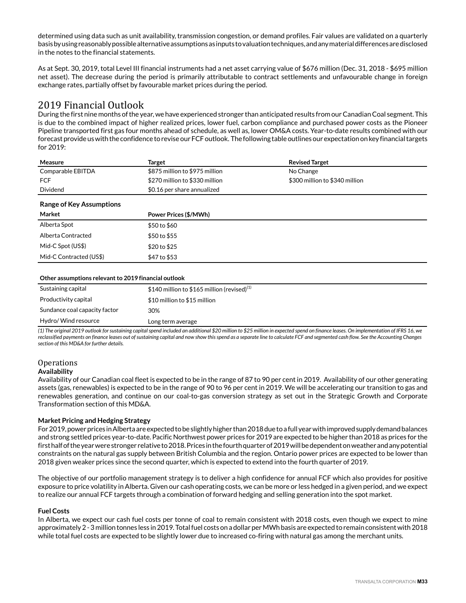determined using data such as unit availability, transmission congestion, or demand profiles. Fair values are validated on a quarterly basis by using reasonably possible alternative assumptions as inputs to valuation techniques, and any material differences are disclosed in the notes to the financial statements.

As at Sept. 30, 2019, total Level III financial instruments had a net asset carrying value of \$676 million (Dec. 31, 2018 - \$695 million net asset). The decrease during the period is primarily attributable to contract settlements and unfavourable change in foreign exchange rates, partially offset by favourable market prices during the period.

# 2019 Financial Outlook

During the first nine months of the year, we have experienced stronger than anticipated results from our Canadian Coal segment. This is due to the combined impact of higher realized prices, lower fuel, carbon compliance and purchased power costs as the Pioneer Pipeline transported first gas four months ahead of schedule, as well as, lower OM&A costs. Year-to-date results combined with our forecast provide us with the confidence to revise our FCF outlook. The following table outlines our expectation on key financial targets for 2019:

| Measure                                              | <b>Target</b>                                  | <b>Revised Target</b>          |
|------------------------------------------------------|------------------------------------------------|--------------------------------|
| Comparable EBITDA                                    | \$875 million to \$975 million                 | No Change                      |
| <b>FCF</b>                                           | \$270 million to \$330 million                 | \$300 million to \$340 million |
| Dividend                                             | \$0.16 per share annualized                    |                                |
| <b>Range of Key Assumptions</b>                      |                                                |                                |
| Market                                               | Power Prices (\$/MWh)                          |                                |
| Alberta Spot                                         | \$50 to \$60                                   |                                |
| Alberta Contracted                                   | \$50 to \$55                                   |                                |
| Mid-C Spot (US\$)                                    | \$20 to \$25                                   |                                |
| Mid-C Contracted (US\$)                              | \$47 to \$53                                   |                                |
|                                                      |                                                |                                |
| Other assumptions relevant to 2019 financial outlook |                                                |                                |
| Sustaining capital                                   | \$140 million to \$165 million (revised) $(1)$ |                                |
| Productivity capital                                 | \$10 million to \$15 million                   |                                |
| Sundance coal capacity factor                        | 30%                                            |                                |
| Hydro/ Wind resource                                 | Long term average                              |                                |

*(1) The original 2019 outlook for sustaining capital spend included an additional \$20 million to \$25 million in expected spend on finance leases. On implementation of IFRS 16, we reclassified payments on finance leases out of sustaining capital and now show this spend as a separate line to calculate FCF and segmented cash flow. See the Accounting Changes section of this MD&A for further details.* 

## **Operations**

#### **Availability**

Availability of our Canadian coal fleet is expected to be in the range of 87 to 90 per cent in 2019. Availability of our other generating assets (gas, renewables) is expected to be in the range of 90 to 96 per cent in 2019. We will be accelerating our transition to gas and renewables generation, and continue on our coal-to-gas conversion strategy as set out in the Strategic Growth and Corporate Transformation section of this MD&A.

## **Market Pricing and Hedging Strategy**

For 2019, power prices in Alberta are expected to be slightly higher than 2018 due to a full year with improved supply demand balances and strong settled prices year-to-date. Pacific Northwest power prices for 2019 are expected to be higher than 2018 as prices for the first half of the year were stronger relative to 2018. Prices in the fourth quarter of 2019 will be dependent on weather and any potential constraints on the natural gas supply between British Columbia and the region. Ontario power prices are expected to be lower than 2018 given weaker prices since the second quarter, which is expected to extend into the fourth quarter of 2019.

The objective of our portfolio management strategy is to deliver a high confidence for annual FCF which also provides for positive exposure to price volatility in Alberta. Given our cash operating costs, we can be more or less hedged in a given period, and we expect to realize our annual FCF targets through a combination of forward hedging and selling generation into the spot market.

## **Fuel Costs**

In Alberta, we expect our cash fuel costs per tonne of coal to remain consistent with 2018 costs, even though we expect to mine approximately 2 - 3 million tonnes less in 2019. Total fuel costs on a dollar per MWh basis are expected to remain consistent with 2018 while total fuel costs are expected to be slightly lower due to increased co-firing with natural gas among the merchant units.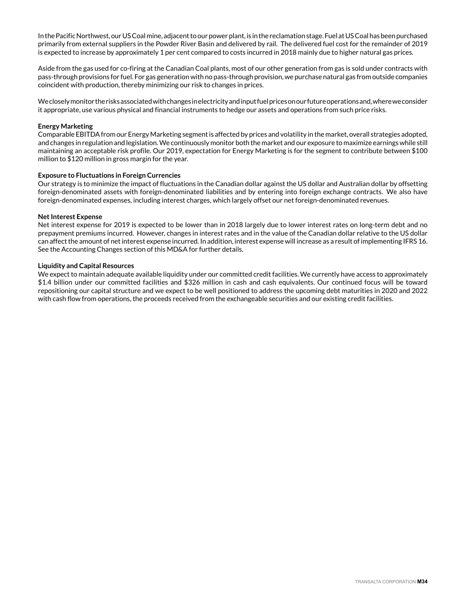In the Pacific Northwest, our US Coal mine, adjacent to our power plant, is in the reclamation stage. Fuel at US Coal has been purchased primarily from external suppliers in the Powder River Basin and delivered by rail. The delivered fuel cost for the remainder of 2019 is expected to increase by approximately 1 per cent compared to costs incurred in 2018 mainly due to higher natural gas prices.

Aside from the gas used for co-firing at the Canadian Coal plants, most of our other generation from gas is sold under contracts with pass-through provisions for fuel. For gas generation with no pass-through provision, we purchase natural gas from outside companies coincident with production, thereby minimizing our risk to changes in prices.

We closely monitor the risks associated with changes in electricity and input fuel prices on our future operations and, where we consider it appropriate, use various physical and financial instruments to hedge our assets and operations from such price risks.

#### **Energy Marketing**

Comparable EBITDA from our Energy Marketing segment is affected by prices and volatility in the market, overall strategies adopted, and changes in regulation and legislation. We continuously monitor both the market and our exposure to maximize earnings while still maintaining an acceptable risk profile. Our 2019, expectation for Energy Marketing is for the segment to contribute between \$100 million to \$120 million in gross margin for the year.

#### **Exposure to Fluctuations in Foreign Currencies**

Our strategy is to minimize the impact of fluctuations in the Canadian dollar against the US dollar and Australian dollar by offsetting foreign-denominated assets with foreign-denominated liabilities and by entering into foreign exchange contracts. We also have foreign-denominated expenses, including interest charges, which largely offset our net foreign-denominated revenues.

#### **Net Interest Expense**

Net interest expense for 2019 is expected to be lower than in 2018 largely due to lower interest rates on long-term debt and no prepayment premiums incurred. However, changes in interest rates and in the value of the Canadian dollar relative to the US dollar can affect the amount of net interest expense incurred. In addition, interest expense will increase as a result of implementing IFRS 16. See the Accounting Changes section of this MD&A for further details.

#### **Liquidity and Capital Resources**

We expect to maintain adequate available liquidity under our committed credit facilities. We currently have access to approximately \$1.4 billion under our committed facilities and \$326 million in cash and cash equivalents. Our continued focus will be toward repositioning our capital structure and we expect to be well positioned to address the upcoming debt maturities in 2020 and 2022 with cash flow from operations, the proceeds received from the exchangeable securities and our existing credit facilities.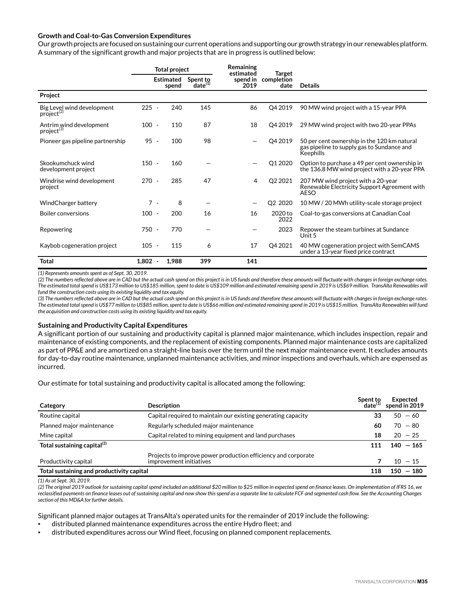#### **Growth and Coal-to-Gas Conversion Expenditures**

Our growth projects are focused on sustaining our current operations and supporting our growth strategy in our renewables platform. A summary of the significant growth and major projects that are in progress is outlined below:

|                                                      |           | <b>Total project</b>      |                          | Remaining<br>estimated<br><b>Target</b> |                    |                                                                                                        |
|------------------------------------------------------|-----------|---------------------------|--------------------------|-----------------------------------------|--------------------|--------------------------------------------------------------------------------------------------------|
|                                                      |           | <b>Estimated</b><br>spend | Spent to<br>$date^{(1)}$ | spend in<br>2019                        | completion<br>date | <b>Details</b>                                                                                         |
| Project                                              |           |                           |                          |                                         |                    |                                                                                                        |
| Big Level wind development<br>project <sup>(2)</sup> | $225 -$   | 240                       | 145                      | 86                                      | Q4 2019            | 90 MW wind project with a 15-year PPA                                                                  |
| Antrim wind development<br>project <sup>(3)</sup>    | $100 -$   | 110                       | 87                       | 18                                      | Q4 2019            | 29 MW wind project with two 20-year PPAs                                                               |
| Pioneer gas pipeline partnership                     | $95 -$    | 100                       | 98                       |                                         | Q4 2019            | 50 per cent ownership in the 120 km natural<br>gas pipeline to supply gas to Sundance and<br>Keephills |
| Skookumchuck wind<br>development project             | $150 -$   | 160                       |                          |                                         | Q1 2020            | Option to purchase a 49 per cent ownership in<br>the 136.8 MW wind project with a 20-year PPA          |
| Windrise wind development<br>project                 | $270 -$   | 285                       | 47                       | 4                                       | Q2 2021            | 207 MW wind project with a 20-year<br>Renewable Electricity Support Agreement with<br><b>AESO</b>      |
| WindCharger battery                                  | $7 -$     | 8                         |                          |                                         | Q2 2020            | 10 MW / 20 MWh utility-scale storage project                                                           |
| <b>Boiler conversions</b>                            | $100 -$   | 200                       | 16                       | 16                                      | 2020 to<br>2022    | Coal-to-gas conversions at Canadian Coal                                                               |
| Repowering                                           | 750 -     | 770                       |                          |                                         | 2023               | Repower the steam turbines at Sundance<br>Unit 5                                                       |
| Kaybob cogeneration project                          | $105 -$   | 115                       | 6                        | 17                                      | Q4 2021            | 40 MW cogeneration project with SemCAMS<br>under a 13-year fixed price contract                        |
| <b>Total</b>                                         | $1,802 -$ | 1,988                     | 399                      | 141                                     |                    |                                                                                                        |

*(1) Represents amounts spent as of Sept. 30, 2019.*

*(2) The numbers reflected above are in CAD but the actual cash spend on this project is in US funds and therefore these amounts will fluctuate with changes in foreign exchange rates. The estimated total spend is US\$173 million to US\$185 million, spent to date is US\$109 million and estimated remaining spend in 2019 is US\$69 million. TransAlta Renewables will fund the construction costs using its existing liquidity and tax equity.*

*(3) The numbers reflected above are in CAD but the actual cash spend on this project is in US funds and therefore these amounts will fluctuate with changes in foreign exchange rates. The estimated total spend is US\$77 million to US\$85 million, spent to date is US\$66 million and estimated remaining spend in 2019 is US\$15 million. TransAlta Renewables will fund the acquisition and construction costs using its existing liquidity and tax equity.* 

#### **Sustaining and Productivity Capital Expenditures**

A significant portion of our sustaining and productivity capital is planned major maintenance, which includes inspection, repair and maintenance of existing components, and the replacement of existing components. Planned major maintenance costs are capitalized as part of PP&E and are amortized on a straight-line basis over the term until the next major maintenance event. It excludes amounts for day-to-day routine maintenance, unplanned maintenance activities, and minor inspections and overhauls, which are expensed as incurred.

Our estimate for total sustaining and productivity capital is allocated among the following:

| Category                                  | <b>Description</b>                                                                       | Spent to<br>$date^{(1)}$ | Expected<br>spend in 2019 |
|-------------------------------------------|------------------------------------------------------------------------------------------|--------------------------|---------------------------|
| Routine capital                           | Capital required to maintain our existing generating capacity                            | 33                       | $50 - 60$                 |
| Planned major maintenance                 | Regularly scheduled major maintenance                                                    | 60                       | $70 - 80$                 |
| Mine capital                              | Capital related to mining equipment and land purchases                                   | 18                       | $20 - 25$                 |
| Total sustaining capital <sup>(2)</sup>   |                                                                                          |                          | $140 - 165$               |
| Productivity capital                      | Projects to improve power production efficiency and corporate<br>improvement initiatives |                          | $10 - 15$                 |
| Total sustaining and productivity capital |                                                                                          | 118                      | $150 - 180$               |

*(1) As at Sept. 30, 2019.*

*(2) The original 2019 outlook for sustaining capital spend included an additional \$20 million to \$25 million in expected spend on finance leases. On implementation of IFRS 16, we reclassified payments on finance leases out of sustaining capital and now show this spend as a separate line to calculate FCF and segmented cash flow. See the Accounting Changes section of this MD&A for further details.* 

Significant planned major outages at TransAlta's operated units for the remainder of 2019 include the following:

- distributed planned maintenance expenditures across the entire Hydro fleet; and
- distributed expenditures across our Wind fleet, focusing on planned component replacements.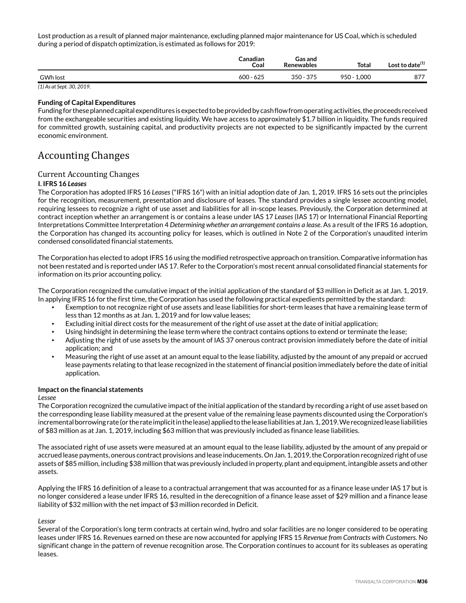Lost production as a result of planned major maintenance, excluding planned major maintenance for US Coal, which is scheduled during a period of dispatch optimization, is estimated as follows for 2019:

|                 | <b>Canadian</b><br>Coal | Gas and<br><b>Renewables</b> | <b>Total</b>     | Lost to date <sup>(1)</sup> |
|-----------------|-------------------------|------------------------------|------------------|-----------------------------|
| <b>GWh lost</b> | 600 - 625               | 375<br>350 -                 | 1.000<br>$950 -$ | 877                         |

*(1) As at Sept. 30, 2019.* 

#### **Funding of Capital Expenditures**

Funding for these planned capital expenditures is expected to be provided by cash flow from operating activities, the proceeds received from the exchangeable securities and existing liquidity. We have access to approximately \$1.7 billion in liquidity. The funds required for committed growth, sustaining capital, and productivity projects are not expected to be significantly impacted by the current economic environment.

## Accounting Changes

## Current Accounting Changes

#### **I. IFRS 16** *Leases*

The Corporation has adopted IFRS 16 *Leases* ("IFRS 16") with an initial adoption date of Jan. 1, 2019. IFRS 16 sets out the principles for the recognition, measurement, presentation and disclosure of leases. The standard provides a single lessee accounting model, requiring lessees to recognize a right of use asset and liabilities for all in-scope leases. Previously, the Corporation determined at contract inception whether an arrangement is or contains a lease under IAS 17 *Leases* (IAS 17) or International Financial Reporting Interpretations Committee Interpretation 4 *Determining whether an arrangement contains a lease*. As a result of the IFRS 16 adoption, the Corporation has changed its accounting policy for leases, which is outlined in Note 2 of the Corporation's unaudited interim condensed consolidated financial statements.

The Corporation has elected to adopt IFRS 16 using the modified retrospective approach on transition. Comparative information has not been restated and is reported under IAS 17. Refer to the Corporation's most recent annual consolidated financial statements for information on its prior accounting policy.

The Corporation recognized the cumulative impact of the initial application of the standard of \$3 million in Deficit as at Jan. 1, 2019. In applying IFRS 16 for the first time, the Corporation has used the following practical expedients permitted by the standard:

- Exemption to not recognize right of use assets and lease liabilities for short-term leases that have a remaining lease term of less than 12 months as at Jan. 1, 2019 and for low value leases;
- Excluding initial direct costs for the measurement of the right of use asset at the date of initial application;
- Using hindsight in determining the lease term where the contract contains options to extend or terminate the lease;
- Adjusting the right of use assets by the amount of IAS 37 onerous contract provision immediately before the date of initial application; and
- Measuring the right of use asset at an amount equal to the lease liability, adjusted by the amount of any prepaid or accrued lease payments relating to that lease recognized in the statement of financial position immediately before the date of initial application.

## **Impact on the financial statements**

#### *Lessee*

The Corporation recognized the cumulative impact of the initial application of the standard by recording a right of use asset based on the corresponding lease liability measured at the present value of the remaining lease payments discounted using the Corporation's incremental borrowing rate (or the rate implicit in the lease) applied to the lease liabilities at Jan. 1, 2019. We recognized lease liabilities of \$83 million as at Jan. 1, 2019, including \$63 million that was previously included as finance lease liabilities.

The associated right of use assets were measured at an amount equal to the lease liability, adjusted by the amount of any prepaid or accrued lease payments, onerous contract provisions and lease inducements. On Jan. 1, 2019, the Corporation recognized right of use assets of \$85 million, including \$38 million that was previously included in property, plant and equipment, intangible assets and other assets.

Applying the IFRS 16 definition of a lease to a contractual arrangement that was accounted for as a finance lease under IAS 17 but is no longer considered a lease under IFRS 16, resulted in the derecognition of a finance lease asset of \$29 million and a finance lease liability of \$32 million with the net impact of \$3 million recorded in Deficit.

## *Lessor*

Several of the Corporation's long term contracts at certain wind, hydro and solar facilities are no longer considered to be operating leases under IFRS 16. Revenues earned on these are now accounted for applying IFRS 15 *Revenue from Contracts with Customers.* No significant change in the pattern of revenue recognition arose. The Corporation continues to account for its subleases as operating leases.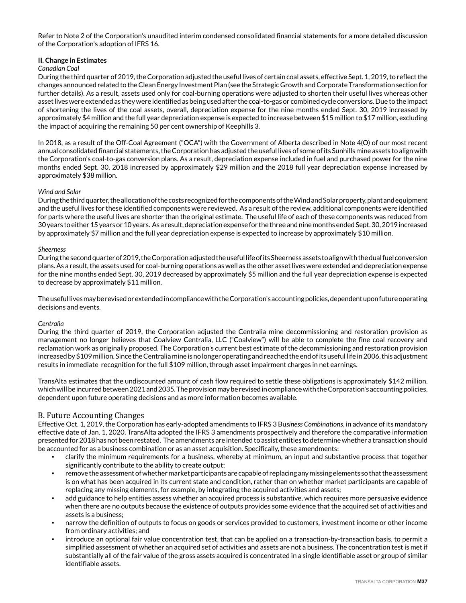Refer to Note 2 of the Corporation's unaudited interim condensed consolidated financial statements for a more detailed discussion of the Corporation's adoption of IFRS 16.

### **II. Change in Estimates**

### *Canadian Coal*

During the third quarter of 2019, the Corporation adjusted the useful lives of certain coal assets, effective Sept. 1, 2019, to reflect the changes announced related to the Clean Energy Investment Plan (see the Strategic Growth and Corporate Transformation section for further details). As a result, assets used only for coal-burning operations were adjusted to shorten their useful lives whereas other asset lives were extended as they were identified as being used after the coal-to-gas or combined cycle conversions. Due to the impact of shortening the lives of the coal assets, overall, depreciation expense for the nine months ended Sept. 30, 2019 increased by approximately \$4 million and the full year depreciation expense is expected to increase between \$15 million to \$17 million, excluding the impact of acquiring the remaining 50 per cent ownership of Keephills 3.

In 2018, as a result of the Off-Coal Agreement ("OCA") with the Government of Alberta described in Note 4(O) of our most recent annual consolidated financial statements, the Corporation has adjusted the useful lives of some of its Sunhills mine assets to align with the Corporation's coal-to-gas conversion plans. As a result, depreciation expense included in fuel and purchased power for the nine months ended Sept. 30, 2018 increased by approximately \$29 million and the 2018 full year depreciation expense increased by approximately \$38 million.

### *Wind and Solar*

During the third quarter, the allocation of the costs recognized for the components of the Wind and Solar property, plant and equipment and the useful lives for these identified components were reviewed. As a result of the review, additional components were identified for parts where the useful lives are shorter than the original estimate. The useful life of each of these components was reduced from 30 years to either 15 years or 10 years. As a result, depreciation expense for the three and nine months ended Sept. 30, 2019 increased by approximately \$7 million and the full year depreciation expense is expected to increase by approximately \$10 million.

### *Sheerness*

During the second quarter of 2019, the Corporation adjusted the useful life of its Sheerness assets to align with the dual fuel conversion plans. As a result, the assets used for coal-burning operations as well as the other asset lives were extended and depreciation expense for the nine months ended Sept. 30, 2019 decreased by approximately \$5 million and the full year depreciation expense is expected to decrease by approximately \$11 million.

The useful lives may be revised or extended in compliance with the Corporation's accounting policies, dependent upon future operating decisions and events.

### *Centralia*

During the third quarter of 2019, the Corporation adjusted the Centralia mine decommissioning and restoration provision as management no longer believes that Coalview Centralia, LLC ("Coalview") will be able to complete the fine coal recovery and reclamation work as originally proposed. The Corporation's current best estimate of the decommissioning and restoration provision increased by \$109 million. Since the Centralia mine is no longer operating and reached the end of its useful life in 2006, this adjustment results in immediate recognition for the full \$109 million, through asset impairment charges in net earnings.

TransAlta estimates that the undiscounted amount of cash flow required to settle these obligations is approximately \$142 million, which will be incurred between 2021 and 2035. The provision may be revised in compliance with the Corporation's accounting policies, dependent upon future operating decisions and as more information becomes available.

### B. Future Accounting Changes

Effective Oct. 1, 2019, the Corporation has early-adopted amendments to IFRS 3 Bu*siness Combinations*, in advance of its mandatory effective date of Jan. 1, 2020. TransAlta adopted the IFRS 3 amendments prospectively and therefore the comparative information presented for 2018 has not been restated. The amendments are intended to assist entities to determine whether a transaction should be accounted for as a business combination or as an asset acquisition. Specifically, these amendments:

- clarify the minimum requirements for a business, whereby at minimum, an input and substantive process that together significantly contribute to the ability to create output;
- remove the assessment of whether market participants are capable of replacing any missing elements so that the assessment is on what has been acquired in its current state and condition, rather than on whether market participants are capable of replacing any missing elements, for example, by integrating the acquired activities and assets;
- add guidance to help entities assess whether an acquired process is substantive, which requires more persuasive evidence when there are no outputs because the existence of outputs provides some evidence that the acquired set of activities and assets is a business;
- narrow the definition of outputs to focus on goods or services provided to customers, investment income or other income from ordinary activities; and
- introduce an optional fair value concentration test, that can be applied on a transaction-by-transaction basis, to permit a simplified assessment of whether an acquired set of activities and assets are not a business. The concentration test is met if substantially all of the fair value of the gross assets acquired is concentrated in a single identifiable asset or group of similar identifiable assets.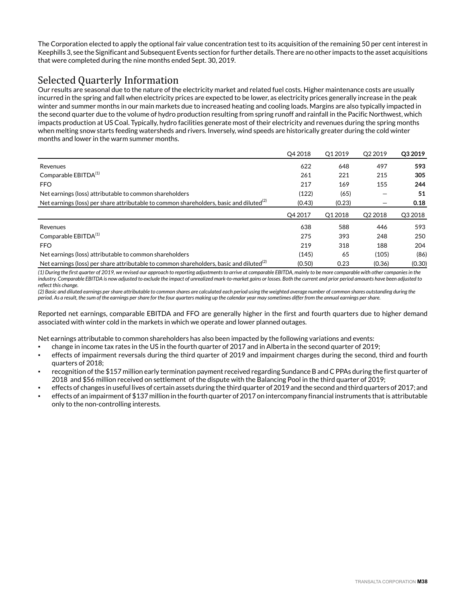The Corporation elected to apply the optional fair value concentration test to its acquisition of the remaining 50 per cent interest in Keephills 3, see the Significant and Subsequent Events section for further details. There are no other impacts to the asset acquisitions that were completed during the nine months ended Sept. 30, 2019.

# Selected Quarterly Information

Our results are seasonal due to the nature of the electricity market and related fuel costs. Higher maintenance costs are usually incurred in the spring and fall when electricity prices are expected to be lower, as electricity prices generally increase in the peak winter and summer months in our main markets due to increased heating and cooling loads. Margins are also typically impacted in the second quarter due to the volume of hydro production resulting from spring runoff and rainfall in the Pacific Northwest, which impacts production at US Coal. Typically, hydro facilities generate most of their electricity and revenues during the spring months when melting snow starts feeding watersheds and rivers. Inversely, wind speeds are historically greater during the cold winter months and lower in the warm summer months.

|                                                                                                     | O4 2018             | O <sub>1</sub> 2019 | O <sub>2</sub> 2019 | O <sub>3</sub> 2019 |
|-----------------------------------------------------------------------------------------------------|---------------------|---------------------|---------------------|---------------------|
| Revenues                                                                                            | 622                 | 648                 | 497                 | 593                 |
| Comparable EBITDA <sup>(1)</sup>                                                                    | 261                 | 221                 | 215                 | 305                 |
| FFO.                                                                                                | 217                 | 169                 | 155                 | 244                 |
| Net earnings (loss) attributable to common shareholders                                             | (122)               | (65)                |                     | 51                  |
| Net earnings (loss) per share attributable to common shareholders, basic and diluted <sup>(2)</sup> | (0.43)              | (0.23)              |                     | 0.18                |
|                                                                                                     | O <sub>4</sub> 2017 | O1 2018             | O <sub>2</sub> 2018 | Q3 2018             |
|                                                                                                     |                     |                     |                     |                     |
| Revenues                                                                                            | 638                 | 588                 | 446                 | 593                 |
| Comparable EBITDA <sup>(1)</sup>                                                                    | 275                 | 393                 | 248                 | 250                 |
| <b>FFO</b>                                                                                          | 219                 | 318                 | 188                 | 204                 |
| Net earnings (loss) attributable to common shareholders                                             | (145)               | 65                  | (105)               | (86)                |

*(1) During the first quarter of 2019, we revised our approach to reporting adjustments to arrive at comparable EBITDA, mainly to be more comparable with other companies in the industry. Comparable EBITDA is now adjusted to exclude the impact of unrealized mark-to-market gains or losses. Both the current and prior period amounts have been adjusted to reflect this change.* 

*(2) Basic and diluted earnings per share attributable to common shares are calculated each period using the weighted average number of common shares outstanding during the period. As a result, the sum of the earnings per share for the four quarters making up the calendar year may sometimes differ from the annual earnings per share.* 

Reported net earnings, comparable EBITDA and FFO are generally higher in the first and fourth quarters due to higher demand associated with winter cold in the markets in which we operate and lower planned outages.

Net earnings attributable to common shareholders has also been impacted by the following variations and events:

- change in income tax rates in the US in the fourth quarter of 2017 and in Alberta in the second quarter of 2019;
- effects of impairment reversals during the third quarter of 2019 and impairment charges during the second, third and fourth quarters of 2018;
- recognition of the \$157 million early termination payment received regarding Sundance B and C PPAs during the first quarter of 2018 and \$56 million received on settlement of the dispute with the Balancing Pool in the third quarter of 2019;
- effects of changes in useful lives of certain assets during the third quarter of 2019 and the second and third quarters of 2017; and
- effects of an impairment of \$137 million in the fourth quarter of 2017 on intercompany financial instruments that is attributable only to the non-controlling interests.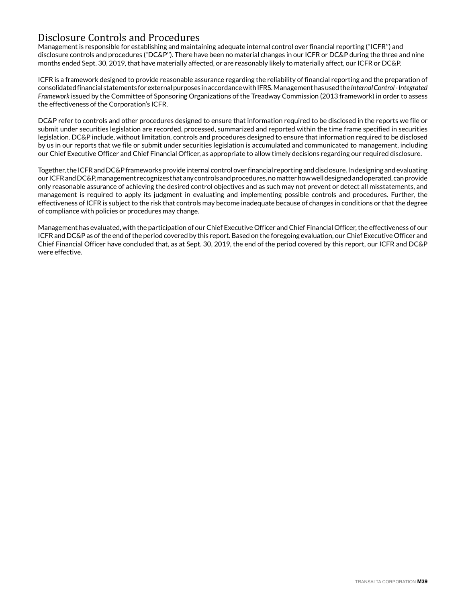# Disclosure Controls and Procedures

Management is responsible for establishing and maintaining adequate internal control over financial reporting (''ICFR'') and disclosure controls and procedures ("DC&P''). There have been no material changes in our ICFR or DC&P during the three and nine months ended Sept. 30, 2019, that have materially affected, or are reasonably likely to materially affect, our ICFR or DC&P.

ICFR is a framework designed to provide reasonable assurance regarding the reliability of financial reporting and the preparation of consolidated financial statements for external purposes in accordance with IFRS. Management has used the *Internal Control - Integrated Framework* issued by the Committee of Sponsoring Organizations of the Treadway Commission (2013 framework) in order to assess the effectiveness of the Corporation's ICFR.

DC&P refer to controls and other procedures designed to ensure that information required to be disclosed in the reports we file or submit under securities legislation are recorded, processed, summarized and reported within the time frame specified in securities legislation. DC&P include, without limitation, controls and procedures designed to ensure that information required to be disclosed by us in our reports that we file or submit under securities legislation is accumulated and communicated to management, including our Chief Executive Officer and Chief Financial Officer, as appropriate to allow timely decisions regarding our required disclosure.

Together, the ICFR and DC&P frameworks provide internal control over financial reporting and disclosure. In designing and evaluating our ICFR and DC&P, management recognizes that any controls and procedures, no matter how well designed and operated, can provide only reasonable assurance of achieving the desired control objectives and as such may not prevent or detect all misstatements, and management is required to apply its judgment in evaluating and implementing possible controls and procedures. Further, the effectiveness of ICFR is subject to the risk that controls may become inadequate because of changes in conditions or that the degree of compliance with policies or procedures may change.

Management has evaluated, with the participation of our Chief Executive Officer and Chief Financial Officer, the effectiveness of our ICFR and DC&P as of the end of the period covered by this report. Based on the foregoing evaluation, our Chief Executive Officer and Chief Financial Officer have concluded that, as at Sept. 30, 2019, the end of the period covered by this report, our ICFR and DC&P were effective.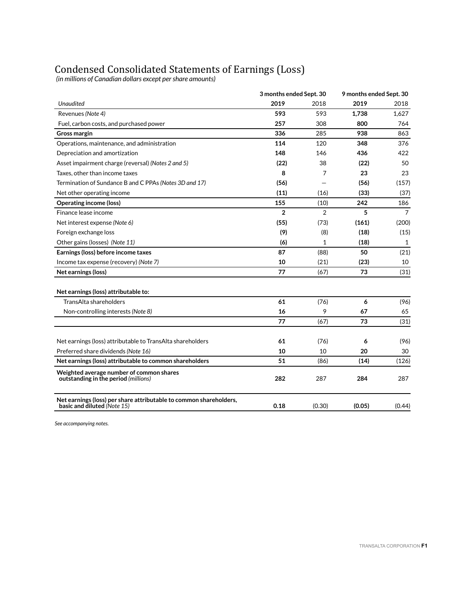# Condensed Consolidated Statements of Earnings (Loss)

 *(in millions of Canadian dollars except per share amounts)*

|                                                                                                   | 3 months ended Sept. 30 |              | 9 months ended Sept. 30 |                |  |
|---------------------------------------------------------------------------------------------------|-------------------------|--------------|-------------------------|----------------|--|
| Unaudited                                                                                         | 2019                    | 2018         | 2019                    | 2018           |  |
| Revenues (Note 4)                                                                                 | 593                     | 593          | 1,738                   | 1,627          |  |
| Fuel, carbon costs, and purchased power                                                           | 257                     | 308          | 800                     | 764            |  |
| <b>Gross margin</b>                                                                               | 336                     | 285          | 938                     | 863            |  |
| Operations, maintenance, and administration                                                       | 114                     | 120          | 348                     | 376            |  |
| Depreciation and amortization                                                                     | 148                     | 146          | 436                     | 422            |  |
| Asset impairment charge (reversal) (Notes 2 and 5)                                                | (22)                    | 38           | (22)                    | 50             |  |
| Taxes, other than income taxes                                                                    | 8                       | 7            | 23                      | 23             |  |
| Termination of Sundance B and C PPAs (Notes 3D and 17)                                            | (56)                    |              | (56)                    | (157)          |  |
| Net other operating income                                                                        | (11)                    | (16)         | (33)                    | (37)           |  |
| <b>Operating income (loss)</b>                                                                    | 155                     | (10)         | 242                     | 186            |  |
| Finance lease income                                                                              | $\overline{2}$          | 2            | 5                       | $\overline{7}$ |  |
| Net interest expense (Note 6)                                                                     | (55)                    | (73)         | (161)                   | (200)          |  |
| Foreign exchange loss                                                                             | (9)                     | (8)          | (18)                    | (15)           |  |
| Other gains (losses) (Note 11)                                                                    | (6)                     | $\mathbf{1}$ | (18)                    | $\mathbf{1}$   |  |
| Earnings (loss) before income taxes                                                               | 87                      | (88)         | 50                      | (21)           |  |
| Income tax expense (recovery) (Note 7)                                                            | 10                      | (21)         | (23)                    | 10             |  |
| Net earnings (loss)                                                                               | 77                      | (67)         | 73                      | (31)           |  |
| Net earnings (loss) attributable to:                                                              |                         |              |                         |                |  |
| TransAlta shareholders                                                                            | 61                      | (76)         | 6                       | (96)           |  |
| Non-controlling interests (Note 8)                                                                | 16                      | 9            | 67                      | 65             |  |
|                                                                                                   | 77                      | (67)         | 73                      | (31)           |  |
| Net earnings (loss) attributable to TransAlta shareholders                                        | 61                      | (76)         | 6                       | (96)           |  |
| Preferred share dividends (Note 16)                                                               | 10                      | 10           | 20                      | 30             |  |
| Net earnings (loss) attributable to common shareholders                                           | 51                      | (86)         | (14)                    | (126)          |  |
| Weighted average number of common shares<br>outstanding in the period (millions)                  | 282                     | 287          | 284                     | 287            |  |
| Net earnings (loss) per share attributable to common shareholders,<br>basic and diluted (Note 15) | 0.18                    | (0.30)       | (0.05)                  | (0.44)         |  |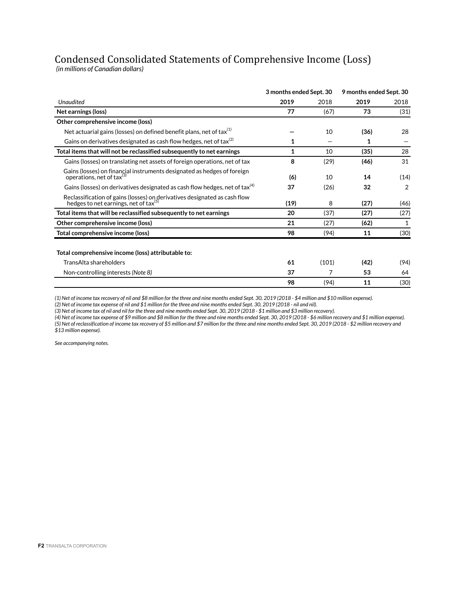# Condensed Consolidated Statements of Comprehensive Income (Loss)

 *(in millions of Canadian dollars)*

|                                                                                                                                | 3 months ended Sept. 30 |       | 9 months ended Sept. 30 |              |  |
|--------------------------------------------------------------------------------------------------------------------------------|-------------------------|-------|-------------------------|--------------|--|
| <b>Unaudited</b>                                                                                                               | 2019                    | 2018  | 2019                    | 2018         |  |
| Net earnings (loss)                                                                                                            | 77                      | (67)  | 73                      | (31)         |  |
| Other comprehensive income (loss)                                                                                              |                         |       |                         |              |  |
| Net actuarial gains (losses) on defined benefit plans, net of tax <sup>(1)</sup>                                               |                         | 10    | (36)                    | 28           |  |
| Gains on derivatives designated as cash flow hedges, net of tax <sup>(2)</sup>                                                 | 1                       |       | 1                       |              |  |
| Total items that will not be reclassified subsequently to net earnings                                                         | 1                       | 10    | (35)                    | 28           |  |
| Gains (losses) on translating net assets of foreign operations, net of tax                                                     | 8                       | (29)  | (46)                    | 31           |  |
| Gains (losses) on financial instruments designated as hedges of foreign operations, net of $\text{tax}^{(3)}$                  | (6)                     | 10    | 14                      | (14)         |  |
| Gains (losses) on derivatives designated as cash flow hedges, net of tax <sup>(4)</sup>                                        | 37                      | (26)  | 32                      | 2            |  |
| Reclassification of gains (losses) on derivatives designated as cash flow<br>hedges to net earnings, net of tax <sup>(5)</sup> | (19)                    | 8     | (27)                    | (46)         |  |
| Total items that will be reclassified subsequently to net earnings                                                             | 20                      | (37)  | (27)                    | (27)         |  |
| Other comprehensive income (loss)                                                                                              | 21                      | (27)  | (62)                    | $\mathbf{1}$ |  |
| Total comprehensive income (loss)                                                                                              | 98                      | (94)  | 11                      | (30)         |  |
| Total comprehensive income (loss) attributable to:                                                                             |                         |       |                         |              |  |
| TransAlta shareholders                                                                                                         | 61                      | (101) | (42)                    | (94)         |  |
| Non-controlling interests (Note 8)                                                                                             | 37                      | 7     | 53                      | 64           |  |
|                                                                                                                                | 98                      | (94)  | 11                      | (30)         |  |

*(1) Net of income tax recovery of nil and \$8 million for the three and nine months ended Sept. 30, 2019 (2018 - \$4 million and \$10 million expense).*

*(2) Net of income tax expense of nil and \$1 million for the three and nine months ended Sept. 30, 2019 (2018 - nil and nil).*

*(3) Net of income tax of nil and nil for the three and nine months ended Sept. 30, 2019 (2018 - \$1 million and \$3 million recovery).*

*(4) Net of income tax expense of \$9 million and \$8 million for the three and nine months ended Sept. 30, 2019 (2018 - \$6 million recovery and \$1 million expense). (5) Net of reclassification of income tax recovery of \$5 million and \$7 million for the three and nine months ended Sept. 30, 2019 (2018 - \$2 million recovery and \$13 million expense).*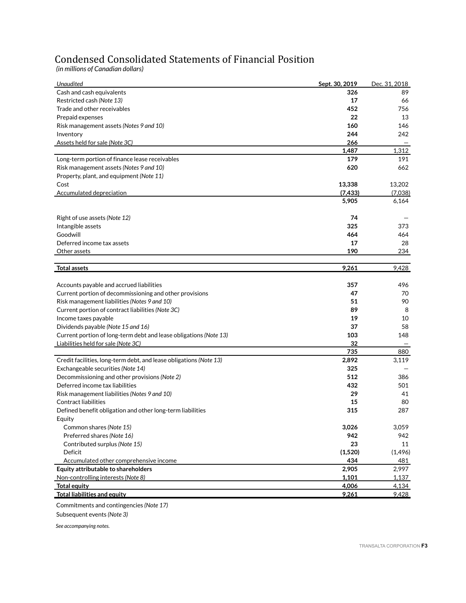# Condensed Consolidated Statements of Financial Position

 *(in millions of Canadian dollars)*

| Unaudited                                                          | Sept. 30, 2019 | Dec. 31, 2018 |
|--------------------------------------------------------------------|----------------|---------------|
| Cash and cash equivalents                                          | 326            | 89            |
| Restricted cash (Note 13)                                          | 17             | 66            |
| Trade and other receivables                                        | 452            | 756           |
| Prepaid expenses                                                   | 22             | 13            |
| Risk management assets (Notes 9 and 10)                            | 160            | 146           |
| Inventory                                                          | 244            | 242           |
| Assets held for sale (Note 3C)                                     | 266            |               |
|                                                                    | 1,487          | 1,312         |
| Long-term portion of finance lease receivables                     | 179            | 191           |
| Risk management assets (Notes 9 and 10)                            | 620            | 662           |
| Property, plant, and equipment (Note 11)                           |                |               |
| Cost                                                               | 13,338         | 13,202        |
| Accumulated depreciation                                           | (7, 433)       | (7,038)       |
|                                                                    | 5,905          | 6,164         |
| Right of use assets (Note 12)                                      | 74             |               |
| Intangible assets                                                  | 325            | 373           |
| Goodwill                                                           | 464            | 464           |
| Deferred income tax assets                                         | 17             | 28            |
| Other assets                                                       | 190            | 234           |
| <b>Total assets</b>                                                | 9,261          | 9,428         |
|                                                                    |                |               |
| Accounts payable and accrued liabilities                           | 357            | 496           |
| Current portion of decommissioning and other provisions            | 47             | 70            |
| Risk management liabilities (Notes 9 and 10)                       | 51             | 90            |
| Current portion of contract liabilities (Note 3C)                  | 89             | 8             |
| Income taxes payable                                               | 19             | 10            |
| Dividends payable (Note 15 and 16)                                 | 37             | 58            |
| Current portion of long-term debt and lease obligations (Note 13)  | 103            | 148           |
| Liabilities held for sale (Note 3C)                                | 32             |               |
|                                                                    | 735            | 880           |
| Credit facilities, long-term debt, and lease obligations (Note 13) | 2,892          | 3,119         |
| Exchangeable securities (Note 14)                                  | 325            |               |
| Decommissioning and other provisions (Note 2)                      | 512            | 386           |
| Deferred income tax liabilities                                    | 432            | 501           |
| Risk management liabilities (Notes 9 and 10)                       | 29             | 41            |
| <b>Contract liabilities</b>                                        | 15             | 80            |
| Defined benefit obligation and other long-term liabilities         | 315            | 287           |
| Equity                                                             |                |               |
| Common shares (Note 15)                                            | 3,026          | 3,059         |
| Preferred shares (Note 16)                                         | 942            | 942           |
| Contributed surplus (Note 15)                                      | 23             | 11            |
| Deficit                                                            | (1,520)        | (1, 496)      |
| Accumulated other comprehensive income                             | 434            | 481           |
| Equity attributable to shareholders                                | 2,905          | 2,997         |
| Non-controlling interests (Note 8)                                 | 1,101          | 1,137         |
| <b>Total equity</b>                                                | 4,006          | 4,134         |
| <b>Total liabilities and equity</b>                                | 9,261          | 9,428         |

Commitments and contingencies *(Note 17)* Subsequent events *(Note 3)*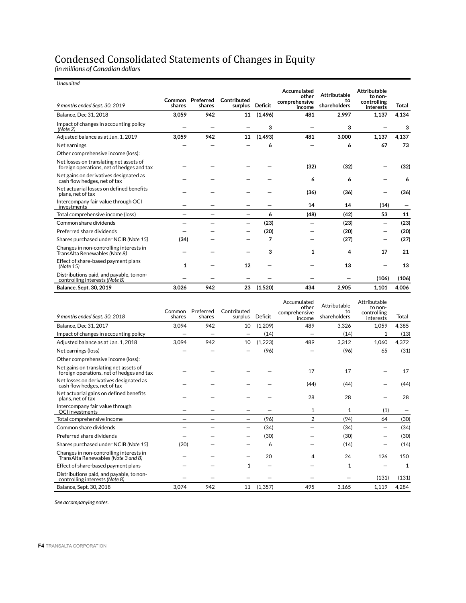# Condensed Consolidated Statements of Changes in Equity

*(in millions of Canadian dollars*

| <b>Unaudited</b>                                                                     |                  |                          |                        |                |                         |                     |                          |       |
|--------------------------------------------------------------------------------------|------------------|--------------------------|------------------------|----------------|-------------------------|---------------------|--------------------------|-------|
|                                                                                      |                  |                          |                        |                | Accumulated<br>other    | <b>Attributable</b> | Attributable<br>to non-  |       |
| 9 months ended Sept. 30, 2019                                                        | Common<br>shares | Preferred<br>shares      | Contributed<br>surplus | <b>Deficit</b> | comprehensive<br>income | to<br>shareholders  | controlling<br>interests | Total |
| <b>Balance, Dec 31, 2018</b>                                                         | 3.059            | 942                      | 11                     | (1, 496)       | 481                     | 2,997               | 1,137                    | 4,134 |
| Impact of changes in accounting policy<br>(Note 2)                                   |                  |                          |                        | 3              |                         | 3                   |                          | 3     |
| Adjusted balance as at Jan. 1, 2019                                                  | 3,059            | 942                      | 11                     | (1, 493)       | 481                     | 3,000               | 1,137                    | 4,137 |
| Net earnings                                                                         |                  |                          |                        | 6              |                         | 6                   | 67                       | 73    |
| Other comprehensive income (loss):                                                   |                  |                          |                        |                |                         |                     |                          |       |
| Net losses on translating net assets of<br>foreign operations, net of hedges and tax |                  |                          |                        |                | (32)                    | (32)                |                          | (32)  |
| Net gains on derivatives designated as<br>cash flow hedges, net of tax               |                  |                          |                        |                | 6                       | 6                   |                          | 6     |
| Net actuarial losses on defined benefits<br>plans, net of tax                        |                  |                          |                        |                | (36)                    | (36)                |                          | (36)  |
| Intercompany fair value through OCI<br>investments                                   |                  |                          |                        |                | 14                      | 14                  | (14)                     |       |
| Total comprehensive income (loss)                                                    |                  | $\overline{\phantom{0}}$ |                        | 6              | (48)                    | (42)                | 53                       | 11    |
| Common share dividends                                                               |                  |                          |                        | (23)           |                         | (23)                | -                        | (23)  |
| Preferred share dividends                                                            |                  |                          |                        | (20)           |                         | (20)                |                          | (20)  |
| Shares purchased under NCIB (Note 15)                                                | (34)             |                          |                        | 7              |                         | (27)                |                          | (27)  |
| Changes in non-controlling interests in<br>TransAlta Renewables (Note 8)             |                  |                          |                        | 3              | 1                       | 4                   | 17                       | 21    |
| Effect of share-based payment plans<br>(Note 15)                                     | 1                |                          | 12                     |                |                         | 13                  |                          | 13    |
| Distributions paid, and payable, to non-<br>controlling interests (Note 8)           |                  |                          |                        |                |                         |                     | (106)                    | (106) |
| <b>Balance, Sept. 30, 2019</b>                                                       | 3,026            | 942                      | 23                     | (1,520)        | 434                     | 2,905               | 1,101                    | 4,006 |

| 9 months ended Sept. 30, 2018                                                       | Common<br>shares | Preferred<br>shares | Contributed<br>surplus | Deficit  | Accumulated<br>other<br>comprehensive<br>income | Attributable<br>to<br>shareholders | Attributable<br>to non-<br>controlling<br>interests | Total        |
|-------------------------------------------------------------------------------------|------------------|---------------------|------------------------|----------|-------------------------------------------------|------------------------------------|-----------------------------------------------------|--------------|
| <b>Balance, Dec 31, 2017</b>                                                        | 3,094            | 942                 | 10                     | (1,209)  | 489                                             | 3,326                              | 1,059                                               | 4,385        |
| Impact of changes in accounting policy                                              |                  |                     |                        | (14)     |                                                 | (14)                               |                                                     | (13)         |
| Adjusted balance as at Jan. 1, 2018                                                 | 3.094            | 942                 | 10                     | (1,223)  | 489                                             | 3,312                              | 1,060                                               | 4,372        |
| Net earnings (loss)                                                                 |                  |                     |                        | (96)     |                                                 | (96)                               | 65                                                  | (31)         |
| Other comprehensive income (loss):                                                  |                  |                     |                        |          |                                                 |                                    |                                                     |              |
| Net gains on translating net assets of<br>foreign operations, net of hedges and tax |                  |                     |                        |          | 17                                              | 17                                 |                                                     | 17           |
| Net losses on derivatives designated as<br>cash flow hedges, net of tax             |                  |                     |                        |          | (44)                                            | (44)                               |                                                     | (44)         |
| Net actuarial gains on defined benefits<br>plans, net of tax                        |                  |                     |                        |          | 28                                              | 28                                 |                                                     | 28           |
| Intercompany fair value through<br>OCI investments                                  |                  |                     |                        |          | 1                                               | 1                                  | (1)                                                 |              |
| Total comprehensive income                                                          |                  |                     |                        | (96)     | $\overline{2}$                                  | (94)                               | 64                                                  | (30)         |
| Common share dividends                                                              |                  |                     |                        | (34)     |                                                 | (34)                               |                                                     | (34)         |
| Preferred share dividends                                                           |                  |                     |                        | (30)     |                                                 | (30)                               |                                                     | (30)         |
| Shares purchased under NCIB (Note 15)                                               | (20)             |                     |                        | 6        |                                                 | (14)                               |                                                     | (14)         |
| Changes in non-controlling interests in<br>TransAlta Renewables (Note 3 and 8)      |                  |                     |                        | 20       | 4                                               | 24                                 | 126                                                 | 150          |
| Effect of share-based payment plans                                                 |                  |                     |                        |          |                                                 | 1                                  |                                                     | $\mathbf{1}$ |
| Distributions paid, and payable, to non-<br>controlling interests (Note 8)          |                  |                     |                        |          |                                                 |                                    | (131)                                               | (131)        |
| Balance, Sept. 30, 2018                                                             | 3,074            | 942                 | 11                     | (1, 357) | 495                                             | 3,165                              | 1,119                                               | 4,284        |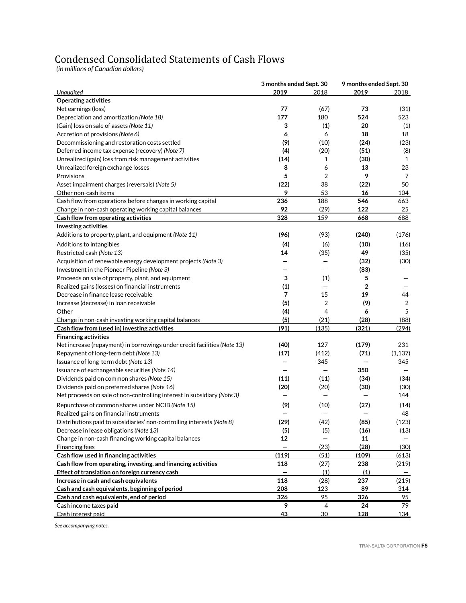# Condensed Consolidated Statements of Cash Flows

*(in millions of Canadian dollars)*

|                                                                          | 3 months ended Sept. 30 |                | 9 months ended Sept. 30 |                |  |
|--------------------------------------------------------------------------|-------------------------|----------------|-------------------------|----------------|--|
| Unaudited                                                                | 2019                    | 2018           | 2019                    | 2018           |  |
| <b>Operating activities</b>                                              |                         |                |                         |                |  |
| Net earnings (loss)                                                      | 77                      | (67)           | 73                      | (31)           |  |
| Depreciation and amortization (Note 18)                                  | 177                     | 180            | 524                     | 523            |  |
| (Gain) loss on sale of assets (Note 11)                                  | 3                       | (1)            | 20                      | (1)            |  |
| Accretion of provisions (Note 6)                                         | 6                       | 6              | 18                      | 18             |  |
| Decommissioning and restoration costs settled                            | (9)                     | (10)           | (24)                    | (23)           |  |
| Deferred income tax expense (recovery) (Note 7)                          | (4)                     | (20)           | (51)                    | (8)            |  |
| Unrealized (gain) loss from risk management activities                   | (14)                    | 1              | (30)                    | $\mathbf{1}$   |  |
| Unrealized foreign exchange losses                                       | 8                       | 6              | 13                      | 23             |  |
| Provisions                                                               | 5                       | 2              | 9                       | 7              |  |
| Asset impairment charges (reversals) (Note 5)                            | (22)                    | 38             | (22)                    | 50             |  |
| Other non-cash items                                                     | 9                       | 53             | 16                      | 104            |  |
| Cash flow from operations before changes in working capital              | 236                     | 188            | 546                     | 663            |  |
| Change in non-cash operating working capital balances                    | 92                      | (29)           | 122                     | 25             |  |
| Cash flow from operating activities                                      | 328                     | 159            | 668                     | 688            |  |
| <b>Investing activities</b>                                              |                         |                |                         |                |  |
| Additions to property, plant, and equipment (Note 11)                    | (96)                    | (93)           | (240)                   | (176)          |  |
| Additions to intangibles                                                 | (4)                     | (6)            | (10)                    | (16)           |  |
| Restricted cash (Note 13)                                                | 14                      | (35)           | 49                      | (35)           |  |
| Acquisition of renewable energy development projects (Note 3)            |                         |                | (32)                    | (30)           |  |
| Investment in the Pioneer Pipeline (Note 3)                              |                         |                | (83)                    |                |  |
| Proceeds on sale of property, plant, and equipment                       | 3                       | (1)            | 5                       |                |  |
| Realized gains (losses) on financial instruments                         | (1)                     |                | $\overline{2}$          |                |  |
| Decrease in finance lease receivable                                     | 7                       | 15             | 19                      | 44             |  |
| Increase (decrease) in loan receivable                                   | (5)                     | $\overline{2}$ | (9)                     | $\overline{2}$ |  |
| Other                                                                    | (4)                     | $\overline{4}$ | 6                       | 5              |  |
| Change in non-cash investing working capital balances                    | (5)                     | (21)           | (28)                    | (88)           |  |
| Cash flow from (used in) investing activities                            | (91)                    | (135)          | (321)                   | (294)          |  |
| <b>Financing activities</b>                                              |                         |                |                         |                |  |
| Net increase (repayment) in borrowings under credit facilities (Note 13) | (40)                    | 127            | (179)                   | 231            |  |
| Repayment of long-term debt (Note 13)                                    | (17)                    | (412)          | (71)                    | (1, 137)       |  |
| Issuance of long-term debt (Note 13)                                     |                         | 345            |                         | 345            |  |
| Issuance of exchangeable securities (Note 14)                            |                         |                | 350                     |                |  |
| Dividends paid on common shares (Note 15)                                | (11)                    | (11)           | (34)                    | (34)           |  |
| Dividends paid on preferred shares (Note 16)                             | (20)                    | (20)           | (30)                    | (30)           |  |
| Net proceeds on sale of non-controlling interest in subsidiary (Note 3)  |                         |                |                         | 144            |  |
| Repurchase of common shares under NCIB (Note 15)                         | (9)                     | (10)           | (27)                    | (14)           |  |
| Realized gains on financial instruments                                  |                         |                |                         | 48             |  |
| Distributions paid to subsidiaries' non-controlling interests (Note 8)   | (29)                    | (42)           | (85)                    | (123)          |  |
| Decrease in lease obligations (Note 13)                                  | (5)                     | (5)            | (16)                    | (13)           |  |
| Change in non-cash financing working capital balances                    | 12                      |                | 11                      |                |  |
| Financing fees                                                           | -                       | (23)           | (28)                    | (30)           |  |
| Cash flow used in financing activities                                   | (119)                   | (51)           | (109)                   | (613)          |  |
| Cash flow from operating, investing, and financing activities            | 118                     | (27)           | 238                     | (219)          |  |
| Effect of translation on foreign currency cash                           |                         | (1)            | (1)                     |                |  |
| Increase in cash and cash equivalents                                    | 118                     | (28)           | 237                     | (219)          |  |
| Cash and cash equivalents, beginning of period                           | 208                     | 123            | 89                      | 314            |  |
| Cash and cash equivalents, end of period                                 | 326                     | 95             | 326                     | 95             |  |
| Cash income taxes paid                                                   | 9                       | $\overline{4}$ | 24                      | 79             |  |
| Cash interest paid                                                       | 43                      | 30             | 128                     | <u>134</u>     |  |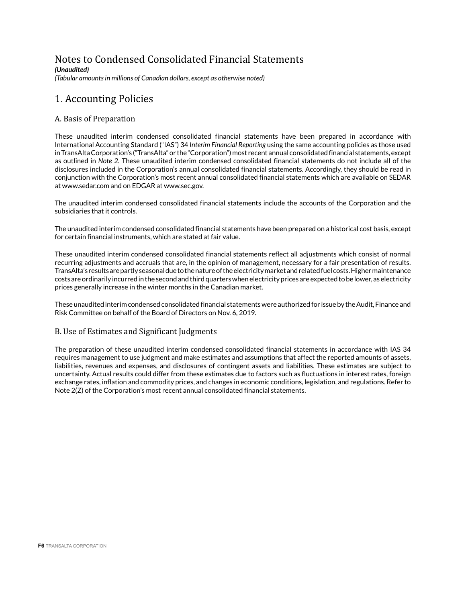# Notes to Condensed Consolidated Financial Statements

*(Unaudited)*

*(Tabular amounts in millions of Canadian dollars, except as otherwise noted)*

# 1. Accounting Policies

# A. Basis of Preparation

These unaudited interim condensed consolidated financial statements have been prepared in accordance with International Accounting Standard ("IAS") 34 *Interim Financial Reporting* using the same accounting policies as those used in TransAlta Corporation's ("TransAlta" or the "Corporation") most recent annual consolidated financial statements, except as outlined in *Note 2.* These unaudited interim condensed consolidated financial statements do not include all of the disclosures included in the Corporation's annual consolidated financial statements. Accordingly, they should be read in conjunction with the Corporation's most recent annual consolidated financial statements which are available on SEDAR at www.sedar.com and on EDGAR at www.sec.gov.

The unaudited interim condensed consolidated financial statements include the accounts of the Corporation and the subsidiaries that it controls.

The unaudited interim condensed consolidated financial statements have been prepared on a historical cost basis, except for certain financial instruments, which are stated at fair value.

These unaudited interim condensed consolidated financial statements reflect all adjustments which consist of normal recurring adjustments and accruals that are, in the opinion of management, necessary for a fair presentation of results. TransAlta's results are partly seasonal due to the nature of the electricity market and related fuel costs. Higher maintenance costs are ordinarily incurred in the second and third quarters when electricity prices are expected to be lower, as electricity prices generally increase in the winter months in the Canadian market.

These unaudited interim condensed consolidated financial statements were authorized for issue by the Audit, Finance and Risk Committee on behalf of the Board of Directors on Nov. 6, 2019.

## B. Use of Estimates and Significant Judgments

The preparation of these unaudited interim condensed consolidated financial statements in accordance with IAS 34 requires management to use judgment and make estimates and assumptions that affect the reported amounts of assets, liabilities, revenues and expenses, and disclosures of contingent assets and liabilities. These estimates are subject to uncertainty. Actual results could differ from these estimates due to factors such as fluctuations in interest rates, foreign exchange rates, inflation and commodity prices, and changes in economic conditions, legislation, and regulations. Refer to Note 2(Z) of the Corporation's most recent annual consolidated financial statements.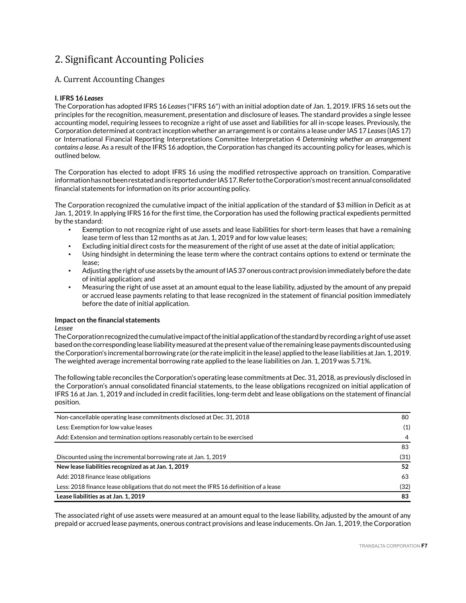# 2. Significant Accounting Policies

# A. Current Accounting Changes

### **I. IFRS 16** *Leases*

The Corporation has adopted IFRS 16 *Leases* ("IFRS 16") with an initial adoption date of Jan. 1, 2019. IFRS 16 sets out the principles for the recognition, measurement, presentation and disclosure of leases. The standard provides a single lessee accounting model, requiring lessees to recognize a right of use asset and liabilities for all in-scope leases. Previously, the Corporation determined at contract inception whether an arrangement is or contains a lease under IAS 17 *Leases* (IAS 17) or International Financial Reporting Interpretations Committee Interpretation 4 *Determining whether an arrangement contains a lease*. As a result of the IFRS 16 adoption, the Corporation has changed its accounting policy for leases, which is outlined below.

The Corporation has elected to adopt IFRS 16 using the modified retrospective approach on transition. Comparative information has not been restated and is reported under IAS 17. Refer to the Corporation's most recent annual consolidated financial statements for information on its prior accounting policy.

The Corporation recognized the cumulative impact of the initial application of the standard of \$3 million in Deficit as at Jan. 1, 2019. In applying IFRS 16 for the first time, the Corporation has used the following practical expedients permitted by the standard:

- Exemption to not recognize right of use assets and lease liabilities for short-term leases that have a remaining lease term of less than 12 months as at Jan. 1, 2019 and for low value leases;
- Excluding initial direct costs for the measurement of the right of use asset at the date of initial application;
- Using hindsight in determining the lease term where the contract contains options to extend or terminate the lease;
- Adjusting the right of use assets by the amount of IAS 37 onerous contract provision immediately before the date of initial application; and
- Measuring the right of use asset at an amount equal to the lease liability, adjusted by the amount of any prepaid or accrued lease payments relating to that lease recognized in the statement of financial position immediately before the date of initial application.

### **Impact on the financial statements**

*Lessee*

The Corporation recognized the cumulative impact of the initial application of the standard by recording a right of use asset based on the corresponding lease liability measured at the present value of the remaining lease payments discounted using the Corporation's incremental borrowing rate (or the rate implicit in the lease) applied to the lease liabilities at Jan. 1, 2019. The weighted average incremental borrowing rate applied to the lease liabilities on Jan. 1, 2019 was 5.71%.

The following table reconciles the Corporation's operating lease commitments at Dec. 31, 2018, as previously disclosed in the Corporation's annual consolidated financial statements, to the lease obligations recognized on initial application of IFRS 16 at Jan. 1, 2019 and included in credit facilities, long-term debt and lease obligations on the statement of financial position.

| Non-cancellable operating lease commitments disclosed at Dec. 31, 2018                  | 80   |  |  |  |  |  |
|-----------------------------------------------------------------------------------------|------|--|--|--|--|--|
| Less: Exemption for low value leases                                                    |      |  |  |  |  |  |
| Add: Extension and termination options reasonably certain to be exercised               | 4    |  |  |  |  |  |
|                                                                                         | 83   |  |  |  |  |  |
| Discounted using the incremental borrowing rate at Jan. 1, 2019                         | (31) |  |  |  |  |  |
| New lease liabilities recognized as at Jan. 1, 2019                                     | 52   |  |  |  |  |  |
| Add: 2018 finance lease obligations                                                     | 63   |  |  |  |  |  |
| Less: 2018 finance lease obligations that do not meet the IFRS 16 definition of a lease | (32) |  |  |  |  |  |
| Lease liabilities as at Jan. 1, 2019                                                    | 83   |  |  |  |  |  |

The associated right of use assets were measured at an amount equal to the lease liability, adjusted by the amount of any prepaid or accrued lease payments, onerous contract provisions and lease inducements. On Jan. 1, 2019, the Corporation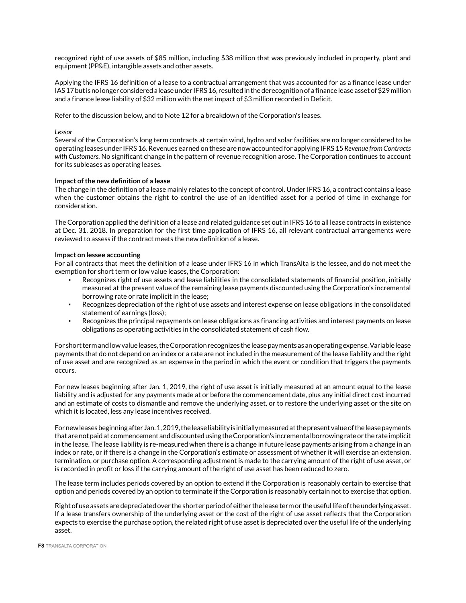recognized right of use assets of \$85 million, including \$38 million that was previously included in property, plant and equipment (PP&E), intangible assets and other assets.

Applying the IFRS 16 definition of a lease to a contractual arrangement that was accounted for as a finance lease under IAS 17 but is no longer considered a lease under IFRS 16, resulted in the derecognition of a finance lease asset of \$29 million and a finance lease liability of \$32 million with the net impact of \$3 million recorded in Deficit.

Refer to the discussion below, and to Note 12 for a breakdown of the Corporation's leases.

### *Lessor*

Several of the Corporation's long term contracts at certain wind, hydro and solar facilities are no longer considered to be operating leases under IFRS 16. Revenues earned on these are now accounted for applying IFRS 15 *Revenue from Contracts with Customers.* No significant change in the pattern of revenue recognition arose. The Corporation continues to account for its subleases as operating leases.

### **Impact of the new definition of a lease**

The change in the definition of a lease mainly relates to the concept of control. Under IFRS 16, a contract contains a lease when the customer obtains the right to control the use of an identified asset for a period of time in exchange for consideration.

The Corporation applied the definition of a lease and related guidance set out in IFRS 16 to all lease contracts in existence at Dec. 31, 2018. In preparation for the first time application of IFRS 16, all relevant contractual arrangements were reviewed to assess if the contract meets the new definition of a lease.

### **Impact on lessee accounting**

For all contracts that meet the definition of a lease under IFRS 16 in which TransAlta is the lessee, and do not meet the exemption for short term or low value leases, the Corporation:

- Recognizes right of use assets and lease liabilities in the consolidated statements of financial position, initially measured at the present value of the remaining lease payments discounted using the Corporation's incremental borrowing rate or rate implicit in the lease;
- Recognizes depreciation of the right of use assets and interest expense on lease obligations in the consolidated statement of earnings (loss);
- Recognizes the principal repayments on lease obligations as financing activities and interest payments on lease obligations as operating activities in the consolidated statement of cash flow.

For short term and low value leases, the Corporation recognizes the lease payments as an operating expense. Variable lease payments that do not depend on an index or a rate are not included in the measurement of the lease liability and the right of use asset and are recognized as an expense in the period in which the event or condition that triggers the payments occurs.

For new leases beginning after Jan. 1, 2019, the right of use asset is initially measured at an amount equal to the lease liability and is adjusted for any payments made at or before the commencement date, plus any initial direct cost incurred and an estimate of costs to dismantle and remove the underlying asset, or to restore the underlying asset or the site on which it is located, less any lease incentives received.

For new leases beginning after Jan. 1, 2019, the lease liability is initially measured at the present value of the lease payments that are not paid at commencement and discounted using the Corporation's incremental borrowing rate or the rate implicit in the lease. The lease liability is re-measured when there is a change in future lease payments arising from a change in an index or rate, or if there is a change in the Corporation's estimate or assessment of whether it will exercise an extension, termination, or purchase option. A corresponding adjustment is made to the carrying amount of the right of use asset, or is recorded in profit or loss if the carrying amount of the right of use asset has been reduced to zero.

The lease term includes periods covered by an option to extend if the Corporation is reasonably certain to exercise that option and periods covered by an option to terminate if the Corporation is reasonably certain not to exercise that option.

Right of use assets are depreciated over the shorter period of either the lease term or the useful life of the underlying asset. If a lease transfers ownership of the underlying asset or the cost of the right of use asset reflects that the Corporation expects to exercise the purchase option, the related right of use asset is depreciated over the useful life of the underlying asset.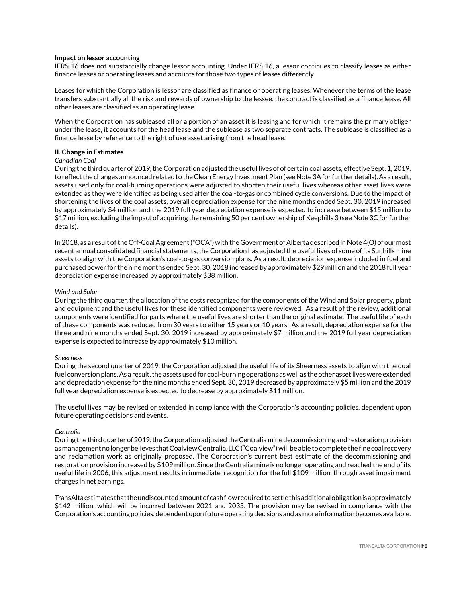### **Impact on lessor accounting**

IFRS 16 does not substantially change lessor accounting. Under IFRS 16, a lessor continues to classify leases as either finance leases or operating leases and accounts for those two types of leases differently.

Leases for which the Corporation is lessor are classified as finance or operating leases. Whenever the terms of the lease transfers substantially all the risk and rewards of ownership to the lessee, the contract is classified as a finance lease. All other leases are classified as an operating lease.

When the Corporation has subleased all or a portion of an asset it is leasing and for which it remains the primary obliger under the lease, it accounts for the head lease and the sublease as two separate contracts. The sublease is classified as a finance lease by reference to the right of use asset arising from the head lease.

### **II. Change in Estimates**

#### *Canadian Coal*

During the third quarter of 2019, the Corporation adjusted the useful lives of of certain coal assets, effective Sept. 1, 2019, to reflect the changes announced related to the Clean Energy Investment Plan (see Note 3A for further details). As a result, assets used only for coal-burning operations were adjusted to shorten their useful lives whereas other asset lives were extended as they were identified as being used after the coal-to-gas or combined cycle conversions. Due to the impact of shortening the lives of the coal assets, overall depreciation expense for the nine months ended Sept. 30, 2019 increased by approximately \$4 million and the 2019 full year depreciation expense is expected to increase between \$15 million to \$17 million, excluding the impact of acquiring the remaining 50 per cent ownership of Keephills 3 (see Note 3C for further details).

In 2018, as a result of the Off-Coal Agreement ("OCA") with the Government of Alberta described in Note 4(O) of our most recent annual consolidated financial statements, the Corporation has adjusted the useful lives of some of its Sunhills mine assets to align with the Corporation's coal-to-gas conversion plans. As a result, depreciation expense included in fuel and purchased power for the nine months ended Sept. 30, 2018 increased by approximately \$29 million and the 2018 full year depreciation expense increased by approximately \$38 million.

#### *Wind and Solar*

During the third quarter, the allocation of the costs recognized for the components of the Wind and Solar property, plant and equipment and the useful lives for these identified components were reviewed. As a result of the review, additional components were identified for parts where the useful lives are shorter than the original estimate. The useful life of each of these components was reduced from 30 years to either 15 years or 10 years. As a result, depreciation expense for the three and nine months ended Sept. 30, 2019 increased by approximately \$7 million and the 2019 full year depreciation expense is expected to increase by approximately \$10 million.

### *Sheerness*

During the second quarter of 2019, the Corporation adjusted the useful life of its Sheerness assets to align with the dual fuel conversion plans. As a result, the assets used for coal-burning operations as well as the other asset lives were extended and depreciation expense for the nine months ended Sept. 30, 2019 decreased by approximately \$5 million and the 2019 full year depreciation expense is expected to decrease by approximately \$11 million.

The useful lives may be revised or extended in compliance with the Corporation's accounting policies, dependent upon future operating decisions and events.

#### *Centralia*

During the third quarter of 2019, the Corporation adjusted the Centralia mine decommissioning and restoration provision as management no longer believes that Coalview Centralia, LLC ("Coalview") will be able to complete the fine coal recovery and reclamation work as originally proposed. The Corporation's current best estimate of the decommissioning and restoration provision increased by \$109 million. Since the Centralia mine is no longer operating and reached the end of its useful life in 2006, this adjustment results in immediate recognition for the full \$109 million, through asset impairment charges in net earnings.

TransAlta estimates that the undiscounted amount of cash flow required to settle this additional obligation is approximately \$142 million, which will be incurred between 2021 and 2035. The provision may be revised in compliance with the Corporation's accounting policies, dependent upon future operating decisions and as more information becomes available.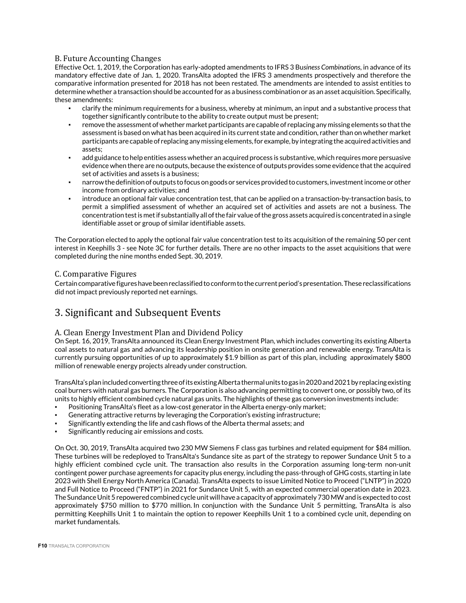# B. Future Accounting Changes

Effective Oct. 1, 2019, the Corporation has early-adopted amendments to IFRS 3 Bu*siness Combinations*, in advance of its mandatory effective date of Jan. 1, 2020. TransAlta adopted the IFRS 3 amendments prospectively and therefore the comparative information presented for 2018 has not been restated. The amendments are intended to assist entities to determine whether a transaction should be accounted for as a business combination or as an asset acquisition. Specifically, these amendments:

- clarify the minimum requirements for a business, whereby at minimum, an input and a substantive process that together significantly contribute to the ability to create output must be present;
- remove the assessment of whether market participants are capable of replacing any missing elements so that the assessment is based on what has been acquired in its current state and condition, rather than on whether market participants are capable of replacing any missing elements, for example, by integrating the acquired activities and assets;
- add guidance to help entities assess whether an acquired process is substantive, which requires more persuasive evidence when there are no outputs, because the existence of outputs provides some evidence that the acquired set of activities and assets is a business;
- narrow the definition of outputs to focus on goods or services provided to customers, investment income or other income from ordinary activities; and
- introduce an optional fair value concentration test, that can be applied on a transaction-by-transaction basis, to permit a simplified assessment of whether an acquired set of activities and assets are not a business. The concentration test is met if substantially all of the fair value of the gross assets acquired is concentrated in a single identifiable asset or group of similar identifiable assets.

The Corporation elected to apply the optional fair value concentration test to its acquisition of the remaining 50 per cent interest in Keephills 3 - see Note 3C for further details. There are no other impacts to the asset acquisitions that were completed during the nine months ended Sept. 30, 2019.

## C. Comparative Figures

Certain comparative figures have been reclassified to conform to the current period's presentation. These reclassifications did not impact previously reported net earnings.

# 3. Significant and Subsequent Events

## A. Clean Energy Investment Plan and Dividend Policy

On Sept. 16, 2019, TransAlta announced its Clean Energy Investment Plan, which includes converting its existing Alberta coal assets to natural gas and advancing its leadership position in onsite generation and renewable energy. TransAlta is currently pursuing opportunities of up to approximately \$1.9 billion as part of this plan, including approximately \$800 million of renewable energy projects already under construction.

TransAlta's plan included converting three of its existing Alberta thermal units to gas in 2020 and 2021 by replacing existing coal burners with natural gas burners. The Corporation is also advancing permitting to convert one, or possibly two, of its units to highly efficient combined cycle natural gas units. The highlights of these gas conversion investments include:

- Positioning TransAlta's fleet as a low-cost generator in the Alberta energy-only market;
- Generating attractive returns by leveraging the Corporation's existing infrastructure;
- Significantly extending the life and cash flows of the Alberta thermal assets; and
- Significantly reducing air emissions and costs.

On Oct. 30, 2019, TransAlta acquired two 230 MW Siemens F class gas turbines and related equipment for \$84 million. These turbines will be redeployed to TransAlta's Sundance site as part of the strategy to repower Sundance Unit 5 to a highly efficient combined cycle unit. The transaction also results in the Corporation assuming long-term non-unit contingent power purchase agreements for capacity plus energy, including the pass-through of GHG costs, starting in late 2023 with Shell Energy North America (Canada). TransAlta expects to issue Limited Notice to Proceed ("LNTP") in 2020 and Full Notice to Proceed ("FNTP") in 2021 for Sundance Unit 5, with an expected commercial operation date in 2023. The Sundance Unit 5 repowered combined cycle unit will have a capacity of approximately 730 MW and is expected to cost approximately \$750 million to \$770 million. In conjunction with the Sundance Unit 5 permitting, TransAlta is also permitting Keephills Unit 1 to maintain the option to repower Keephills Unit 1 to a combined cycle unit, depending on market fundamentals.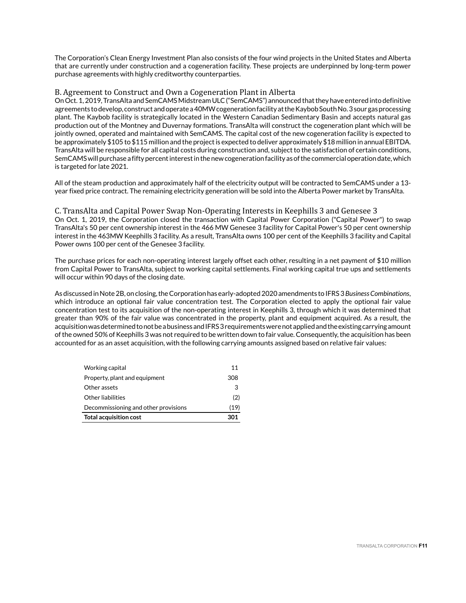The Corporation's Clean Energy Investment Plan also consists of the four wind projects in the United States and Alberta that are currently under construction and a cogeneration facility. These projects are underpinned by long-term power purchase agreements with highly creditworthy counterparties.

### B. Agreement to Construct and Own a Cogeneration Plant in Alberta

On Oct. 1, 2019, TransAlta and SemCAMS Midstream ULC ("SemCAMS") announced that they have entered into definitive agreements to develop, construct and operate a 40MW cogeneration facility at the Kaybob South No. 3 sour gas processing plant. The Kaybob facility is strategically located in the Western Canadian Sedimentary Basin and accepts natural gas production out of the Montney and Duvernay formations. TransAlta will construct the cogeneration plant which will be jointly owned, operated and maintained with SemCAMS. The capital cost of the new cogeneration facility is expected to be approximately \$105 to \$115 million and the project is expected to deliver approximately \$18 million in annual EBITDA. TransAlta will be responsible for all capital costs during construction and, subject to the satisfaction of certain conditions, SemCAMS will purchase a fifty percent interest in the new cogeneration facility as of the commercial operation date, which is targeted for late 2021.

All of the steam production and approximately half of the electricity output will be contracted to SemCAMS under a 13 year fixed price contract. The remaining electricity generation will be sold into the Alberta Power market by TransAlta.

C. TransAlta and Capital Power Swap Non-Operating Interests in Keephills 3 and Genesee 3 On Oct. 1, 2019, the Corporation closed the transaction with Capital Power Corporation ("Capital Power") to swap TransAlta's 50 per cent ownership interest in the 466 MW Genesee 3 facility for Capital Power's 50 per cent ownership interest in the 463MW Keephills 3 facility. As a result, TransAlta owns 100 per cent of the Keephills 3 facility and Capital Power owns 100 per cent of the Genesee 3 facility.

The purchase prices for each non-operating interest largely offset each other, resulting in a net payment of \$10 million from Capital Power to TransAlta, subject to working capital settlements. Final working capital true ups and settlements will occur within 90 days of the closing date.

As discussed in Note 2B, on closing, the Corporation has early-adopted 2020 amendments to IFRS 3 *Business Combinations*, which introduce an optional fair value concentration test. The Corporation elected to apply the optional fair value concentration test to its acquisition of the non-operating interest in Keephills 3, through which it was determined that greater than 90% of the fair value was concentrated in the property, plant and equipment acquired. As a result, the acquisition was determined to not be a business and IFRS 3 requirements were not applied and the existing carrying amount of the owned 50% of Keephills 3 was not required to be written down to fair value. Consequently, the acquisition has been accounted for as an asset acquisition, with the following carrying amounts assigned based on relative fair values:

| <b>Total acquisition cost</b>        | 301  |
|--------------------------------------|------|
| Decommissioning and other provisions | (19) |
| Other liabilities                    | (2)  |
| Other assets                         | 3    |
| Property, plant and equipment        | 308  |
| Working capital                      | 11   |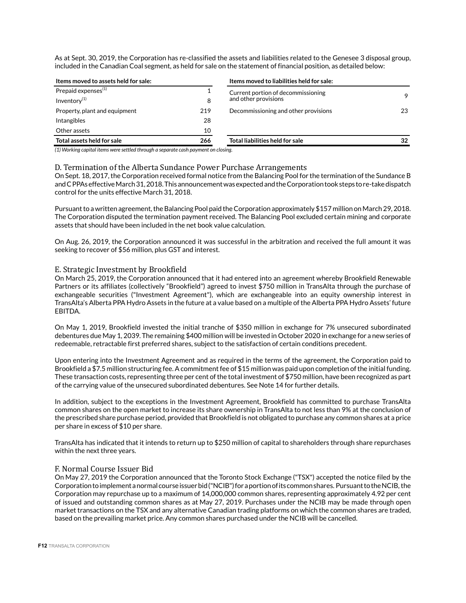As at Sept. 30, 2019, the Corporation has re-classified the assets and liabilities related to the Genesee 3 disposal group, included in the Canadian Coal segment, as held for sale on the statement of financial position, as detailed below:

| Items moved to assets held for sale:                                                                                                                                                                                               |     | Items moved to liabilities held for sale:                  |    |
|------------------------------------------------------------------------------------------------------------------------------------------------------------------------------------------------------------------------------------|-----|------------------------------------------------------------|----|
| Prepaid expenses <sup>(1)</sup><br>Inventory <sup>(1)</sup>                                                                                                                                                                        | 8   | Current portion of decommissioning<br>and other provisions | 9  |
| Property, plant and equipment                                                                                                                                                                                                      | 219 | Decommissioning and other provisions                       | 23 |
| Intangibles                                                                                                                                                                                                                        | 28  |                                                            |    |
| Other assets                                                                                                                                                                                                                       | 10  |                                                            |    |
| Total assets held for sale                                                                                                                                                                                                         | 266 | Total liabilities held for sale                            | 32 |
| $\mathcal{L}$ , and a contract the contract of the contract of the contract of the contract of the contract of the contract of the contract of the contract of the contract of the contract of the contract of the contract of the |     |                                                            |    |

*(1) Working capital items were settled through a separate cash payment on closing.*

### D. Termination of the Alberta Sundance Power Purchase Arrangements

On Sept. 18, 2017, the Corporation received formal notice from the Balancing Pool for the termination of the Sundance B and C PPAs effective March 31, 2018. This announcement was expected and the Corporation took steps to re-take dispatch control for the units effective March 31, 2018.

Pursuant to a written agreement, the Balancing Pool paid the Corporation approximately \$157 million on March 29, 2018. The Corporation disputed the termination payment received. The Balancing Pool excluded certain mining and corporate assets that should have been included in the net book value calculation.

On Aug. 26, 2019, the Corporation announced it was successful in the arbitration and received the full amount it was seeking to recover of \$56 million, plus GST and interest.

### E. Strategic Investment by Brookfield

On March 25, 2019, the Corporation announced that it had entered into an agreement whereby Brookfield Renewable Partners or its affiliates (collectively "Brookfield") agreed to invest \$750 million in TransAlta through the purchase of exchangeable securities ("Investment Agreement"), which are exchangeable into an equity ownership interest in TransAlta's Alberta PPA Hydro Assets in the future at a value based on a multiple of the Alberta PPA Hydro Assets' future EBITDA.

On May 1, 2019, Brookfield invested the initial tranche of \$350 million in exchange for 7% unsecured subordinated debentures due May 1, 2039. The remaining \$400 million will be invested in October 2020 in exchange for a new series of redeemable, retractable first preferred shares, subject to the satisfaction of certain conditions precedent.

Upon entering into the Investment Agreement and as required in the terms of the agreement, the Corporation paid to Brookfield a \$7.5 million structuring fee. A commitment fee of \$15 million was paid upon completion of the initial funding. These transaction costs, representing three per cent of the total investment of \$750 million, have been recognized as part of the carrying value of the unsecured subordinated debentures. See Note 14 for further details.

In addition, subject to the exceptions in the Investment Agreement, Brookfield has committed to purchase TransAlta common shares on the open market to increase its share ownership in TransAlta to not less than 9% at the conclusion of the prescribed share purchase period, provided that Brookfield is not obligated to purchase any common shares at a price per share in excess of \$10 per share.

TransAlta has indicated that it intends to return up to \$250 million of capital to shareholders through share repurchases within the next three years.

### F. Normal Course Issuer Bid

On May 27, 2019 the Corporation announced that the Toronto Stock Exchange ("TSX") accepted the notice filed by the Corporation to implement a normal course issuer bid ("NCIB") for a portion of its common shares. Pursuant to the NCIB, the Corporation may repurchase up to a maximum of 14,000,000 common shares, representing approximately 4.92 per cent of issued and outstanding common shares as at May 27, 2019. Purchases under the NCIB may be made through open market transactions on the TSX and any alternative Canadian trading platforms on which the common shares are traded, based on the prevailing market price. Any common shares purchased under the NCIB will be cancelled.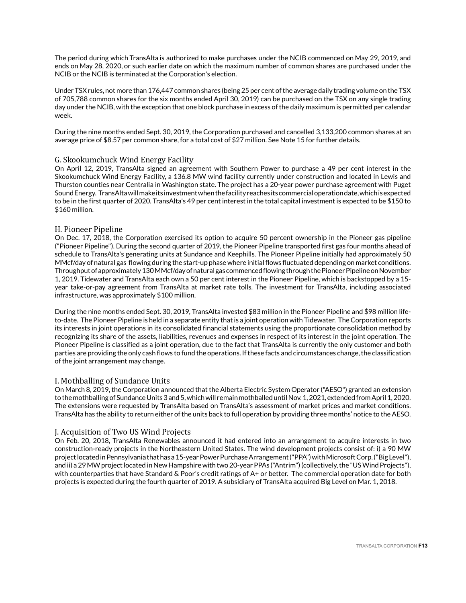The period during which TransAlta is authorized to make purchases under the NCIB commenced on May 29, 2019, and ends on May 28, 2020, or such earlier date on which the maximum number of common shares are purchased under the NCIB or the NCIB is terminated at the Corporation's election.

Under TSX rules, not more than 176,447 common shares (being 25 per cent of the average daily trading volume on the TSX of 705,788 common shares for the six months ended April 30, 2019) can be purchased on the TSX on any single trading day under the NCIB, with the exception that one block purchase in excess of the daily maximum is permitted per calendar week.

During the nine months ended Sept. 30, 2019, the Corporation purchased and cancelled 3,133,200 common shares at an average price of \$8.57 per common share, for a total cost of \$27 million. See Note 15 for further details.

### G. Skookumchuck Wind Energy Facility

On April 12, 2019, TransAlta signed an agreement with Southern Power to purchase a 49 per cent interest in the Skookumchuck Wind Energy Facility, a 136.8 MW wind facility currently under construction and located in Lewis and Thurston counties near Centralia in Washington state. The project has a 20-year power purchase agreement with Puget Sound Energy. TransAlta will make its investment when the facility reaches its commercial operation date, which is expected to be in the first quarter of 2020. TransAlta's 49 per cent interest in the total capital investment is expected to be \$150 to \$160 million.

### H. Pioneer Pipeline

On Dec. 17, 2018, the Corporation exercised its option to acquire 50 percent ownership in the Pioneer gas pipeline ("Pioneer Pipeline"). During the second quarter of 2019, the Pioneer Pipeline transported first gas four months ahead of schedule to TransAlta's generating units at Sundance and Keephills. The Pioneer Pipeline initially had approximately 50 MMcf/day of natural gas flowing during the start-up phase where initial flows fluctuated depending on market conditions. Throughput of approximately 130 MMcf/day of natural gas commenced flowing through the Pioneer Pipeline on November 1, 2019. Tidewater and TransAlta each own a 50 per cent interest in the Pioneer Pipeline, which is backstopped by a 15 year take-or-pay agreement from TransAlta at market rate tolls. The investment for TransAlta, including associated infrastructure, was approximately \$100 million.

During the nine months ended Sept. 30, 2019, TransAlta invested \$83 million in the Pioneer Pipeline and \$98 million lifeto-date. The Pioneer Pipeline is held in a separate entity that is a joint operation with Tidewater. The Corporation reports its interests in joint operations in its consolidated financial statements using the proportionate consolidation method by recognizing its share of the assets, liabilities, revenues and expenses in respect of its interest in the joint operation. The Pioneer Pipeline is classified as a joint operation, due to the fact that TransAlta is currently the only customer and both parties are providing the only cash flows to fund the operations. If these facts and circumstances change, the classification of the joint arrangement may change.

### I. Mothballing of Sundance Units

On March 8, 2019, the Corporation announced that the Alberta Electric System Operator ("AESO") granted an extension to the mothballing of Sundance Units 3 and 5, which will remain mothballed until Nov. 1, 2021, extended from April 1, 2020. The extensions were requested by TransAlta based on TransAlta's assessment of market prices and market conditions. TransAlta has the ability to return either of the units back to full operation by providing three months' notice to the AESO.

### J. Acquisition of Two US Wind Projects

On Feb. 20, 2018, TransAlta Renewables announced it had entered into an arrangement to acquire interests in two construction-ready projects in the Northeastern United States. The wind development projects consist of: i) a 90 MW project located in Pennsylvania that has a 15-year Power Purchase Arrangement ("PPA") with Microsoft Corp. ("Big Level"), and ii) a 29 MW project located in New Hampshire with two 20-year PPAs ("Antrim") (collectively, the "US Wind Projects"), with counterparties that have Standard & Poor's credit ratings of A+ or better. The commercial operation date for both projects is expected during the fourth quarter of 2019. A subsidiary of TransAlta acquired Big Level on Mar. 1, 2018.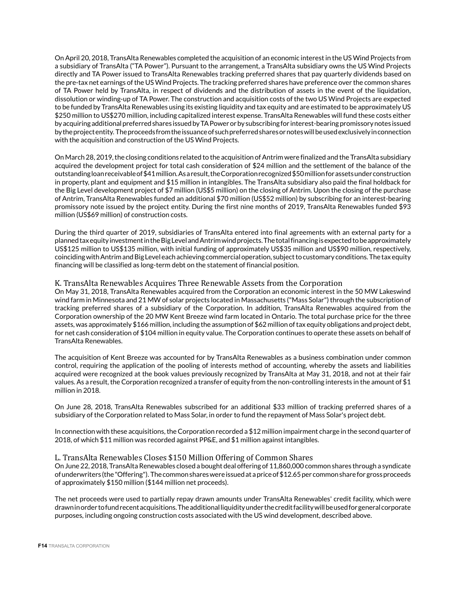On April 20, 2018, TransAlta Renewables completed the acquisition of an economic interest in the US Wind Projects from a subsidiary of TransAlta ("TA Power"). Pursuant to the arrangement, a TransAlta subsidiary owns the US Wind Projects directly and TA Power issued to TransAlta Renewables tracking preferred shares that pay quarterly dividends based on the pre-tax net earnings of the US Wind Projects. The tracking preferred shares have preference over the common shares of TA Power held by TransAlta, in respect of dividends and the distribution of assets in the event of the liquidation, dissolution or winding-up of TA Power. The construction and acquisition costs of the two US Wind Projects are expected to be funded by TransAlta Renewables using its existing liquidity and tax equity and are estimated to be approximately US \$250 million to US\$270 million, including capitalized interest expense. TransAlta Renewables will fund these costs either by acquiring additional preferred shares issued by TA Power or by subscribing for interest-bearing promissory notes issued by the project entity. The proceeds from the issuance of such preferred shares or notes will be used exclusively in connection with the acquisition and construction of the US Wind Projects.

On March 28, 2019, the closing conditions related to the acquisition of Antrim were finalized and the TransAlta subsidiary acquired the development project for total cash consideration of \$24 million and the settlement of the balance of the outstanding loan receivable of \$41 million. As a result, the Corporation recognized \$50 million for assets under construction in property, plant and equipment and \$15 million in intangibles. The TransAlta subsidiary also paid the final holdback for the Big Level development project of \$7 million (US\$5 million) on the closing of Antrim. Upon the closing of the purchase of Antrim, TransAlta Renewables funded an additional \$70 million (US\$52 million) by subscribing for an interest-bearing promissory note issued by the project entity. During the first nine months of 2019, TransAlta Renewables funded \$93 million (US\$69 million) of construction costs.

During the third quarter of 2019, subsidiaries of TransAlta entered into final agreements with an external party for a planned tax equity investment in the Big Level and Antrim wind projects. The total financing is expected to be approximately US\$125 million to US\$135 million, with initial funding of approximately US\$35 million and US\$90 million, respectively, coinciding with Antrim and Big Level each achieving commercial operation, subject to customary conditions. The tax equity financing will be classified as long-term debt on the statement of financial position.

### K. TransAlta Renewables Acquires Three Renewable Assets from the Corporation

On May 31, 2018, TransAlta Renewables acquired from the Corporation an economic interest in the 50 MW Lakeswind wind farm in Minnesota and 21 MW of solar projects located in Massachusetts ("Mass Solar") through the subscription of tracking preferred shares of a subsidiary of the Corporation. In addition, TransAlta Renewables acquired from the Corporation ownership of the 20 MW Kent Breeze wind farm located in Ontario. The total purchase price for the three assets, was approximately \$166 million, including the assumption of \$62 million of tax equity obligations and project debt, for net cash consideration of \$104 million in equity value. The Corporation continues to operate these assets on behalf of TransAlta Renewables.

The acquisition of Kent Breeze was accounted for by TransAlta Renewables as a business combination under common control, requiring the application of the pooling of interests method of accounting, whereby the assets and liabilities acquired were recognized at the book values previously recognized by TransAlta at May 31, 2018, and not at their fair values. As a result, the Corporation recognized a transfer of equity from the non-controlling interests in the amount of \$1 million in 2018.

On June 28, 2018, TransAlta Renewables subscribed for an additional \$33 million of tracking preferred shares of a subsidiary of the Corporation related to Mass Solar, in order to fund the repayment of Mass Solar's project debt.

In connection with these acquisitions, the Corporation recorded a \$12 million impairment charge in the second quarter of 2018, of which \$11 million was recorded against PP&E, and \$1 million against intangibles.

### L. TransAlta Renewables Closes \$150 Million Offering of Common Shares

On June 22, 2018, TransAlta Renewables closed a bought deal offering of 11,860,000 common shares through a syndicate of underwriters (the "Offering"). The common shares were issued at a price of \$12.65 per common share for gross proceeds of approximately \$150 million (\$144 million net proceeds).

The net proceeds were used to partially repay drawn amounts under TransAlta Renewables' credit facility, which were drawn in order to fund recent acquisitions. The additional liquidity under the credit facility will be used for general corporate purposes, including ongoing construction costs associated with the US wind development, described above.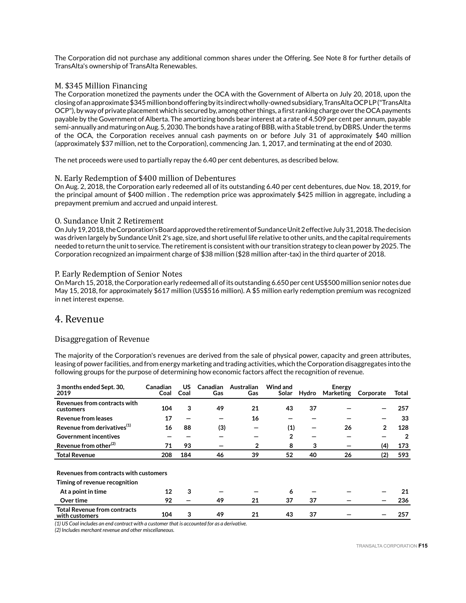The Corporation did not purchase any additional common shares under the Offering. See Note 8 for further details of TransAlta's ownership of TransAlta Renewables.

## M. \$345 Million Financing

The Corporation monetized the payments under the OCA with the Government of Alberta on July 20, 2018, upon the closing of an approximate \$345 million bond offering by its indirect wholly-owned subsidiary, TransAlta OCP LP ("TransAlta OCP"), by way of private placement which is secured by, among other things, a first ranking charge over the OCA payments payable by the Government of Alberta. The amortizing bonds bear interest at a rate of 4.509 per cent per annum, payable semi-annually and maturing on Aug. 5, 2030. The bonds have a rating of BBB, with a Stable trend, by DBRS. Under the terms of the OCA, the Corporation receives annual cash payments on or before July 31 of approximately \$40 million (approximately \$37 million, net to the Corporation), commencing Jan. 1, 2017, and terminating at the end of 2030.

The net proceeds were used to partially repay the 6.40 per cent debentures, as described below.

### N. Early Redemption of \$400 million of Debentures

On Aug. 2, 2018, the Corporation early redeemed all of its outstanding 6.40 per cent debentures, due Nov. 18, 2019, for the principal amount of \$400 million . The redemption price was approximately \$425 million in aggregate, including a prepayment premium and accrued and unpaid interest.

### O. Sundance Unit 2 Retirement

On July 19, 2018, the Corporation's Board approved the retirement of Sundance Unit 2 effective July 31, 2018. The decision was driven largely by Sundance Unit 2's age, size, and short useful life relative to other units, and the capital requirements needed to return the unit to service. The retirement is consistent with our transition strategy to clean power by 2025. The Corporation recognized an impairment charge of \$38 million (\$28 million after-tax) in the third quarter of 2018.

### P. Early Redemption of Senior Notes

On March 15, 2018, the Corporation early redeemed all of its outstanding 6.650 per cent US\$500 million senior notes due May 15, 2018, for approximately \$617 million (US\$516 million). A \$5 million early redemption premium was recognized in net interest expense.

# 4. Revenue

## Disaggregation of Revenue

The majority of the Corporation's revenues are derived from the sale of physical power, capacity and green attributes, leasing of power facilities, and from energy marketing and trading activities, which the Corporation disaggregates into the following groups for the purpose of determining how economic factors affect the recognition of revenue.

| 3 months ended Sept. 30,<br>2019                      | Canadian<br>Coal | US<br>Coal | <b>Canadian</b><br>Gas | Australian<br>Gas | Wind and<br>Solar | Hydro | Energy<br>Marketing | Corporate      | Total |
|-------------------------------------------------------|------------------|------------|------------------------|-------------------|-------------------|-------|---------------------|----------------|-------|
| Revenues from contracts with<br>customers             | 104              | 3          | 49                     | 21                | 43                | 37    |                     |                | 257   |
| Revenue from leases                                   | 17               |            |                        | 16                |                   |       |                     |                | 33    |
| Revenue from derivatives <sup>(1)</sup>               | 16               | 88         | (3)                    |                   | (1)               |       | 26                  | $\overline{2}$ | 128   |
| <b>Government incentives</b>                          |                  |            |                        |                   | $\overline{2}$    |       |                     |                | 2     |
| Revenue from other <sup>(2)</sup>                     | 71               | 93         |                        | $\mathbf{2}$      | 8                 | 3     |                     | (4)            | 173   |
| <b>Total Revenue</b>                                  | 208              | 184        | 46                     | 39                | 52                | 40    | 26                  | (2)            | 593   |
| Revenues from contracts with customers                |                  |            |                        |                   |                   |       |                     |                |       |
| Timing of revenue recognition                         |                  |            |                        |                   |                   |       |                     |                |       |
| At a point in time                                    | 12               | 3          |                        |                   | 6                 |       |                     |                | 21    |
| Over time                                             | 92               |            | 49                     | 21                | 37                | 37    |                     |                | 236   |
| <b>Total Revenue from contracts</b><br>with customers | 104              | 3          | 49                     | 21                | 43                | 37    |                     |                | 257   |

*(1) US Coal includes an end contract with a customer that is accounted for as a derivative.*

*(2) Includes merchant revenue and other miscellaneous.*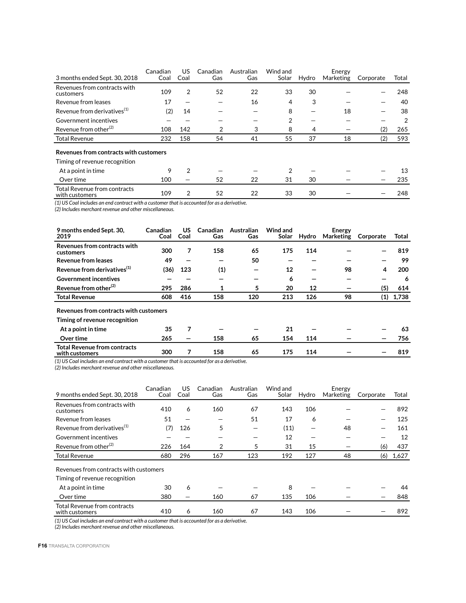| 3 months ended Sept. 30, 2018                         | Canadian<br>Coal | US<br>Coal | Canadian<br>Gas | Australian<br>Gas | Wind and<br>Solar | Hydro | Energy<br>Marketing | Corporate | Total |
|-------------------------------------------------------|------------------|------------|-----------------|-------------------|-------------------|-------|---------------------|-----------|-------|
| Revenues from contracts with<br>customers             | 109              | 2          | 52              | 22                | 33                | 30    |                     |           | 248   |
| Revenue from leases                                   | 17               |            |                 | 16                | 4                 | 3     |                     |           | 40    |
| Revenue from derivatives <sup>(1)</sup>               | (2)              | 14         |                 |                   | 8                 |       | 18                  |           | 38    |
| Government incentives                                 |                  |            |                 |                   | 2                 |       |                     |           | 2     |
| Revenue from other <sup>(2)</sup>                     | 108              | 142        | 2               | 3                 | 8                 | 4     |                     | (2)       | 265   |
| <b>Total Revenue</b>                                  | 232              | 158        | 54              | 41                | 55                | 37    | 18                  | (2)       | 593   |
| Revenues from contracts with customers                |                  |            |                 |                   |                   |       |                     |           |       |
| Timing of revenue recognition                         |                  |            |                 |                   |                   |       |                     |           |       |
| At a point in time                                    | 9                | 2          |                 |                   | 2                 |       |                     |           | 13    |
| Over time                                             | 100              |            | 52              | 22                | 31                | 30    |                     |           | 235   |
| <b>Total Revenue from contracts</b><br>with customers | 109              | 2          | 52              | 22                | 33                | 30    |                     |           | 248   |

*(1) US Coal includes an end contract with a customer that is accounted for as a derivative.*

*(2) Includes merchant revenue and other miscellaneous.*

| 9 months ended Sept. 30,<br>2019                                        | Canadian<br>Coal | US<br>Coal               | <b>Canadian</b><br>Gas | Australian<br>Gas | Wind and<br>Solar | Hydro | Energy<br>Marketing | Corporate | Total |
|-------------------------------------------------------------------------|------------------|--------------------------|------------------------|-------------------|-------------------|-------|---------------------|-----------|-------|
| Revenues from contracts with<br>customers                               | 300              | 7                        | 158                    | 65                | 175               | 114   |                     |           | 819   |
| <b>Revenue from leases</b>                                              | 49               |                          |                        | 50                |                   |       |                     |           | 99    |
| Revenue from derivatives <sup>(1)</sup>                                 | (36)             | 123                      | (1)                    | -                 | 12                |       | 98                  | 4         | 200   |
| <b>Government incentives</b>                                            |                  |                          |                        | -                 | 6                 | -     |                     |           | 6     |
| Revenue from other <sup>(2)</sup>                                       | 295              | 286                      | 1                      | 5                 | 20                | 12    |                     | (5)       | 614   |
| <b>Total Revenue</b>                                                    | 608              | 416                      | 158                    | 120               | 213               | 126   | 98                  | (1)       | 1,738 |
| Revenues from contracts with customers<br>Timing of revenue recognition |                  |                          |                        |                   |                   |       |                     |           |       |
| At a point in time                                                      | 35               | 7                        |                        |                   | 21                |       |                     |           | 63    |
| Over time                                                               | 265              | $\overline{\phantom{0}}$ | 158                    | 65                | 154               | 114   |                     |           | 756   |
| <b>Total Revenue from contracts</b><br>with customers                   | 300              | 7                        | 158                    | 65                | 175               | 114   |                     |           | 819   |

*(1) US Coal includes an end contract with a customer that is accounted for as a derivative.*

*(2) Includes merchant revenue and other miscellaneous.*

9 months ended Sept. 30, 2018 Canadian Coal US Coal Canadian Gas Australian Gas Wind and Solar Hydro Energy<br>Marketing Corporate Total Revenues from contracts with customers 410 6 160 67 143 106 — — 892 Revenue from leases 51 - - 51 17 6 - - 125 Revenue from derivatives<sup>(1)</sup> (7) 126 5 - (11) - 48 - 161 Government incentives  $\qquad \qquad - \qquad - \qquad \qquad - \qquad \qquad - \qquad \qquad 12 \qquad - \qquad \qquad - \qquad \qquad - \qquad \qquad 12$ Revenue from other<sup>(2)</sup>  $226$   $164$   $2$   $5$   $31$   $15$   $-$  (6)  $437$ Total Revenue 680 296 167 123 192 127 48 (6) 1,627 Revenues from contracts with customers Timing of revenue recognition At a point in time  $\begin{array}{ccccccccccccc} & & & & & 30 & & 6 & & & - & & & - & & & 8 & & - & & & - & & & - & & & 44 \end{array}$  Over time 380 — 160 67 135 106 — — 848 Total Revenue from contracts with customers and customers 410 6 160 67 143 106 – – 892

*(1) US Coal includes an end contract with a customer that is accounted for as a derivative.*

*(2) Includes merchant revenue and other miscellaneous.*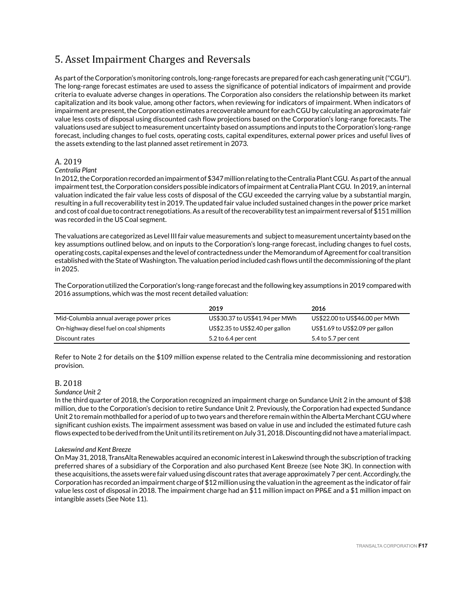# 5. Asset Impairment Charges and Reversals

As part of the Corporation's monitoring controls, long-range forecasts are prepared for each cash generating unit ("CGU"). The long-range forecast estimates are used to assess the significance of potential indicators of impairment and provide criteria to evaluate adverse changes in operations. The Corporation also considers the relationship between its market capitalization and its book value, among other factors, when reviewing for indicators of impairment. When indicators of impairment are present, the Corporation estimates a recoverable amount for each CGU by calculating an approximate fair value less costs of disposal using discounted cash flow projections based on the Corporation's long-range forecasts. The valuations used are subject to measurement uncertainty based on assumptions and inputs to the Corporation's long-range forecast, including changes to fuel costs, operating costs, capital expenditures, external power prices and useful lives of the assets extending to the last planned asset retirement in 2073.

## A. 2019

### *Centralia Plant*

In 2012, the Corporation recorded an impairment of \$347 million relating to the Centralia Plant CGU. As part of the annual impairment test, the Corporation considers possible indicators of impairment at Centralia Plant CGU. In 2019, an internal valuation indicated the fair value less costs of disposal of the CGU exceeded the carrying value by a substantial margin, resulting in a full recoverability test in 2019. The updated fair value included sustained changes in the power price market and cost of coal due to contract renegotiations. As a result of the recoverability test an impairment reversal of \$151 million was recorded in the US Coal segment.

The valuations are categorized as Level III fair value measurements and subject to measurement uncertainty based on the key assumptions outlined below, and on inputs to the Corporation's long-range forecast, including changes to fuel costs, operating costs, capital expenses and the level of contractedness under the Memorandum of Agreement for coal transition established with the State of Washington. The valuation period included cash flows until the decommissioning of the plant in 2025.

The Corporation utilized the Corporation's long-range forecast and the following key assumptions in 2019 compared with 2016 assumptions, which was the most recent detailed valuation:

|                                          | 2019                            | 2016                            |
|------------------------------------------|---------------------------------|---------------------------------|
| Mid-Columbia annual average power prices | US\$30.37 to US\$41.94 per MWh  | US\$22.00 to US\$46.00 per MWh  |
| On-highway diesel fuel on coal shipments | US\$2.35 to US\$2.40 per gallon | US\$1.69 to US\$2.09 per gallon |
| Discount rates                           | 5.2 to 6.4 per cent             | 5.4 to 5.7 per cent             |

Refer to Note 2 for details on the \$109 million expense related to the Centralia mine decommissioning and restoration provision.

### B. 2018

### *Sundance Unit 2*

In the third quarter of 2018, the Corporation recognized an impairment charge on Sundance Unit 2 in the amount of \$38 million, due to the Corporation's decision to retire Sundance Unit 2. Previously, the Corporation had expected Sundance Unit 2 to remain mothballed for a period of up to two years and therefore remain within the Alberta Merchant CGU where significant cushion exists. The impairment assessment was based on value in use and included the estimated future cash flows expected to be derived from the Unit until its retirement on July 31, 2018. Discounting did not have a material impact.

### *Lakeswind and Kent Breeze*

On May 31, 2018, TransAlta Renewables acquired an economic interest in Lakeswind through the subscription of tracking preferred shares of a subsidiary of the Corporation and also purchased Kent Breeze (see Note 3K). In connection with these acquisitions, the assets were fair valued using discount rates that average approximately 7 per cent. Accordingly, the Corporation has recorded an impairment charge of \$12 million using the valuation in the agreement as the indicator of fair value less cost of disposal in 2018. The impairment charge had an \$11 million impact on PP&E and a \$1 million impact on intangible assets (See Note 11).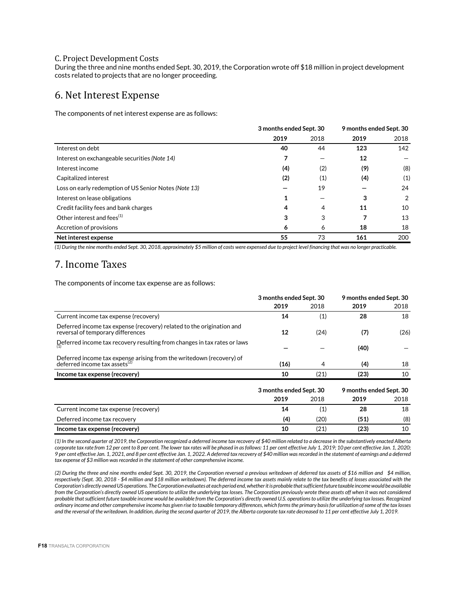### C. Project Development Costs

During the three and nine months ended Sept. 30, 2019, the Corporation wrote off \$18 million in project development costs related to projects that are no longer proceeding.

# 6. Net Interest Expense

The components of net interest expense are as follows:

|                                                       | 3 months ended Sept. 30 |                     | 9 months ended Sept. 30 |      |
|-------------------------------------------------------|-------------------------|---------------------|-------------------------|------|
|                                                       | 2019                    | 2018                | 2019                    | 2018 |
| Interest on debt                                      | 40                      | 44                  | 123                     | 142  |
| Interest on exchangeable securities (Note 14)         | 7                       |                     | 12                      |      |
| Interest income                                       | (4)                     | (2)                 | (9)                     | (8)  |
| Capitalized interest                                  | (2)                     | $\scriptstyle{(1)}$ | (4)                     | (1)  |
| Loss on early redemption of US Senior Notes (Note 13) |                         | 19                  |                         | 24   |
| Interest on lease obligations                         | 1                       |                     | 3                       | 2    |
| Credit facility fees and bank charges                 | 4                       | 4                   | 11                      | 10   |
| Other interest and fees <sup>(1)</sup>                | 3                       | 3                   |                         | 13   |
| Accretion of provisions                               | 6                       | 6                   | 18                      | 18   |
| Net interest expense                                  | 55                      | 73                  | 161                     | 200  |

*(1) During the nine months ended Sept. 30, 2018, approximately \$5 million of costs were expensed due to project level financing that was no longer practicable.*

# 7. Income Taxes

The components of income tax expense are as follows:

|                                                                                                             | 3 months ended Sept. 30 |      | 9 months ended Sept. 30 |      |  |
|-------------------------------------------------------------------------------------------------------------|-------------------------|------|-------------------------|------|--|
|                                                                                                             | 2019                    | 2018 | 2019                    | 2018 |  |
| Current income tax expense (recovery)                                                                       | 14                      | (1)  | 28                      | 18   |  |
| Deferred income tax expense (recovery) related to the origination and<br>reversal of temporary differences  | 12                      | (24) | (7)                     | (26) |  |
| Deferred income tax recovery resulting from changes in tax rates or laws                                    |                         |      | (40)                    |      |  |
| Deferred income tax expense arising from the writedown (recovery) of<br>deferred income tax assets $^{(2)}$ | (16)                    | 4    | (4)                     | 18   |  |
| Income tax expense (recovery)                                                                               | 10                      | (21) | (23)                    | 10   |  |
|                                                                                                             | 3 months ended Sept. 30 |      | 9 months ended Sept. 30 |      |  |
|                                                                                                             | 2019                    | 2018 | 2019                    | 2018 |  |
| Current income tax expense (recovery)                                                                       | 14                      | (1)  | 28                      | 18   |  |
| Deferred income tax recovery                                                                                | (4)                     | (20) | (51)                    | (8)  |  |
| Income tax expense (recovery)                                                                               | 10                      | (21) | (23)                    | 10   |  |

*(1) In the second quarter of 2019, the Corporation recognized a deferred income tax recovery of \$40 million related to a decrease in the substantively enacted Alberta corporate tax rate from 12 per cent to 8 per cent. The lower tax rates will be phased in as follows: 11 per cent effective July 1, 2019; 10 per cent effective Jan. 1, 2020; 9 per cent effective Jan. 1, 2021, and 8 per cent effective Jan. 1, 2022. A deferred tax recovery of \$40 million was recorded in the statement of earnings and a deferred tax expense of \$3 million was recorded in the statement of other comprehensive income.*

*(2) During the three and nine months ended Sept. 30, 2019, the Corporation reversed a previous writedown of deferred tax assets of \$16 million and \$4 million, respectively (Sept. 30, 2018 - \$4 million and \$18 million writedown). The deferred income tax assets mainly relate to the tax benefits of losses associated with the Corporation's directly owned US operations. The Corporation evaluates at each period end, whether it is probable that sufficient future taxable income would be available from the Corporation's directly owned US operations to utilize the underlying tax losses. The Corporation previously wrote these assets off when it was not considered probable that sufficient future taxable income would be available from the Corporation's directly owned U.S. operations to utilize the underlying tax losses. Recognized ordinary income and other comprehensive income has given rise to taxable temporary differences, which forms the primary basis for utilization of some of the tax losses and the reversal of the writedown. In addition, during the second quarter of 2019, the Alberta corporate tax rate decreased to 11 per cent effective July 1, 2019.*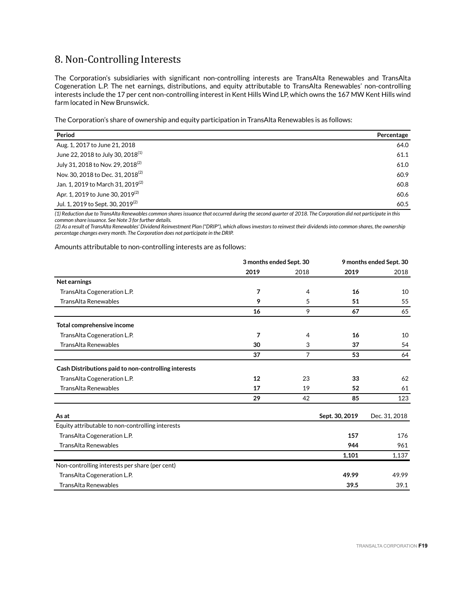# 8. Non-Controlling Interests

The Corporation's subsidiaries with significant non-controlling interests are TransAlta Renewables and TransAlta Cogeneration L.P. The net earnings, distributions, and equity attributable to TransAlta Renewables' non-controlling interests include the 17 per cent non-controlling interest in Kent Hills Wind LP, which owns the 167 MW Kent Hills wind farm located in New Brunswick.

The Corporation's share of ownership and equity participation in TransAlta Renewables is as follows:

| Period                                        | Percentage |
|-----------------------------------------------|------------|
| Aug. 1, 2017 to June 21, 2018                 | 64.0       |
| June 22, 2018 to July 30, 2018 <sup>(1)</sup> | 61.1       |
| July 31, 2018 to Nov. 29, 2018 <sup>(2)</sup> | 61.0       |
| Nov. 30, 2018 to Dec. 31, 2018 <sup>(2)</sup> | 60.9       |
| Jan. 1, 2019 to March 31, 2019 <sup>(2)</sup> | 60.8       |
| Apr. 1, 2019 to June 30, 2019 <sup>(2)</sup>  | 60.6       |
| Jul. 1, 2019 to Sept. 30, 2019 <sup>(2)</sup> | 60.5       |

*(1) Reduction due to TransAlta Renewables common shares issuance that occurred during the second quarter of 2018. The Corporation did not participate in this common share issuance. See Note 3 for further details.* 

*(2) As a result of TransAlta Renewables' Dividend Reinvestment Plan ("DRIP"), which allows investors to reinvest their dividends into common shares, the ownership percentage changes every month. The Corporation does not participate in the DRIP.*

Amounts attributable to non-controlling interests are as follows:

|                                                      | 3 months ended Sept. 30 |                |                | 9 months ended Sept. 30 |
|------------------------------------------------------|-------------------------|----------------|----------------|-------------------------|
|                                                      | 2019                    | 2018           | 2019           | 2018                    |
| Net earnings                                         |                         |                |                |                         |
| TransAlta Cogeneration L.P.                          | 7                       | 4              | 16             | 10                      |
| <b>TransAlta Renewables</b>                          | 9                       | 5              | 51             | 55                      |
|                                                      | 16                      | 9              | 67             | 65                      |
| Total comprehensive income                           |                         |                |                |                         |
| TransAlta Cogeneration L.P.                          | 7                       | 4              | 16             | 10                      |
| <b>TransAlta Renewables</b>                          | 30                      | 3              | 37             | 54                      |
|                                                      | 37                      | $\overline{7}$ | 53             | 64                      |
| Cash Distributions paid to non-controlling interests |                         |                |                |                         |
| TransAlta Cogeneration L.P.                          | 12                      | 23             | 33             | 62                      |
| <b>TransAlta Renewables</b>                          | 17<br>19<br>52          | 61             |                |                         |
|                                                      | 29                      | 42             | 85             | 123                     |
| As at                                                |                         |                | Sept. 30, 2019 | Dec. 31, 2018           |
| Equity attributable to non-controlling interests     |                         |                |                |                         |
| TransAlta Cogeneration L.P.                          |                         |                | 157            | 176                     |
| <b>TransAlta Renewables</b>                          |                         |                | 944            | 961                     |
|                                                      |                         |                | 1,101          | 1,137                   |
| Non-controlling interests per share (per cent)       |                         |                |                |                         |
| TransAlta Cogeneration L.P.                          |                         |                | 49.99          | 49.99                   |
| <b>TransAlta Renewables</b>                          |                         |                | 39.5           | 39.1                    |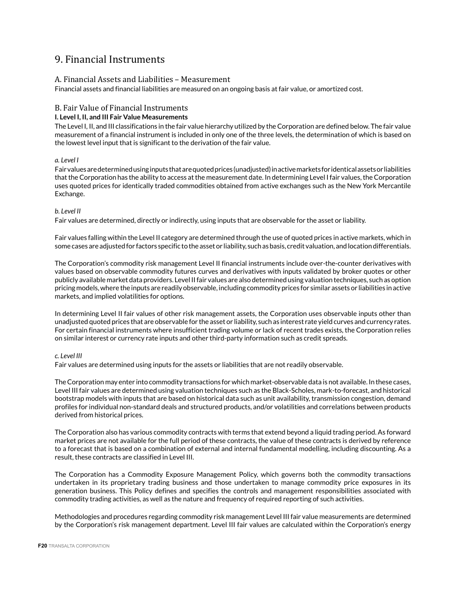# 9. Financial Instruments

## A. Financial Assets and Liabilities – Measurement

Financial assets and financial liabilities are measured on an ongoing basis at fair value, or amortized cost.

## B. Fair Value of Financial Instruments

## **I. Level I, II, and III Fair Value Measurements**

The Level I, II, and III classifications in the fair value hierarchy utilized by the Corporation are defined below. The fair value measurement of a financial instrument is included in only one of the three levels, the determination of which is based on the lowest level input that is significant to the derivation of the fair value.

### *a. Level I*

Fair values are determined using inputs that are quoted prices (unadjusted) in active markets for identical assets or liabilities that the Corporation has the ability to access at the measurement date. In determining Level I fair values, the Corporation uses quoted prices for identically traded commodities obtained from active exchanges such as the New York Mercantile Exchange.

### *b. Level II*

Fair values are determined, directly or indirectly, using inputs that are observable for the asset or liability.

Fair values falling within the Level II category are determined through the use of quoted prices in active markets, which in some cases are adjusted for factors specific to the asset or liability, such as basis, credit valuation, and location differentials.

The Corporation's commodity risk management Level II financial instruments include over-the-counter derivatives with values based on observable commodity futures curves and derivatives with inputs validated by broker quotes or other publicly available market data providers. Level II fair values are also determined using valuation techniques, such as option pricing models, where the inputs are readily observable, including commodity prices for similar assets or liabilities in active markets, and implied volatilities for options.

In determining Level II fair values of other risk management assets, the Corporation uses observable inputs other than unadjusted quoted prices that are observable for the asset or liability, such as interest rate yield curves and currency rates. For certain financial instruments where insufficient trading volume or lack of recent trades exists, the Corporation relies on similar interest or currency rate inputs and other third-party information such as credit spreads.

### *c. Level III*

Fair values are determined using inputs for the assets or liabilities that are not readily observable.

The Corporation may enter into commodity transactions for which market-observable data is not available. In these cases, Level III fair values are determined using valuation techniques such as the Black-Scholes, mark-to-forecast, and historical bootstrap models with inputs that are based on historical data such as unit availability, transmission congestion, demand profiles for individual non-standard deals and structured products, and/or volatilities and correlations between products derived from historical prices.

The Corporation also has various commodity contracts with terms that extend beyond a liquid trading period. As forward market prices are not available for the full period of these contracts, the value of these contracts is derived by reference to a forecast that is based on a combination of external and internal fundamental modelling, including discounting. As a result, these contracts are classified in Level III.

The Corporation has a Commodity Exposure Management Policy, which governs both the commodity transactions undertaken in its proprietary trading business and those undertaken to manage commodity price exposures in its generation business. This Policy defines and specifies the controls and management responsibilities associated with commodity trading activities, as well as the nature and frequency of required reporting of such activities.

Methodologies and procedures regarding commodity risk management Level III fair value measurements are determined by the Corporation's risk management department. Level III fair values are calculated within the Corporation's energy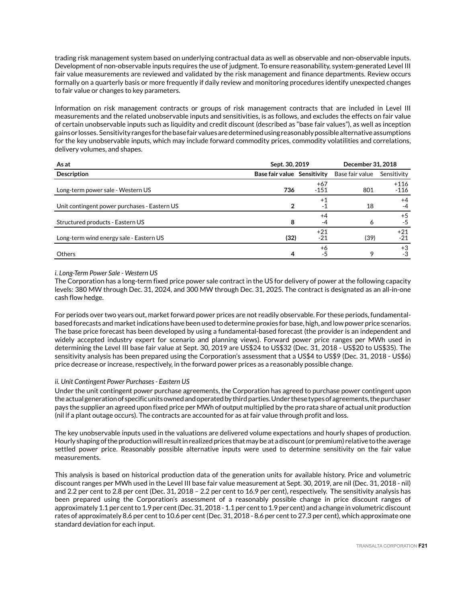trading risk management system based on underlying contractual data as well as observable and non-observable inputs. Development of non-observable inputs requires the use of judgment. To ensure reasonability, system-generated Level III fair value measurements are reviewed and validated by the risk management and finance departments. Review occurs formally on a quarterly basis or more frequently if daily review and monitoring procedures identify unexpected changes to fair value or changes to key parameters.

Information on risk management contracts or groups of risk management contracts that are included in Level III measurements and the related unobservable inputs and sensitivities, is as follows, and excludes the effects on fair value of certain unobservable inputs such as liquidity and credit discount (described as "base fair values"), as well as inception gains or losses. Sensitivity ranges for the base fair values are determined using reasonably possible alternative assumptions for the key unobservable inputs, which may include forward commodity prices, commodity volatilities and correlations, delivery volumes, and shapes.

| As at                                        | Sept. 30, 2019              | December 31, 2018       |                 |                  |
|----------------------------------------------|-----------------------------|-------------------------|-----------------|------------------|
| <b>Description</b>                           | Base fair value Sensitivity |                         | Base fair value | Sensitivity      |
| Long-term power sale - Western US            | 736                         | $+67$<br>$-151$         | 801             | $+116$<br>$-116$ |
| Unit contingent power purchases - Eastern US |                             | $^{\mathrm {+1}}$<br>-1 | 18              | $+4$<br>-4       |
| Structured products - Eastern US             | 8                           | $+4$<br>-4              | Ô               | $+5$<br>-5       |
| Long-term wind energy sale - Eastern US      | (32)                        | $+21$<br>$-21$          | (39)            | $+21$<br>$-21$   |
| <b>Others</b>                                |                             | +6<br>-5                |                 | $+3$<br>-3       |

### *i. Long-Term Power Sale - Western US*

The Corporation has a long-term fixed price power sale contract in the US for delivery of power at the following capacity levels: 380 MW through Dec. 31, 2024, and 300 MW through Dec. 31, 2025. The contract is designated as an all-in-one cash flow hedge.

For periods over two years out, market forward power prices are not readily observable. For these periods, fundamentalbased forecasts and market indications have been used to determine proxies for base, high, and low power price scenarios. The base price forecast has been developed by using a fundamental-based forecast (the provider is an independent and widely accepted industry expert for scenario and planning views). Forward power price ranges per MWh used in determining the Level III base fair value at Sept. 30, 2019 are US\$24 to US\$32 (Dec. 31, 2018 - US\$20 to US\$35). The sensitivity analysis has been prepared using the Corporation's assessment that a US\$4 to US\$9 (Dec. 31, 2018 - US\$6) price decrease or increase, respectively, in the forward power prices as a reasonably possible change.

### *ii. Unit Contingent Power Purchases - Eastern US*

Under the unit contingent power purchase agreements, the Corporation has agreed to purchase power contingent upon the actual generation of specific units owned and operated by third parties. Under these types of agreements, the purchaser pays the supplier an agreed upon fixed price per MWh of output multiplied by the pro rata share of actual unit production (nil if a plant outage occurs). The contracts are accounted for as at fair value through profit and loss.

The key unobservable inputs used in the valuations are delivered volume expectations and hourly shapes of production. Hourly shaping of the production will result in realized prices that may be at a discount (or premium) relative to the average settled power price. Reasonably possible alternative inputs were used to determine sensitivity on the fair value measurements.

This analysis is based on historical production data of the generation units for available history. Price and volumetric discount ranges per MWh used in the Level III base fair value measurement at Sept. 30, 2019, are nil (Dec. 31, 2018 - nil) and 2.2 per cent to 2.8 per cent (Dec. 31, 2018 – 2.2 per cent to 16.9 per cent), respectively. The sensitivity analysis has been prepared using the Corporation's assessment of a reasonably possible change in price discount ranges of approximately 1.1 per cent to 1.9 per cent (Dec. 31, 2018 - 1.1 per cent to 1.9 per cent) and a change in volumetric discount rates of approximately 8.6 per cent to 10.6 per cent (Dec. 31, 2018 - 8.6 per cent to 27.3 per cent), which approximate one standard deviation for each input.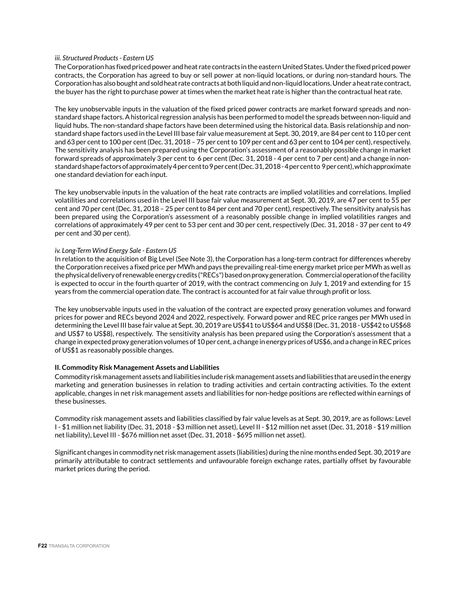### *iii. Structured Products - Eastern US*

The Corporation has fixed priced power and heat rate contracts in the eastern United States. Under the fixed priced power contracts, the Corporation has agreed to buy or sell power at non-liquid locations, or during non-standard hours. The Corporation has also bought and sold heat rate contracts at both liquid and non-liquid locations. Under a heat rate contract, the buyer has the right to purchase power at times when the market heat rate is higher than the contractual heat rate.

The key unobservable inputs in the valuation of the fixed priced power contracts are market forward spreads and nonstandard shape factors. A historical regression analysis has been performed to model the spreads between non-liquid and liquid hubs. The non-standard shape factors have been determined using the historical data. Basis relationship and nonstandard shape factors used in the Level III base fair value measurement at Sept. 30, 2019, are 84 per cent to 110 per cent and 63 per cent to 100 per cent (Dec. 31, 2018 – 75 per cent to 109 per cent and 63 per cent to 104 per cent), respectively. The sensitivity analysis has been prepared using the Corporation's assessment of a reasonably possible change in market forward spreads of approximately 3 per cent to 6 per cent (Dec. 31, 2018 - 4 per cent to 7 per cent) and a change in nonstandard shape factors of approximately 4 per cent to 9 per cent (Dec. 31, 2018 - 4 per cent to 9 per cent), which approximate one standard deviation for each input.

The key unobservable inputs in the valuation of the heat rate contracts are implied volatilities and correlations. Implied volatilities and correlations used in the Level III base fair value measurement at Sept. 30, 2019, are 47 per cent to 55 per cent and 70 per cent (Dec. 31, 2018 – 25 per cent to 84 per cent and 70 per cent), respectively. The sensitivity analysis has been prepared using the Corporation's assessment of a reasonably possible change in implied volatilities ranges and correlations of approximately 49 per cent to 53 per cent and 30 per cent, respectively (Dec. 31, 2018 - 37 per cent to 49 per cent and 30 per cent).

### *iv. Long-Term Wind Energy Sale - Eastern US*

In relation to the acquisition of Big Level (See Note 3), the Corporation has a long-term contract for differences whereby the Corporation receives a fixed price per MWh and pays the prevailing real-time energy market price per MWh as well as the physical delivery of renewable energy credits ("RECs") based on proxy generation. Commercial operation of the facility is expected to occur in the fourth quarter of 2019, with the contract commencing on July 1, 2019 and extending for 15 years from the commercial operation date. The contract is accounted for at fair value through profit or loss.

The key unobservable inputs used in the valuation of the contract are expected proxy generation volumes and forward prices for power and RECs beyond 2024 and 2022, respectively. Forward power and REC price ranges per MWh used in determining the Level III base fair value at Sept. 30, 2019 are US\$41 to US\$64 and US\$8 (Dec. 31, 2018 - US\$42 to US\$68 and US\$7 to US\$8), respectively. The sensitivity analysis has been prepared using the Corporation's assessment that a change in expected proxy generation volumes of 10 per cent, a change in energy prices of US\$6, and a change in REC prices of US\$1 as reasonably possible changes.

### **II. Commodity Risk Management Assets and Liabilities**

Commodity risk management assets and liabilities include risk management assets and liabilities that are used in the energy marketing and generation businesses in relation to trading activities and certain contracting activities. To the extent applicable, changes in net risk management assets and liabilities for non-hedge positions are reflected within earnings of these businesses.

Commodity risk management assets and liabilities classified by fair value levels as at Sept. 30, 2019, are as follows: Level I - \$1 million net liability (Dec. 31, 2018 - \$3 million net asset), Level II - \$12 million net asset (Dec. 31, 2018 - \$19 million net liability), Level III - \$676 million net asset (Dec. 31, 2018 - \$695 million net asset).

Significant changes in commodity net risk management assets (liabilities) during the nine months ended Sept. 30, 2019 are primarily attributable to contract settlements and unfavourable foreign exchange rates, partially offset by favourable market prices during the period.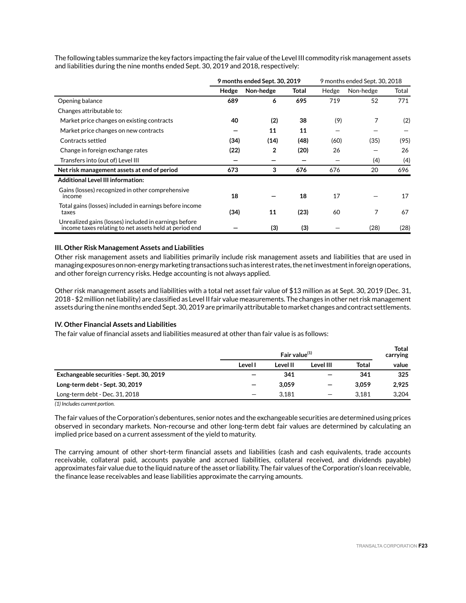The following tables summarize the key factors impacting the fair value of the Level III commodity risk management assets and liabilities during the nine months ended Sept. 30, 2019 and 2018, respectively:

|                                                                                                                 | 9 months ended Sept. 30, 2019 |           |       | 9 months ended Sept. 30, 2018 |           |       |
|-----------------------------------------------------------------------------------------------------------------|-------------------------------|-----------|-------|-------------------------------|-----------|-------|
|                                                                                                                 | Hedge                         | Non-hedge | Total | Hedge                         | Non-hedge | Total |
| Opening balance                                                                                                 | 689                           | 6         | 695   | 719                           | 52        | 771   |
| Changes attributable to:                                                                                        |                               |           |       |                               |           |       |
| Market price changes on existing contracts                                                                      | 40                            | (2)       | 38    | (9)                           | 7         | (2)   |
| Market price changes on new contracts                                                                           |                               | 11        | 11    |                               |           |       |
| Contracts settled                                                                                               | (34)                          | (14)      | (48)  | (60)                          | (35)      | (95)  |
| Change in foreign exchange rates                                                                                | (22)                          | 2         | (20)  | 26                            |           | 26    |
| Transfers into (out of) Level III                                                                               |                               |           |       |                               | (4)       | (4)   |
| Net risk management assets at end of period                                                                     | 673                           | 3         | 676   | 676                           | 20        | 696   |
| <b>Additional Level III information:</b>                                                                        |                               |           |       |                               |           |       |
| Gains (losses) recognized in other comprehensive<br>income                                                      | 18                            |           | 18    | 17                            |           | 17    |
| Total gains (losses) included in earnings before income<br>taxes                                                | (34)                          | 11        | (23)  | 60                            | 7         | 67    |
| Unrealized gains (losses) included in earnings before<br>income taxes relating to net assets held at period end |                               | (3)       | (3)   |                               | (28)      | (28)  |

### **III. Other Risk Management Assets and Liabilities**

Other risk management assets and liabilities primarily include risk management assets and liabilities that are used in managing exposures on non-energy marketing transactions such as interest rates, the net investment in foreign operations, and other foreign currency risks. Hedge accounting is not always applied.

Other risk management assets and liabilities with a total net asset fair value of \$13 million as at Sept. 30, 2019 (Dec. 31, 2018 - \$2 million net liability) are classified as Level II fair value measurements. The changes in other net risk management assets during the nine months ended Sept. 30, 2019 are primarily attributable to market changes and contract settlements.

### **IV. Other Financial Assets and Liabilities**

The fair value of financial assets and liabilities measured at other than fair value is as follows:

|                                          | Fair value $(1)$         |          |                          |              | <b>Total</b><br>carrying |
|------------------------------------------|--------------------------|----------|--------------------------|--------------|--------------------------|
|                                          | Level I                  | Level II | Level III                | <b>Total</b> | value                    |
| Exchangeable securities - Sept. 30, 2019 |                          | 341      | $\overline{\phantom{0}}$ | 341          | 325                      |
| Long-term debt - Sept. 30, 2019          |                          | 3.059    | $\overline{\phantom{0}}$ | 3.059        | 2.925                    |
| Long-term debt - Dec. 31, 2018           | $\overline{\phantom{0}}$ | 3.181    | $\qquad \qquad$          | 3.181        | 3.204                    |

*(1) Includes current portion.*

The fair values of the Corporation's debentures, senior notes and the exchangeable securities are determined using prices observed in secondary markets. Non-recourse and other long-term debt fair values are determined by calculating an implied price based on a current assessment of the yield to maturity.

The carrying amount of other short-term financial assets and liabilities (cash and cash equivalents, trade accounts receivable, collateral paid, accounts payable and accrued liabilities, collateral received, and dividends payable) approximates fair value due to the liquid nature of the asset or liability. The fair values of the Corporation's loan receivable, the finance lease receivables and lease liabilities approximate the carrying amounts.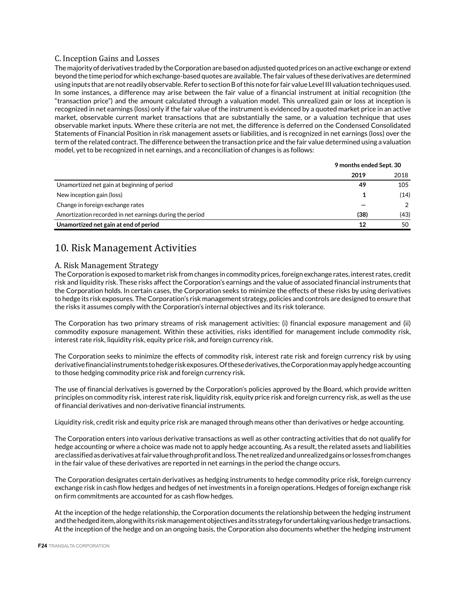## C. Inception Gains and Losses

The majority of derivatives traded by the Corporation are based on adjusted quoted prices on an active exchange or extend beyond the time period for which exchange-based quotes are available. The fair values of these derivatives are determined using inputs that are not readily observable. Refer to section B of this note for fair value Level III valuation techniques used. In some instances, a difference may arise between the fair value of a financial instrument at initial recognition (the "transaction price") and the amount calculated through a valuation model. This unrealized gain or loss at inception is recognized in net earnings (loss) only if the fair value of the instrument is evidenced by a quoted market price in an active market, observable current market transactions that are substantially the same, or a valuation technique that uses observable market inputs. Where these criteria are not met, the difference is deferred on the Condensed Consolidated Statements of Financial Position in risk management assets or liabilities, and is recognized in net earnings (loss) over the term of the related contract. The difference between the transaction price and the fair value determined using a valuation model, yet to be recognized in net earnings, and a reconciliation of changes is as follows:

|                                                         |      | 9 months ended Sept. 30 |  |  |
|---------------------------------------------------------|------|-------------------------|--|--|
|                                                         | 2019 | 2018                    |  |  |
| Unamortized net gain at beginning of period             | 49   | 105                     |  |  |
| New inception gain (loss)                               |      | (14)                    |  |  |
| Change in foreign exchange rates                        |      | 2                       |  |  |
| Amortization recorded in net earnings during the period | (38) | (43)                    |  |  |
| Unamortized net gain at end of period                   | 12   | 50                      |  |  |

# 10. Risk Management Activities

### A. Risk Management Strategy

The Corporation is exposed to market risk from changes in commodity prices, foreign exchange rates, interest rates, credit risk and liquidity risk. These risks affect the Corporation's earnings and the value of associated financial instruments that the Corporation holds. In certain cases, the Corporation seeks to minimize the effects of these risks by using derivatives to hedge its risk exposures. The Corporation's risk management strategy, policies and controls are designed to ensure that the risks it assumes comply with the Corporation's internal objectives and its risk tolerance.

The Corporation has two primary streams of risk management activities: (i) financial exposure management and (ii) commodity exposure management. Within these activities, risks identified for management include commodity risk, interest rate risk, liquidity risk, equity price risk, and foreign currency risk.

The Corporation seeks to minimize the effects of commodity risk, interest rate risk and foreign currency risk by using derivative financial instruments to hedge risk exposures. Of these derivatives, the Corporation may apply hedge accounting to those hedging commodity price risk and foreign currency risk.

The use of financial derivatives is governed by the Corporation's policies approved by the Board, which provide written principles on commodity risk, interest rate risk, liquidity risk, equity price risk and foreign currency risk, as well as the use of financial derivatives and non-derivative financial instruments.

Liquidity risk, credit risk and equity price risk are managed through means other than derivatives or hedge accounting.

The Corporation enters into various derivative transactions as well as other contracting activities that do not qualify for hedge accounting or where a choice was made not to apply hedge accounting. As a result, the related assets and liabilities are classified as derivatives at fair value through profit and loss. The net realized and unrealized gains or losses from changes in the fair value of these derivatives are reported in net earnings in the period the change occurs.

The Corporation designates certain derivatives as hedging instruments to hedge commodity price risk, foreign currency exchange risk in cash flow hedges and hedges of net investments in a foreign operations. Hedges of foreign exchange risk on firm commitments are accounted for as cash flow hedges.

At the inception of the hedge relationship, the Corporation documents the relationship between the hedging instrument and the hedged item, along with its risk management objectives and its strategy for undertaking various hedge transactions. At the inception of the hedge and on an ongoing basis, the Corporation also documents whether the hedging instrument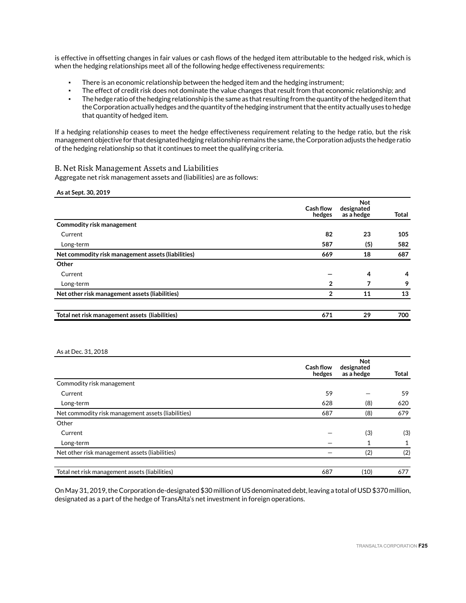is effective in offsetting changes in fair values or cash flows of the hedged item attributable to the hedged risk, which is when the hedging relationships meet all of the following hedge effectiveness requirements:

- There is an economic relationship between the hedged item and the hedging instrument;
- The effect of credit risk does not dominate the value changes that result from that economic relationship; and
- The hedge ratio of the hedging relationship is the same as that resulting from the quantity of the hedged item that the Corporation actually hedges and the quantity of the hedging instrument that the entity actually uses to hedge that quantity of hedged item.

If a hedging relationship ceases to meet the hedge effectiveness requirement relating to the hedge ratio, but the risk management objective for that designated hedging relationship remains the same, the Corporation adjusts the hedge ratio of the hedging relationship so that it continues to meet the qualifying criteria.

### B. Net Risk Management Assets and Liabilities

Aggregate net risk management assets and (liabilities) are as follows:

**As at Sept. 30, 2019**

|                                                    | <b>Cash flow</b><br>hedges | <b>Not</b><br>designated<br>as a hedge | Total |
|----------------------------------------------------|----------------------------|----------------------------------------|-------|
| <b>Commodity risk management</b>                   |                            |                                        |       |
| Current                                            | 82                         | 23                                     | 105   |
| Long-term                                          | 587                        | (5)                                    | 582   |
| Net commodity risk management assets (liabilities) | 669                        | 18                                     | 687   |
| Other                                              |                            |                                        |       |
| Current                                            |                            | 4                                      | 4     |
| Long-term                                          | $\overline{2}$             |                                        | 9     |
| Net other risk management assets (liabilities)     | $\overline{2}$             | 11                                     | 13    |
|                                                    |                            |                                        |       |
| Total net risk management assets (liabilities)     | 671                        | 29                                     | 700   |

### As at Dec. 31, 2018

|                                                    | <b>Cash flow</b><br>hedges | <b>Not</b><br>designated<br>as a hedge | Total |
|----------------------------------------------------|----------------------------|----------------------------------------|-------|
| Commodity risk management                          |                            |                                        |       |
| Current                                            | 59                         |                                        | 59    |
| Long-term                                          | 628                        | (8)                                    | 620   |
| Net commodity risk management assets (liabilities) | 687                        | (8)                                    | 679   |
| Other                                              |                            |                                        |       |
| Current                                            |                            | (3)                                    | (3)   |
| Long-term                                          |                            |                                        | 1     |
| Net other risk management assets (liabilities)     |                            | (2)                                    | (2)   |
| Total net risk management assets (liabilities)     | 687                        | (10)                                   | 677   |

On May 31, 2019, the Corporation de-designated \$30 million of US denominated debt, leaving a total of USD \$370 million, designated as a part of the hedge of TransAlta's net investment in foreign operations.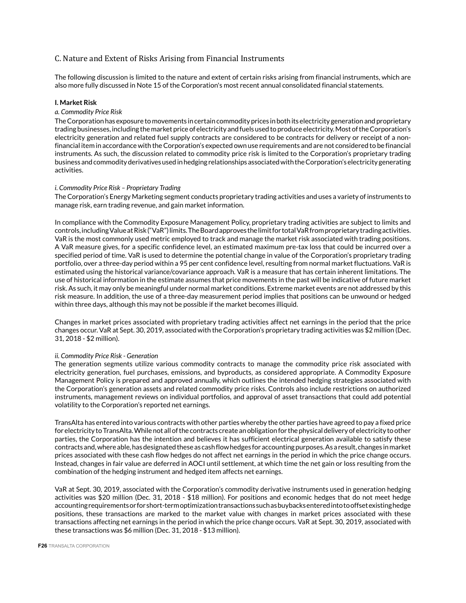# C. Nature and Extent of Risks Arising from Financial Instruments

The following discussion is limited to the nature and extent of certain risks arising from financial instruments, which are also more fully discussed in Note 15 of the Corporation's most recent annual consolidated financial statements.

### **I. Market Risk**

### *a. Commodity Price Risk*

The Corporation has exposure to movements in certain commodity prices in both its electricity generation and proprietary trading businesses, including the market price of electricity and fuels used to produce electricity. Most of the Corporation's electricity generation and related fuel supply contracts are considered to be contracts for delivery or receipt of a nonfinancial item in accordance with the Corporation's expected own use requirements and are not considered to be financial instruments. As such, the discussion related to commodity price risk is limited to the Corporation's proprietary trading business and commodity derivatives used in hedging relationships associated with the Corporation's electricity generating activities.

### *i. Commodity Price Risk – Proprietary Trading*

The Corporation's Energy Marketing segment conducts proprietary trading activities and uses a variety of instruments to manage risk, earn trading revenue, and gain market information.

In compliance with the Commodity Exposure Management Policy, proprietary trading activities are subject to limits and controls, including Value at Risk ("VaR") limits. The Board approves the limit for total VaR from proprietary trading activities. VaR is the most commonly used metric employed to track and manage the market risk associated with trading positions. A VaR measure gives, for a specific confidence level, an estimated maximum pre-tax loss that could be incurred over a specified period of time. VaR is used to determine the potential change in value of the Corporation's proprietary trading portfolio, over a three-day period within a 95 per cent confidence level, resulting from normal market fluctuations. VaR is estimated using the historical variance/covariance approach. VaR is a measure that has certain inherent limitations. The use of historical information in the estimate assumes that price movements in the past will be indicative of future market risk. As such, it may only be meaningful under normal market conditions. Extreme market events are not addressed by this risk measure. In addition, the use of a three-day measurement period implies that positions can be unwound or hedged within three days, although this may not be possible if the market becomes illiquid.

Changes in market prices associated with proprietary trading activities affect net earnings in the period that the price changes occur. VaR at Sept. 30, 2019, associated with the Corporation's proprietary trading activities was \$2 million (Dec. 31, 2018 - \$2 million).

### *ii. Commodity Price Risk - Generation*

The generation segments utilize various commodity contracts to manage the commodity price risk associated with electricity generation, fuel purchases, emissions, and byproducts, as considered appropriate. A Commodity Exposure Management Policy is prepared and approved annually, which outlines the intended hedging strategies associated with the Corporation's generation assets and related commodity price risks. Controls also include restrictions on authorized instruments, management reviews on individual portfolios, and approval of asset transactions that could add potential volatility to the Corporation's reported net earnings.

TransAlta has entered into various contracts with other parties whereby the other parties have agreed to pay a fixed price for electricity to TransAlta. While not all of the contracts create an obligation for the physical delivery of electricity to other parties, the Corporation has the intention and believes it has sufficient electrical generation available to satisfy these contracts and, where able, has designated these as cash flow hedges for accounting purposes. As a result, changes in market prices associated with these cash flow hedges do not affect net earnings in the period in which the price change occurs. Instead, changes in fair value are deferred in AOCI until settlement, at which time the net gain or loss resulting from the combination of the hedging instrument and hedged item affects net earnings.

VaR at Sept. 30, 2019, associated with the Corporation's commodity derivative instruments used in generation hedging activities was \$20 million (Dec. 31, 2018 - \$18 million). For positions and economic hedges that do not meet hedge accounting requirements or for short-term optimization transactions such as buybacks entered into to offset existing hedge positions, these transactions are marked to the market value with changes in market prices associated with these transactions affecting net earnings in the period in which the price change occurs. VaR at Sept. 30, 2019, associated with these transactions was \$6 million (Dec. 31, 2018 - \$13 million).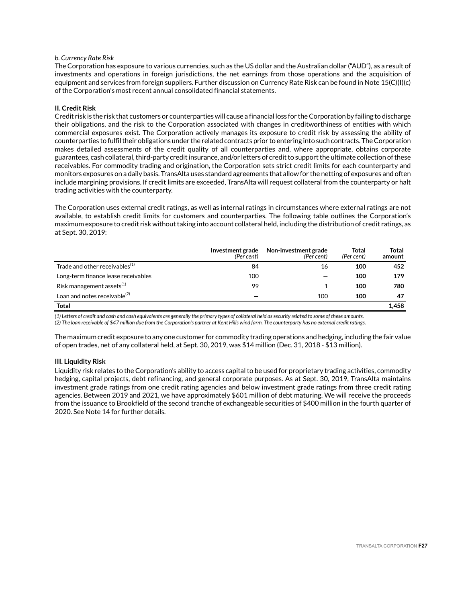### *b. Currency Rate Risk*

The Corporation has exposure to various currencies, such as the US dollar and the Australian dollar ("AUD"), as a result of investments and operations in foreign jurisdictions, the net earnings from those operations and the acquisition of equipment and services from foreign suppliers. Further discussion on Currency Rate Risk can be found in Note 15(C)(I)(c) of the Corporation's most recent annual consolidated financial statements.

### **II. Credit Risk**

Credit risk is the risk that customers or counterparties will cause a financial loss for the Corporation by failing to discharge their obligations, and the risk to the Corporation associated with changes in creditworthiness of entities with which commercial exposures exist. The Corporation actively manages its exposure to credit risk by assessing the ability of counterparties to fulfil their obligations under the related contracts prior to entering into such contracts. The Corporation makes detailed assessments of the credit quality of all counterparties and, where appropriate, obtains corporate guarantees, cash collateral, third-party credit insurance, and/or letters of credit to support the ultimate collection of these receivables. For commodity trading and origination, the Corporation sets strict credit limits for each counterparty and monitors exposures on a daily basis. TransAlta uses standard agreements that allow for the netting of exposures and often include margining provisions. If credit limits are exceeded, TransAlta will request collateral from the counterparty or halt trading activities with the counterparty.

The Corporation uses external credit ratings, as well as internal ratings in circumstances where external ratings are not available, to establish credit limits for customers and counterparties. The following table outlines the Corporation's maximum exposure to credit risk without taking into account collateral held, including the distribution of credit ratings, as at Sept. 30, 2019:

|                                            | Investment grade<br>(Per cent) | Non-investment grade<br>(Per cent) | <b>Total</b><br>(Per cent) | <b>Total</b><br>amount |
|--------------------------------------------|--------------------------------|------------------------------------|----------------------------|------------------------|
| Trade and other receivables <sup>(1)</sup> | 84                             | 16                                 | 100                        | 452                    |
| Long-term finance lease receivables        | 100                            |                                    | 100                        | 179                    |
| Risk management assets $^{(1)}$            | 99                             |                                    | 100                        | 780                    |
| Loan and notes receivable <sup>(2)</sup>   |                                | 100                                | 100                        | 47                     |
| Total                                      |                                |                                    |                            | 1.458                  |

*(1) Letters of credit and cash and cash equivalents are generally the primary types of collateral held as security related to some of these amounts. (2) The loan receivable of \$47 million due from the Corporation's partner at Kent Hills wind farm. The counterparty has no external credit ratings.*

The maximum credit exposure to any one customer for commodity trading operations and hedging, including the fair value of open trades, net of any collateral held, at Sept. 30, 2019, was \$14 million (Dec. 31, 2018 - \$13 million).

### **III. Liquidity Risk**

Liquidity risk relates to the Corporation's ability to access capital to be used for proprietary trading activities, commodity hedging, capital projects, debt refinancing, and general corporate purposes. As at Sept. 30, 2019, TransAlta maintains investment grade ratings from one credit rating agencies and below investment grade ratings from three credit rating agencies. Between 2019 and 2021, we have approximately \$601 million of debt maturing. We will receive the proceeds from the issuance to Brookfield of the second tranche of exchangeable securities of \$400 million in the fourth quarter of 2020. See Note 14 for further details.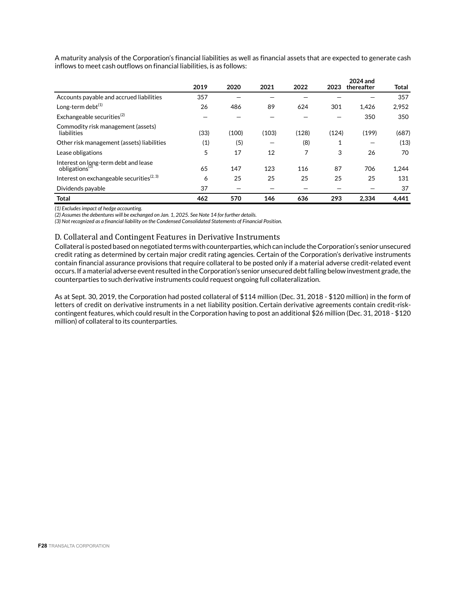|                                                                    | 2019 | 2020  | 2021  | 2022  | 2023  | 2024 and<br>thereafter | Total |
|--------------------------------------------------------------------|------|-------|-------|-------|-------|------------------------|-------|
| Accounts payable and accrued liabilities                           | 357  |       |       |       |       |                        | 357   |
| Long-term debt <sup>(1)</sup>                                      | 26   | 486   | 89    | 624   | 301   | 1.426                  | 2.952 |
| Exchangeable securities <sup>(2)</sup>                             |      |       |       |       |       | 350                    | 350   |
| Commodity risk management (assets)<br>liabilities                  | (33) | (100) | (103) | (128) | (124) | (199)                  | (687) |
| Other risk management (assets) liabilities                         | (1)  | (5)   |       | (8)   | 1     |                        | (13)  |
| Lease obligations                                                  | 5    | 17    | 12    | 7     | 3     | 26                     | 70    |
| Interest on long-term debt and lease<br>obligations <sup>(3)</sup> | 65   | 147   | 123   | 116   | 87    | 706                    | 1,244 |
| Interest on exchangeable securities <sup>(2, 3)</sup>              | 6    | 25    | 25    | 25    | 25    | 25                     | 131   |
| Dividends payable                                                  | 37   |       |       |       |       |                        | 37    |
| <b>Total</b>                                                       | 462  | 570   | 146   | 636   | 293   | 2.334                  | 4,441 |

A maturity analysis of the Corporation's financial liabilities as well as financial assets that are expected to generate cash inflows to meet cash outflows on financial liabilities, is as follows:

*(1) Excludes impact of hedge accounting.*

*(2) Assumes the debentures will be exchanged on Jan. 1, 2025. See Note 14 for further details.* 

*(3) Not recognized as a financial liability on the Condensed Consolidated Statements of Financial Position.*

### D. Collateral and Contingent Features in Derivative Instruments

Collateral is posted based on negotiated terms with counterparties, which can include the Corporation's senior unsecured credit rating as determined by certain major credit rating agencies. Certain of the Corporation's derivative instruments contain financial assurance provisions that require collateral to be posted only if a material adverse credit-related event occurs. If a material adverse event resulted in the Corporation's senior unsecured debt falling below investment grade, the counterparties to such derivative instruments could request ongoing full collateralization.

As at Sept. 30, 2019, the Corporation had posted collateral of \$114 million (Dec. 31, 2018 - \$120 million) in the form of letters of credit on derivative instruments in a net liability position. Certain derivative agreements contain credit-riskcontingent features, which could result in the Corporation having to post an additional \$26 million (Dec. 31, 2018 - \$120 million) of collateral to its counterparties.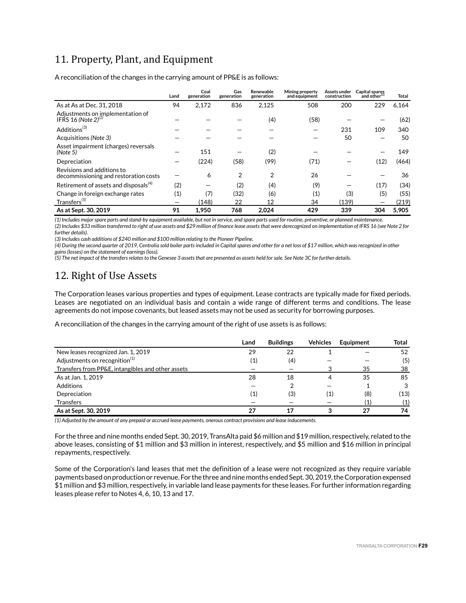# 11. Property, Plant, and Equipment

A reconciliation of the changes in the carrying amount of PP&E is as follows:

|                                                                     | Land | Coal<br>generation | Gas<br>generation | Renewable<br>generation | Mining property<br>and equipment | Assets under<br>construction | Capital spares<br>and other <sup>(1)</sup> | Total |
|---------------------------------------------------------------------|------|--------------------|-------------------|-------------------------|----------------------------------|------------------------------|--------------------------------------------|-------|
| As at As at Dec. 31, 2018                                           | 94   | 2,172              | 836               | 2,125                   | 508                              | 200                          | 229                                        | 6,164 |
| Adjustments on implementation of<br>IFRS 16 (Note $2^{(2)}$         |      |                    |                   | (4)                     | (58)                             |                              |                                            | (62)  |
| Additions <sup>(3)</sup>                                            |      |                    |                   |                         |                                  | 231                          | 109                                        | 340   |
| Acquisitions (Note 3)                                               |      |                    |                   |                         |                                  | 50                           |                                            | 50    |
| Asset impairment (charges) reversals<br>(Note 5)                    |      | 151                |                   | (2)                     |                                  |                              |                                            | 149   |
| Depreciation                                                        |      | (224)              | (58)              | (99)                    | (71)                             |                              | (12)                                       | (464) |
| Revisions and additions to<br>decommissioning and restoration costs |      | 6                  | 2                 | 2                       | 26                               |                              |                                            | 36    |
| Retirement of assets and disposals <sup>(4)</sup>                   | (2)  |                    | (2)               | (4)                     | (9)                              |                              | (17)                                       | (34)  |
| Change in foreign exchange rates                                    | (1)  | (7)                | (32)              | (6)                     | $\left( 1\right)$                | (3)                          | (5)                                        | (55)  |
| Transfers <sup>(5)</sup>                                            |      | (148)              | 22                | 12                      | 34                               | (139)                        |                                            | (219) |
| As at Sept. 30, 2019                                                | 91   | 1.950              | 768               | 2.024                   | 429                              | 339                          | 304                                        | 5.905 |

*(1) Includes major spare parts and stand-by equipment available, but not in service, and spare parts used for routine, preventive, or planned maintenance. (2) Includes \$33 million transferred to right of use assets and \$29 million of finance lease assets that were derecognized on implementation of IFRS 16 (see Note 2 for further details).* 

*(3) Includes cash additions of \$240 million and \$100 million relating to the Pioneer Pipeline.*

*(4) During the second quarter of 2019, Centralia sold boiler parts included in Capital spares and other for a net loss of \$17 million, which was recognized in other gains (losses) on the statement of earnings (loss).*

*(5) The net impact of the transfers relates to the Genesee 3 assets that are presented as assets held for sale. See Note 3C for further details.*

# 12. Right of Use Assets

The Corporation leases various properties and types of equipment. Lease contracts are typically made for fixed periods. Leases are negotiated on an individual basis and contain a wide range of different terms and conditions. The lease agreements do not impose covenants, but leased assets may not be used as security for borrowing purposes.

A reconciliation of the changes in the carrying amount of the right of use assets is as follows:

|                                                   | Land | <b>Buildings</b> | <b>Vehicles</b>   | Equipment | Total |
|---------------------------------------------------|------|------------------|-------------------|-----------|-------|
| New leases recognized Jan. 1, 2019                | 29   | 22               |                   |           | 52    |
| Adjustments on recognition <sup>(1)</sup>         | (1)  | (4)              |                   |           | (5)   |
| Transfers from PP&E, intangibles and other assets |      |                  |                   | 35        | 38    |
| As at Jan. 1, 2019                                | 28   | 18               | 4                 | 35        | 85    |
| Additions                                         |      |                  |                   |           | 3     |
| Depreciation                                      | (1)  | (3)              | $\left( 1\right)$ | (8)       | (13)  |
| <b>Transfers</b>                                  |      |                  |                   | (1)       | (1)   |
| As at Sept. 30, 2019                              | 27   | 17               |                   | 27        | 74    |

*(1) Adjusted by the amount of any prepaid or accrued lease payments, onerous contract provisions and lease inducements.* 

For the three and nine months ended Sept. 30, 2019, TransAlta paid \$6 million and \$19 million, respectively, related to the above leases, consisting of \$1 million and \$3 million in interest, respectively, and \$5 million and \$16 million in principal repayments, respectively.

Some of the Corporation's land leases that met the definition of a lease were not recognized as they require variable payments based on production or revenue. For the three and nine months ended Sept. 30, 2019, the Corporation expensed \$1 million and \$3 million, respectively, in variable land lease payments for these leases. For further information regarding leases please refer to Notes 4, 6, 10, 13 and 17.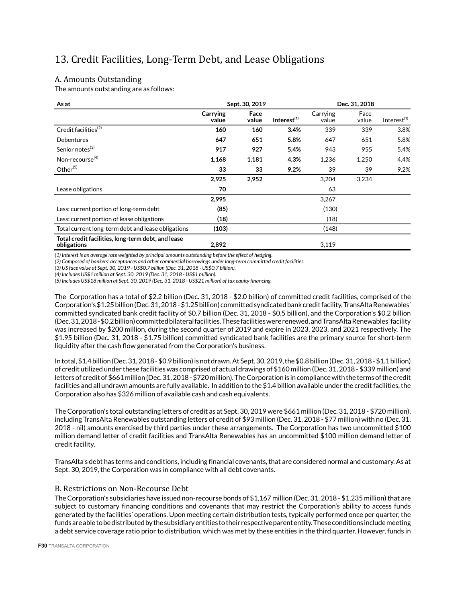# 13. Credit Facilities, Long-Term Debt, and Lease Obligations

# A. Amounts Outstanding

The amounts outstanding are as follows:

| As at                                                             |                   | Sept. 30, 2019 |                | Dec. 31, 2018     |               |                         |  |
|-------------------------------------------------------------------|-------------------|----------------|----------------|-------------------|---------------|-------------------------|--|
|                                                                   | Carrying<br>value | Face<br>value  | Interest $(1)$ | Carrying<br>value | Face<br>value | Interest <sup>(1)</sup> |  |
| Credit facilities <sup>(2)</sup>                                  | 160               | 160            | 3.4%           | 339               | 339           | 3.8%                    |  |
| Debentures                                                        | 647               | 651            | 5.8%           | 647               | 651           | 5.8%                    |  |
| Senior notes <sup>(3)</sup>                                       | 917               | 927            | 5.4%           | 943               | 955           | 5.4%                    |  |
| Non-recourse <sup>(4)</sup>                                       | 1,168             | 1,181          | 4.3%           | 1,236             | 1,250         | 4.4%                    |  |
| Other <sup>(5)</sup>                                              | 33                | 33             | 9.2%           | 39                | 39            | 9.2%                    |  |
|                                                                   | 2,925             | 2,952          |                | 3,204             | 3,234         |                         |  |
| Lease obligations                                                 | 70                |                |                | 63                |               |                         |  |
|                                                                   | 2,995             |                |                | 3,267             |               |                         |  |
| Less: current portion of long-term debt                           | (85)              |                |                | (130)             |               |                         |  |
| Less: current portion of lease obligations                        | (18)              |                |                | (18)              |               |                         |  |
| Total current long-term debt and lease obligations                | (103)             |                |                | (148)             |               |                         |  |
| Total credit facilities, long-term debt, and lease<br>obligations | 2,892             |                |                | 3,119             |               |                         |  |

*(1) Interest is an average rate weighted by principal amounts outstanding before the effect of hedging.*

*(2) Composed of bankers' acceptances and other commercial borrowings under long-term committed credit facilities.*

*(3) US face value at Sept. 30, 2019 - US\$0.7 billion (Dec. 31, 2018 - US\$0.7 billion).*

*(4) Includes US\$1 million at Sept. 30, 2019 (Dec. 31, 2018 - US\$1 million).*

*(5) Includes US\$18 million at Sept. 30, 2019 (Dec. 31, 2018 - US\$21 million) of tax equity financing.*

The Corporation has a total of \$2.2 billion (Dec. 31, 2018 - \$2.0 billion) of committed credit facilities, comprised of the Corporation's \$1.25 billion (Dec. 31, 2018 - \$1.25 billion) committed syndicated bank credit facility, TransAlta Renewables' committed syndicated bank credit facility of \$0.7 billion (Dec. 31, 2018 - \$0.5 billion), and the Corporation's \$0.2 billion (Dec. 31, 2018 - \$0.2 billion) committed bilateral facilities. These facilities were renewed, and TransAlta Renewables' facility was increased by \$200 million, during the second quarter of 2019 and expire in 2023, 2023, and 2021 respectively. The \$1.95 billion (Dec. 31, 2018 - \$1.75 billion) committed syndicated bank facilities are the primary source for short-term liquidity after the cash flow generated from the Corporation's business.

In total, \$1.4 billion (Dec. 31, 2018 - \$0.9 billion) is not drawn. At Sept. 30, 2019, the \$0.8 billion (Dec. 31, 2018 - \$1.1 billion) of credit utilized under these facilities was comprised of actual drawings of \$160 million (Dec. 31, 2018 - \$339 million) and letters of credit of \$661 million (Dec. 31, 2018 - \$720 million). The Corporation is in compliance with the terms of the credit facilities and all undrawn amounts are fully available. In addition to the \$1.4 billion available under the credit facilities, the Corporation also has \$326 million of available cash and cash equivalents.

The Corporation's total outstanding letters of credit as at Sept. 30, 2019 were \$661 million (Dec. 31, 2018 - \$720 million), including TransAlta Renewables outstanding letters of credit of \$93 million (Dec. 31, 2018 - \$77 million) with no (Dec. 31, 2018 - nil) amounts exercised by third parties under these arrangements. The Corporation has two uncommitted \$100 million demand letter of credit facilities and TransAlta Renewables has an uncommitted \$100 million demand letter of credit facility.

TransAlta's debt has terms and conditions, including financial covenants, that are considered normal and customary. As at Sept. 30, 2019, the Corporation was in compliance with all debt covenants.

## B. Restrictions on Non-Recourse Debt

The Corporation's subsidiaries have issued non-recourse bonds of \$1,167 million (Dec. 31, 2018 - \$1,235 million) that are subject to customary financing conditions and covenants that may restrict the Corporation's ability to access funds generated by the facilities' operations. Upon meeting certain distribution tests, typically performed once per quarter, the funds are able to be distributed by the subsidiary entities to their respective parent entity. These conditions include meeting a debt service coverage ratio prior to distribution, which was met by these entities in the third quarter. However, funds in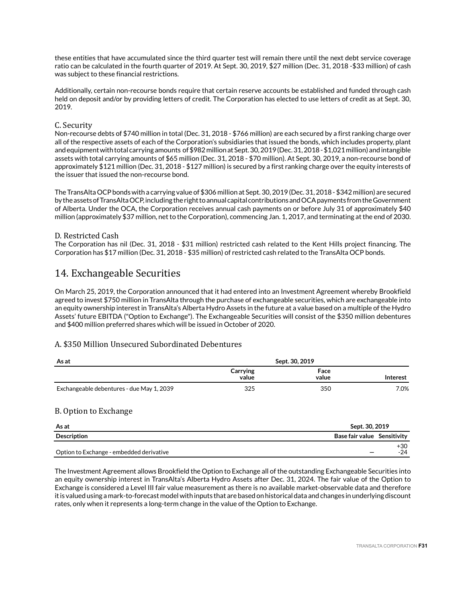these entities that have accumulated since the third quarter test will remain there until the next debt service coverage ratio can be calculated in the fourth quarter of 2019. At Sept. 30, 2019, \$27 million (Dec. 31, 2018 -\$33 million) of cash was subject to these financial restrictions.

Additionally, certain non-recourse bonds require that certain reserve accounts be established and funded through cash held on deposit and/or by providing letters of credit. The Corporation has elected to use letters of credit as at Sept. 30, 2019.

### C. Security

Non-recourse debts of \$740 million in total (Dec. 31, 2018 - \$766 million) are each secured by a first ranking charge over all of the respective assets of each of the Corporation's subsidiaries that issued the bonds, which includes property, plant and equipment with total carrying amounts of \$982 million at Sept. 30, 2019 (Dec. 31, 2018 - \$1,021 million) and intangible assets with total carrying amounts of \$65 million (Dec. 31, 2018 - \$70 million). At Sept. 30, 2019, a non-recourse bond of approximately \$121 million (Dec. 31, 2018 - \$127 million) is secured by a first ranking charge over the equity interests of the issuer that issued the non-recourse bond.

The TransAlta OCP bonds with a carrying value of \$306 million at Sept. 30, 2019 (Dec. 31, 2018 - \$342 million) are secured by the assets of TransAlta OCP, including the right to annual capital contributions and OCA payments from the Government of Alberta. Under the OCA, the Corporation receives annual cash payments on or before July 31 of approximately \$40 million (approximately \$37 million, net to the Corporation), commencing Jan. 1, 2017, and terminating at the end of 2030.

### D. Restricted Cash

The Corporation has nil (Dec. 31, 2018 - \$31 million) restricted cash related to the Kent Hills project financing. The Corporation has \$17 million (Dec. 31, 2018 - \$35 million) of restricted cash related to the TransAlta OCP bonds.

# 14. Exchangeable Securities

On March 25, 2019, the Corporation announced that it had entered into an Investment Agreement whereby Brookfield agreed to invest \$750 million in TransAlta through the purchase of exchangeable securities, which are exchangeable into an equity ownership interest in TransAlta's Alberta Hydro Assets in the future at a value based on a multiple of the Hydro Assets' future EBITDA ("Option to Exchange"). The Exchangeable Securities will consist of the \$350 million debentures and \$400 million preferred shares which will be issued in October of 2020.

## A. \$350 Million Unsecured Subordinated Debentures

| As at                                     | Sept. 30, 2019    |               |          |
|-------------------------------------------|-------------------|---------------|----------|
|                                           | Carrying<br>value | Face<br>value | Interest |
| Exchangeable debentures - due May 1, 2039 | 325               | 350           | 7.0%     |

## B. Option to Exchange

| As at                                    | Sept. 30, 2019              |       |  |
|------------------------------------------|-----------------------------|-------|--|
| Description                              | Base fair value Sensitivity |       |  |
|                                          |                             | +30   |  |
| Option to Exchange - embedded derivative |                             | $-24$ |  |

The Investment Agreement allows Brookfield the Option to Exchange all of the outstanding Exchangeable Securities into an equity ownership interest in TransAlta's Alberta Hydro Assets after Dec. 31, 2024. The fair value of the Option to Exchange is considered a Level III fair value measurement as there is no available market-observable data and therefore it is valued using a mark-to-forecast model with inputs that are based on historical data and changes in underlying discount rates, only when it represents a long-term change in the value of the Option to Exchange.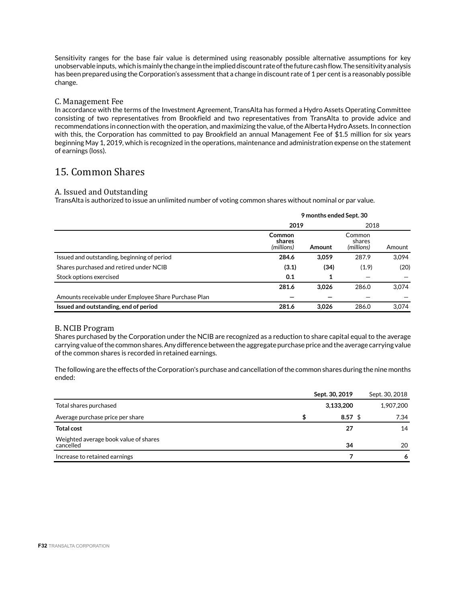Sensitivity ranges for the base fair value is determined using reasonably possible alternative assumptions for key unobservable inputs, which is mainly the change in the implied discount rate of the future cash flow. The sensitivity analysis has been prepared using the Corporation's assessment that a change in discount rate of 1 per cent is a reasonably possible change.

## C. Management Fee

In accordance with the terms of the Investment Agreement, TransAlta has formed a Hydro Assets Operating Committee consisting of two representatives from Brookfield and two representatives from TransAlta to provide advice and recommendations in connection with the operation, and maximizing the value, of the Alberta Hydro Assets. In connection with this, the Corporation has committed to pay Brookfield an annual Management Fee of \$1.5 million for six years beginning May 1, 2019, which is recognized in the operations, maintenance and administration expense on the statement of earnings (loss).

# 15. Common Shares

### A. Issued and Outstanding

TransAlta is authorized to issue an unlimited number of voting common shares without nominal or par value.

|                                                       | 9 months ended Sept. 30        |        |                                |        |  |  |
|-------------------------------------------------------|--------------------------------|--------|--------------------------------|--------|--|--|
|                                                       | 2019                           | 2018   |                                |        |  |  |
|                                                       | Common<br>shares<br>(millions) | Amount | Common<br>shares<br>(millions) | Amount |  |  |
| Issued and outstanding, beginning of period           | 284.6                          | 3,059  | 287.9                          | 3,094  |  |  |
| Shares purchased and retired under NCIB               | (3.1)                          | (34)   | (1.9)                          | (20)   |  |  |
| Stock options exercised                               | 0.1                            | 1      |                                |        |  |  |
|                                                       | 281.6                          | 3.026  | 286.0                          | 3.074  |  |  |
| Amounts receivable under Employee Share Purchase Plan |                                |        |                                |        |  |  |
| Issued and outstanding, end of period                 | 281.6                          | 3.026  | 286.0                          | 3.074  |  |  |

### B. NCIB Program

Shares purchased by the Corporation under the NCIB are recognized as a reduction to share capital equal to the average carrying value of the common shares. Any difference between the aggregate purchase price and the average carrying value of the common shares is recorded in retained earnings.

The following are the effects of the Corporation's purchase and cancellation of the common shares during the nine months ended:

|                                                    | Sept. 30, 2019 | Sept. 30, 2018 |
|----------------------------------------------------|----------------|----------------|
| Total shares purchased                             | 3,133,200      | 1,907,200      |
| Average purchase price per share                   | $8.57$ \$      | 7.34           |
| <b>Total cost</b>                                  | 27             | 14             |
| Weighted average book value of shares<br>cancelled | 34             | 20             |
| Increase to retained earnings                      |                | 6              |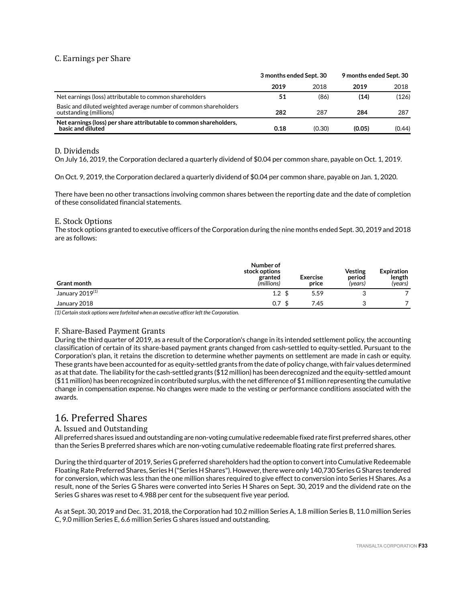# C. Earnings per Share

|                                                                                            | 3 months ended Sept. 30 |        | 9 months ended Sept. 30 |        |  |
|--------------------------------------------------------------------------------------------|-------------------------|--------|-------------------------|--------|--|
|                                                                                            | 2019                    | 2018   | 2019                    | 2018   |  |
| Net earnings (loss) attributable to common shareholders                                    | 51                      | (86)   | (14)                    | (126)  |  |
| Basic and diluted weighted average number of common shareholders<br>outstanding (millions) | 282                     | 287    | 284                     | 287    |  |
| Net earnings (loss) per share attributable to common shareholders,<br>basic and diluted    | 0.18                    | (0.30) | (0.05)                  | (0.44) |  |

### D. Dividends

On July 16, 2019, the Corporation declared a quarterly dividend of \$0.04 per common share, payable on Oct. 1, 2019.

On Oct. 9, 2019, the Corporation declared a quarterly dividend of \$0.04 per common share, payable on Jan. 1, 2020.

There have been no other transactions involving common shares between the reporting date and the date of completion of these consolidated financial statements.

### E. Stock Options

The stock options granted to executive officers of the Corporation during the nine months ended Sept. 30, 2019 and 2018 are as follows:

| <b>Grant month</b>          | Number of<br>stock options<br>granted<br>(millions) | <b>Exercise</b><br>price | <b>Vesting</b><br>period<br>(years) | <b>Expiration</b><br>length<br>(years) |
|-----------------------------|-----------------------------------------------------|--------------------------|-------------------------------------|----------------------------------------|
| January 2019 <sup>(1)</sup> | $1.2 \text{ }$                                      | 5.59                     |                                     |                                        |
| January 2018                | 0.7                                                 | 7.45                     |                                     |                                        |

*(1) Certain stock options were forfeited when an executive officer left the Corporation.* 

## F. Share-Based Payment Grants

During the third quarter of 2019, as a result of the Corporation's change in its intended settlement policy, the accounting classification of certain of its share-based payment grants changed from cash-settled to equity-settled. Pursuant to the Corporation's plan, it retains the discretion to determine whether payments on settlement are made in cash or equity. These grants have been accounted for as equity-settled grants from the date of policy change, with fair values determined as at that date. The liability for the cash-settled grants (\$12 million) has been derecognized and the equity-settled amount  $($11$  million) has been recognized in contributed surplus, with the net difference of  $$1$  million representing the cumulative change in compensation expense. No changes were made to the vesting or performance conditions associated with the awards.

# 16. Preferred Shares

## A. Issued and Outstanding

All preferred shares issued and outstanding are non-voting cumulative redeemable fixed rate first preferred shares, other than the Series B preferred shares which are non-voting cumulative redeemable floating rate first preferred shares.

During the third quarter of 2019, Series G preferred shareholders had the option to convert into Cumulative Redeemable Floating Rate Preferred Shares, Series H ("Series H Shares"). However, there were only 140,730 Series G Shares tendered for conversion, which was less than the one million shares required to give effect to conversion into Series H Shares. As a result, none of the Series G Shares were converted into Series H Shares on Sept. 30, 2019 and the dividend rate on the Series G shares was reset to 4.988 per cent for the subsequent five year period.

As at Sept. 30, 2019 and Dec. 31, 2018, the Corporation had 10.2 million Series A, 1.8 million Series B, 11.0 million Series C, 9.0 million Series E, 6.6 million Series G shares issued and outstanding.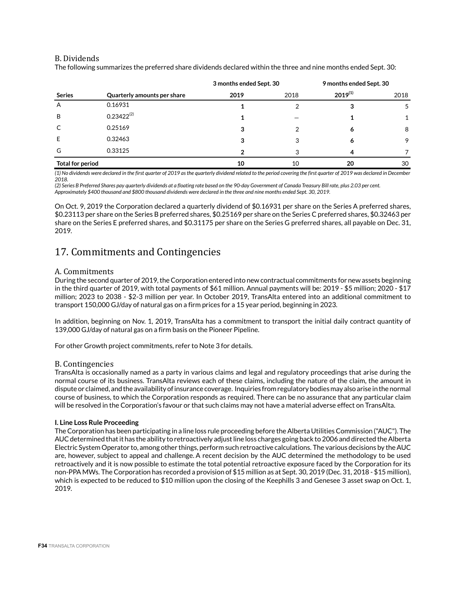### B. Dividends

The following summarizes the preferred share dividends declared within the three and nine months ended Sept. 30:

|                         |                             | 3 months ended Sept. 30 |      | 9 months ended Sept. 30 |      |
|-------------------------|-----------------------------|-------------------------|------|-------------------------|------|
| <b>Series</b>           | Quarterly amounts per share | 2019                    | 2018 | $2019^{(1)}$            | 2018 |
| A                       | 0.16931                     |                         |      |                         |      |
| B                       | $0.23422^{(2)}$             |                         |      |                         |      |
| C                       | 0.25169                     | 3                       |      | o                       | 8    |
| Ε                       | 0.32463                     | 3                       |      | 6                       | 9    |
| G                       | 0.33125                     |                         | າ    | Δ                       |      |
| <b>Total for period</b> |                             | 10                      | 10   | 20                      | 30   |

*(1) No dividends were declared in the first quarter of 2019 as the quarterly dividend related to the period covering the first quarter of 2019 was declared in December 2018.*

*(2) Series B Preferred Shares pay quarterly dividends at a floating rate based on the 90-day Government of Canada Treasury Bill rate, plus 2.03 per cent. Approximately \$400 thousand and \$800 thousand dividends were declared in the three and nine months ended Sept. 30, 2019.*

On Oct. 9, 2019 the Corporation declared a quarterly dividend of \$0.16931 per share on the Series A preferred shares, \$0.23113 per share on the Series B preferred shares, \$0.25169 per share on the Series C preferred shares, \$0.32463 per share on the Series E preferred shares, and \$0.31175 per share on the Series G preferred shares, all payable on Dec. 31, 2019.

## 17. Commitments and Contingencies

### A. Commitments

During the second quarter of 2019, the Corporation entered into new contractual commitments for new assets beginning in the third quarter of 2019, with total payments of \$61 million. Annual payments will be: 2019 - \$5 million; 2020 - \$17 million; 2023 to 2038 - \$2-3 million per year. In October 2019, TransAlta entered into an additional commitment to transport 150,000 GJ/day of natural gas on a firm prices for a 15 year period, beginning in 2023.

In addition, beginning on Nov. 1, 2019, TransAlta has a commitment to transport the initial daily contract quantity of 139,000 GJ/day of natural gas on a firm basis on the Pioneer Pipeline.

For other Growth project commitments, refer to Note 3 for details.

### B. Contingencies

TransAlta is occasionally named as a party in various claims and legal and regulatory proceedings that arise during the normal course of its business. TransAlta reviews each of these claims, including the nature of the claim, the amount in dispute or claimed, and the availability of insurance coverage. Inquiries from regulatory bodies may also arise in the normal course of business, to which the Corporation responds as required. There can be no assurance that any particular claim will be resolved in the Corporation's favour or that such claims may not have a material adverse effect on TransAlta.

### **I. Line Loss Rule Proceeding**

The Corporation has been participating in a line loss rule proceeding before the Alberta Utilities Commission ("AUC"). The AUC determined that it has the ability to retroactively adjust line loss charges going back to 2006 and directed the Alberta Electric System Operator to, among other things, perform such retroactive calculations. The various decisions by the AUC are, however, subject to appeal and challenge. A recent decision by the AUC determined the methodology to be used retroactively and it is now possible to estimate the total potential retroactive exposure faced by the Corporation for its non-PPA MWs. The Corporation has recorded a provision of \$15 million as at Sept. 30, 2019 (Dec. 31, 2018 - \$15 million), which is expected to be reduced to \$10 million upon the closing of the Keephills 3 and Genesee 3 asset swap on Oct. 1, 2019.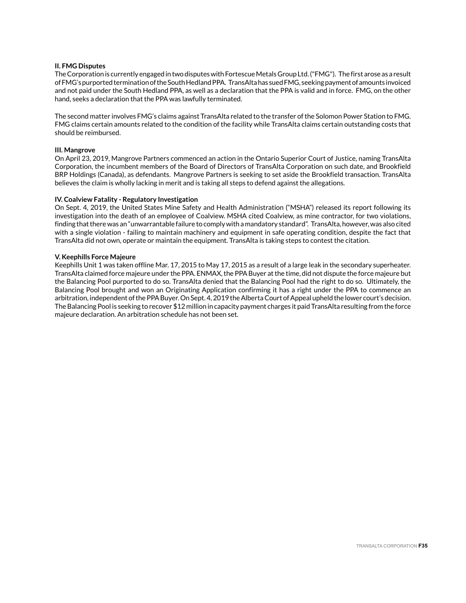### **II. FMG Disputes**

The Corporation is currently engaged in two disputes with Fortescue Metals Group Ltd. ("FMG"). The first arose as a result of FMG's purported termination of the South Hedland PPA. TransAlta has sued FMG, seeking payment of amounts invoiced and not paid under the South Hedland PPA, as well as a declaration that the PPA is valid and in force. FMG, on the other hand, seeks a declaration that the PPA was lawfully terminated.

The second matter involves FMG's claims against TransAlta related to the transfer of the Solomon Power Station to FMG. FMG claims certain amounts related to the condition of the facility while TransAlta claims certain outstanding costs that should be reimbursed.

#### **III. Mangrove**

On April 23, 2019, Mangrove Partners commenced an action in the Ontario Superior Court of Justice, naming TransAlta Corporation, the incumbent members of the Board of Directors of TransAlta Corporation on such date, and Brookfield BRP Holdings (Canada), as defendants. Mangrove Partners is seeking to set aside the Brookfield transaction. TransAlta believes the claim is wholly lacking in merit and is taking all steps to defend against the allegations.

### **IV. Coalview Fatality - Regulatory Investigation**

On Sept. 4, 2019, the United States Mine Safety and Health Administration ("MSHA") released its report following its investigation into the death of an employee of Coalview. MSHA cited Coalview, as mine contractor, for two violations, finding that there was an "unwarrantable failure to comply with a mandatory standard". TransAlta, however, was also cited with a single violation - failing to maintain machinery and equipment in safe operating condition, despite the fact that TransAlta did not own, operate or maintain the equipment. TransAlta is taking steps to contest the citation.

### **V. Keephills Force Majeure**

Keephills Unit 1 was taken offline Mar. 17, 2015 to May 17, 2015 as a result of a large leak in the secondary superheater. TransAlta claimed force majeure under the PPA. ENMAX, the PPA Buyer at the time, did not dispute the force majeure but the Balancing Pool purported to do so. TransAlta denied that the Balancing Pool had the right to do so. Ultimately, the Balancing Pool brought and won an Originating Application confirming it has a right under the PPA to commence an arbitration, independent of the PPA Buyer. On Sept. 4, 2019 the Alberta Court of Appeal upheld the lower court's decision. The Balancing Pool is seeking to recover \$12 million in capacity payment charges it paid TransAlta resulting from the force majeure declaration. An arbitration schedule has not been set.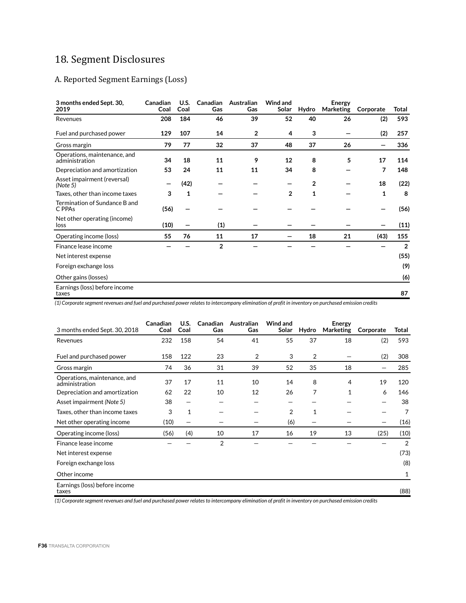# 18. Segment Disclosures

## A. Reported Segment Earnings (Loss)

| 3 months ended Sept. 30,<br>2019               | Canadian<br>Coal | U.S.<br>Coal | Canadian<br>Gas | Australian<br>Gas | Wind and<br>Solar | Hydro          | Energy<br>Marketing | Corporate | Total          |
|------------------------------------------------|------------------|--------------|-----------------|-------------------|-------------------|----------------|---------------------|-----------|----------------|
| Revenues                                       | 208              | 184          | 46              | 39                | 52                | 40             | 26                  | (2)       | 593            |
| Fuel and purchased power                       | 129              | 107          | 14              | $\overline{2}$    | 4                 | 3              |                     | (2)       | 257            |
| Gross margin                                   | 79               | 77           | 32              | 37                | 48                | 37             | 26                  |           | 336            |
| Operations, maintenance, and<br>administration | 34               | 18           | 11              | 9                 | 12                | 8              | 5                   | 17        | 114            |
| Depreciation and amortization                  | 53               | 24           | 11              | 11                | 34                | 8              |                     | 7         | 148            |
| Asset impairment (reversal)<br>(Note 5)        |                  | (42)         |                 |                   |                   | $\overline{2}$ |                     | 18        | (22)           |
| Taxes, other than income taxes                 | 3                | 1            |                 |                   | $\overline{2}$    | 1              |                     | 1         | 8              |
| Termination of Sundance B and<br>C PPAs        | (56)             |              |                 |                   |                   |                |                     |           | (56)           |
| Net other operating (income)<br>loss           | (10)             |              | (1)             |                   |                   |                |                     |           | (11)           |
| Operating income (loss)                        | 55               | 76           | 11              | 17                |                   | 18             | 21                  | (43)      | 155            |
| Finance lease income                           |                  |              | $\overline{2}$  |                   |                   |                |                     |           | $\overline{2}$ |
| Net interest expense                           |                  |              |                 |                   |                   |                |                     |           | (55)           |
| Foreign exchange loss                          |                  |              |                 |                   |                   |                |                     |           | (9)            |
| Other gains (losses)                           |                  |              |                 |                   |                   |                |                     |           | (6)            |
| Earnings (loss) before income<br>taxes         |                  |              |                 |                   |                   |                |                     |           | 87             |

*(1) Corporate segment revenues and fuel and purchased power relates to intercompany elimination of profit in inventory on purchased emission credits*

| 3 months ended Sept. 30, 2018                  | Canadian<br>Coal | U.S.<br>Coal | <b>Canadian</b><br>Gas | Australian<br>Gas | Wind and<br>Solar | Hydro | <b>Energy</b><br>Marketing | Corporate | Total |
|------------------------------------------------|------------------|--------------|------------------------|-------------------|-------------------|-------|----------------------------|-----------|-------|
| Revenues                                       | 232              | 158          | 54                     | 41                | 55                | 37    | 18                         | (2)       | 593   |
| Fuel and purchased power                       | 158              | 122          | 23                     | 2                 | 3                 | 2     |                            | (2)       | 308   |
| Gross margin                                   | 74               | 36           | 31                     | 39                | 52                | 35    | 18                         |           | 285   |
| Operations, maintenance, and<br>administration | 37               | 17           | 11                     | 10                | 14                | 8     | 4                          | 19        | 120   |
| Depreciation and amortization                  | 62               | 22           | 10                     | 12                | 26                | 7     | $\mathbf{1}$               | 6         | 146   |
| Asset impairment (Note 5)                      | 38               | —            |                        |                   |                   |       |                            |           | 38    |
| Taxes, other than income taxes                 | 3                | 1            |                        |                   | 2                 | 1     |                            |           | 7     |
| Net other operating income                     | (10)             | —            |                        |                   | (6)               |       |                            |           | (16)  |
| Operating income (loss)                        | (56)             | (4)          | 10                     | 17                | 16                | 19    | 13                         | (25)      | (10)  |
| Finance lease income                           |                  |              | $\overline{2}$         |                   |                   |       |                            |           | 2     |
| Net interest expense                           |                  |              |                        |                   |                   |       |                            |           | (73)  |
| Foreign exchange loss                          |                  |              |                        |                   |                   |       |                            |           | (8)   |
| Other income                                   |                  |              |                        |                   |                   |       |                            |           | 1     |
| Earnings (loss) before income<br>taxes         |                  |              |                        |                   |                   |       |                            |           | (88)  |

*(1) Corporate segment revenues and fuel and purchased power relates to intercompany elimination of profit in inventory on purchased emission credits*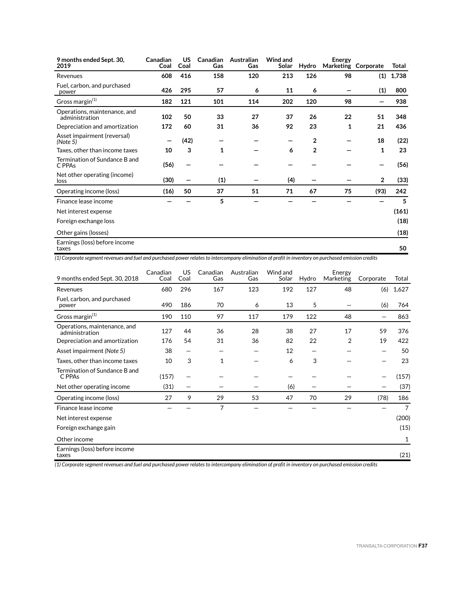| 9 months ended Sept. 30,<br>2019               | Canadian<br>Coal | US<br>Coal | Canadian<br>Gas | Australian<br>Gas | <b>Wind and</b><br>Solar | Hydro          | Energy | Marketing Corporate | Total |
|------------------------------------------------|------------------|------------|-----------------|-------------------|--------------------------|----------------|--------|---------------------|-------|
| Revenues                                       | 608              | 416        | 158             | 120               | 213                      | 126            | 98     | (1)                 | 1,738 |
| Fuel, carbon, and purchased<br>power           | 426              | 295        | 57              | 6                 | 11                       | 6              |        | (1)                 | 800   |
| Gross margin <sup>(1)</sup>                    | 182              | 121        | 101             | 114               | 202                      | 120            | 98     |                     | 938   |
| Operations, maintenance, and<br>administration | 102              | 50         | 33              | 27                | 37                       | 26             | 22     | 51                  | 348   |
| Depreciation and amortization                  | 172              | 60         | 31              | 36                | 92                       | 23             | 1      | 21                  | 436   |
| Asset impairment (reversal)<br>(Note 5)        |                  | (42)       |                 |                   |                          | $\overline{2}$ |        | 18                  | (22)  |
| Taxes, other than income taxes                 | 10               | 3          | 1               |                   | 6                        | $\overline{2}$ |        | 1                   | 23    |
| Termination of Sundance B and<br>C PPAs        | (56)             |            |                 |                   |                          |                |        |                     | (56)  |
| Net other operating (income)<br>loss           | (30)             |            | (1)             |                   | (4)                      |                |        | $\overline{2}$      | (33)  |
| Operating income (loss)                        | (16)             | 50         | 37              | 51                | 71                       | 67             | 75     | (93)                | 242   |
| Finance lease income                           |                  |            | 5               |                   |                          |                |        |                     | 5     |
| Net interest expense                           |                  |            |                 |                   |                          |                |        |                     | (161) |
| Foreign exchange loss                          |                  |            |                 |                   |                          |                |        |                     | (18)  |
| Other gains (losses)                           |                  |            |                 |                   |                          |                |        |                     | (18)  |
| Earnings (loss) before income<br>taxes         |                  |            |                 |                   |                          |                |        |                     | 50    |

*(1) Corporate segment revenues and fuel and purchased power relates to intercompany elimination of profit in inventory on purchased emission credits*

| 9 months ended Sept. 30, 2018                  | Canadian<br>Coal | US.<br>Coal | Canadian<br>Gas | Australian<br>Gas | Wind and<br>Solar | Hydro | Energy<br>Marketing | Corporate | Total |
|------------------------------------------------|------------------|-------------|-----------------|-------------------|-------------------|-------|---------------------|-----------|-------|
| Revenues                                       | 680              | 296         | 167             | 123               | 192               | 127   | 48                  | (6)       | 1,627 |
| Fuel, carbon, and purchased<br>power           | 490              | 186         | 70              | 6                 | 13                | 5     |                     | (6)       | 764   |
| Gross margin <sup>(1)</sup>                    | 190              | 110         | 97              | 117               | 179               | 122   | 48                  |           | 863   |
| Operations, maintenance, and<br>administration | 127              | 44          | 36              | 28                | 38                | 27    | 17                  | 59        | 376   |
| Depreciation and amortization                  | 176              | 54          | 31              | 36                | 82                | 22    | 2                   | 19        | 422   |
| Asset impairment (Note 5)                      | 38               | —           |                 |                   | 12                |       |                     |           | 50    |
| Taxes, other than income taxes                 | 10               | 3           | 1               |                   | 6                 | 3     |                     |           | 23    |
| Termination of Sundance B and<br>C PPAs        | (157)            |             |                 |                   |                   |       |                     |           | (157) |
| Net other operating income                     | (31)             |             |                 |                   | (6)               |       |                     |           | (37)  |
| Operating income (loss)                        | 27               | 9           | 29              | 53                | 47                | 70    | 29                  | (78)      | 186   |
| Finance lease income                           |                  |             | 7               |                   |                   |       |                     |           | 7     |
| Net interest expense                           |                  |             |                 |                   |                   |       |                     |           | (200) |
| Foreign exchange gain                          |                  |             |                 |                   |                   |       |                     |           | (15)  |
| Other income                                   |                  |             |                 |                   |                   |       |                     |           | 1     |
| Earnings (loss) before income<br>taxes         |                  |             |                 |                   |                   |       |                     |           | (21)  |

*(1) Corporate segment revenues and fuel and purchased power relates to intercompany elimination of profit in inventory on purchased emission credits*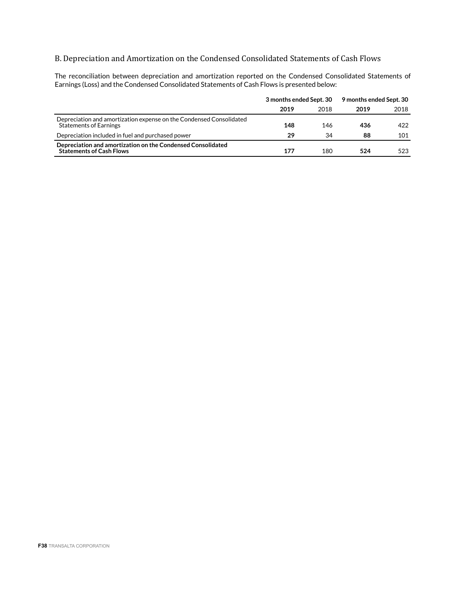## B. Depreciation and Amortization on the Condensed Consolidated Statements of Cash Flows

The reconciliation between depreciation and amortization reported on the Condensed Consolidated Statements of Earnings (Loss) and the Condensed Consolidated Statements of Cash Flows is presented below:

|                                                                                                      | 3 months ended Sept. 30 |      | 9 months ended Sept. 30 |      |
|------------------------------------------------------------------------------------------------------|-------------------------|------|-------------------------|------|
|                                                                                                      | 2019                    | 2018 | 2019                    | 2018 |
| Depreciation and amortization expense on the Condensed Consolidated<br><b>Statements of Earnings</b> | 148                     | 146  | 436                     | 422  |
| Depreciation included in fuel and purchased power                                                    | 29                      | 34   | 88                      | 101  |
| Depreciation and amortization on the Condensed Consolidated<br><b>Statements of Cash Flows</b>       | 177                     | 180  | 524                     | 523  |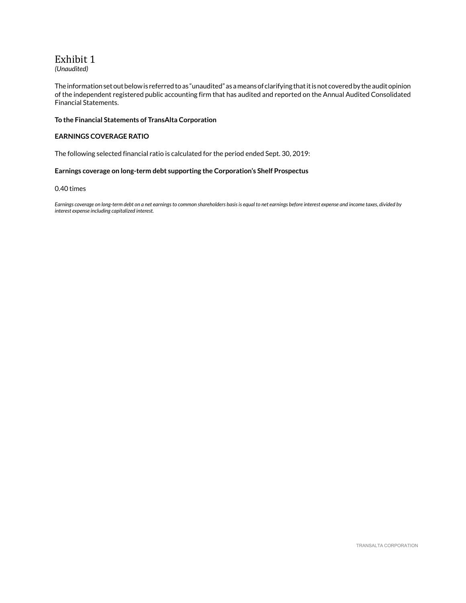# Exhibit 1

*(Unaudited)*

The information set out below is referred to as "unaudited" as a means of clarifying that it is not covered by the audit opinion of the independent registered public accounting firm that has audited and reported on the Annual Audited Consolidated Financial Statements.

### **To the Financial Statements of TransAlta Corporation**

### **EARNINGS COVERAGE RATIO**

The following selected financial ratio is calculated for the period ended Sept. 30, 2019:

### **Earnings coverage on long-term debt supporting the Corporation's Shelf Prospectus**

### 0.40 times

*Earnings coverage on long-term debt on a net earnings to common shareholders basis is equal to net earnings before interest expense and income taxes, divided by interest expense including capitalized interest.*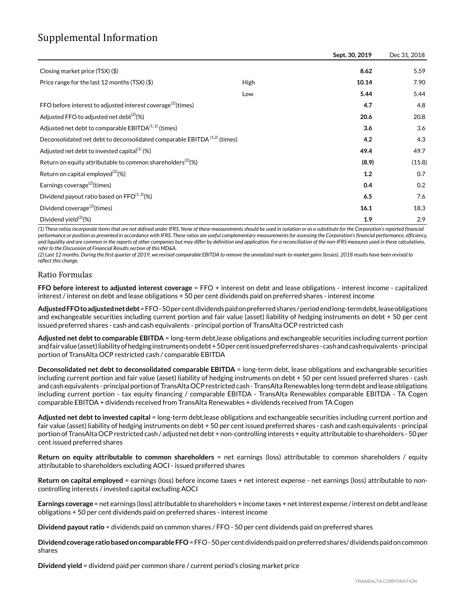# Supplemental Information

|                                                                                      |      | Sept. 30, 2019 | Dec 31, 2018 |
|--------------------------------------------------------------------------------------|------|----------------|--------------|
| Closing market price (TSX) (\$)                                                      |      | 8.62           | 5.59         |
| Price range for the last 12 months (TSX) (\$)                                        | High | 10.14          | 7.90         |
|                                                                                      | Low  | 5.44           | 5.44         |
| FFO before interest to adjusted interest coverage <sup>(2)</sup> (times)             |      | 4.7            | 4.8          |
| Adjusted FFO to adjusted net debt <sup>(2)</sup> (%)                                 |      | 20.6           | 20.8         |
| Adjusted net debt to comparable $EBITDA(1,2)$ (times)                                |      | 3.6            | 3.6          |
| Deconsolidated net debt to deconsolidated comparable EBITDA <sup>(1,2)</sup> (times) |      | 4.2            | 4.3          |
| Adjusted net debt to invested capital $(1)$ (%)                                      |      | 49.4           | 49.7         |
| Return on equity attributable to common shareholders <sup>(2)</sup> (%)              |      | (8.9)          | (15.8)       |
| Return on capital employed <sup>(2)</sup> (%)                                        |      | 1.2            | 0.7          |
| Earnings coverage <sup>(2)</sup> (times)                                             |      | 0.4            | 0.2          |
| Dividend payout ratio based on $\text{FFO}^{(1,2)}(\%)$                              |      | 6.5            | 7.6          |
| Dividend coverage <sup>(2)</sup> (times)                                             |      | 16.1           | 18.3         |
| Dividend yield <sup>(2)</sup> (%)                                                    |      | 1.9            | 2.9          |

*(1) These ratios incorporate items that are not defined under IFRS. None of these measurements should be used in isolation or as a substitute for the Corporation's reported financial performance or position as presented in accordance with IFRS. These ratios are useful complementary measurements for assessing the Corporation's financial performance, efficiency, and liquidity and are common in the reports of other companies but may differ by definition and application. For a reconciliation of the non-IFRS measures used in these calculations, refer to the Discussion of Financial Results section of this MD&A.*

*(2) Last 12 months. During the first quarter of 2019, we revised comparable EBITDA to remove the unrealized mark-to-market gains (losses). 2018 results have been revised to reflect this change.*

### Ratio Formulas

**FFO before interest to adjusted interest coverage** = FFO + interest on debt and lease obligations - interest income - capitalized interest / interest on debt and lease obligations + 50 per cent dividends paid on preferred shares - interest income

**Adjusted FFO to adjusted net debt** = FFO - 50 per cent dividends paid on preferred shares / period end long-term debt, lease obligations and exchangeable securities including current portion and fair value (asset) liability of hedging instruments on debt + 50 per cent issued preferred shares - cash and cash equivalents - principal portion of TransAlta OCP restricted cash

**Adjusted net debt to comparable EBITDA** = long-term debt,lease obligations and exchangeable securities including current portion and fair value (asset) liability of hedging instruments on debt + 50 per cent issued preferred shares - cash and cash equivalents - principal portion of TransAlta OCP restricted cash / comparable EBITDA

**Deconsolidated net debt to deconsolidated comparable EBITDA** = long-term debt, lease obligations and exchangeable securities including current portion and fair value (asset) liability of hedging instruments on debt + 50 per cent issued preferred shares - cash and cash equivalents - principal portion of TransAlta OCP restricted cash - TransAlta Renewables long-term debt and lease obligations including current portion - tax equity financing / comparable EBITDA - TransAlta Renewables comparable EBITDA - TA Cogen comparable EBITDA + dividends received from TransAlta Renewables + dividends received from TA Cogen

**Adjusted net debt to invested capital** = long-term debt,lease obligations and exchangeable securities including current portion and fair value (asset) liability of hedging instruments on debt + 50 per cent issued preferred shares - cash and cash equivalents - principal portion of TransAlta OCP restricted cash / adjusted net debt + non-controlling interests + equity attributable to shareholders - 50 per cent issued preferred shares

**Return on equity attributable to common shareholders** = net earnings (loss) attributable to common shareholders / equity attributable to shareholders excluding AOCI - issued preferred shares

**Return on capital employed** = earnings (loss) before income taxes + net interest expense - net earnings (loss) attributable to noncontrolling interests / invested capital excluding AOCI

**Earnings coverage** = net earnings (loss) attributable to shareholders + income taxes + net interest expense / interest on debt and lease obligations + 50 per cent dividends paid on preferred shares - interest income

**Dividend payout ratio** = dividends paid on common shares / FFO - 50 per cent dividends paid on preferred shares

**Dividend coverage ratio based on comparable FFO** = FFO - 50 per cent dividends paid on preferred shares/ dividends paid on common shares

**Dividend yield** = dividend paid per common share / current period's closing market price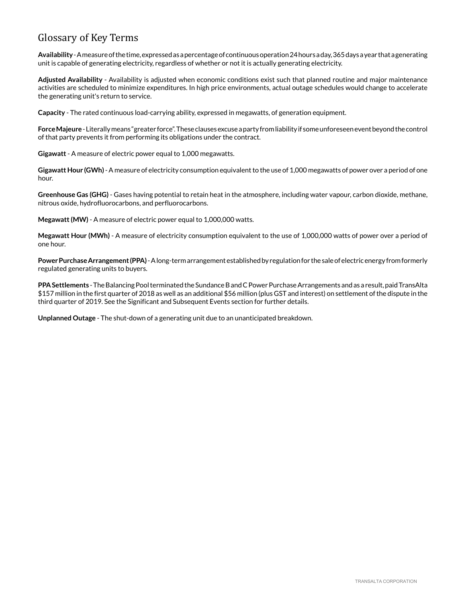# Glossary of Key Terms

**Availability** - A measure of the time, expressed as a percentage of continuous operation 24 hours a day, 365 days a year that a generating unit is capable of generating electricity, regardless of whether or not it is actually generating electricity.

**Adjusted Availability** - Availability is adjusted when economic conditions exist such that planned routine and major maintenance activities are scheduled to minimize expenditures. In high price environments, actual outage schedules would change to accelerate the generating unit's return to service.

**Capacity** - The rated continuous load-carrying ability, expressed in megawatts, of generation equipment.

**Force Majeure** -Literally means "greater force". These clauses excuse a party from liability if some unforeseen event beyond the control of that party prevents it from performing its obligations under the contract.

**Gigawatt** - A measure of electric power equal to 1,000 megawatts.

**Gigawatt Hour (GWh)** - A measure of electricity consumption equivalent to the use of 1,000 megawatts of power over a period of one hour.

**Greenhouse Gas (GHG)** - Gases having potential to retain heat in the atmosphere, including water vapour, carbon dioxide, methane, nitrous oxide, hydrofluorocarbons, and perfluorocarbons.

**Megawatt (MW)** - A measure of electric power equal to 1,000,000 watts.

**Megawatt Hour (MWh)** - A measure of electricity consumption equivalent to the use of 1,000,000 watts of power over a period of one hour.

**Power Purchase Arrangement (PPA)** - A long-term arrangement established by regulation for the sale of electric energy from formerly regulated generating units to buyers.

**PPA Settlements** - The Balancing Pool terminated the Sundance B and C Power Purchase Arrangements and as a result, paid TransAlta \$157 million in the first quarter of 2018 as well as an additional \$56 million (plus GST and interest) on settlement of the dispute in the third quarter of 2019. See the Significant and Subsequent Events section for further details.

**Unplanned Outage** - The shut-down of a generating unit due to an unanticipated breakdown.